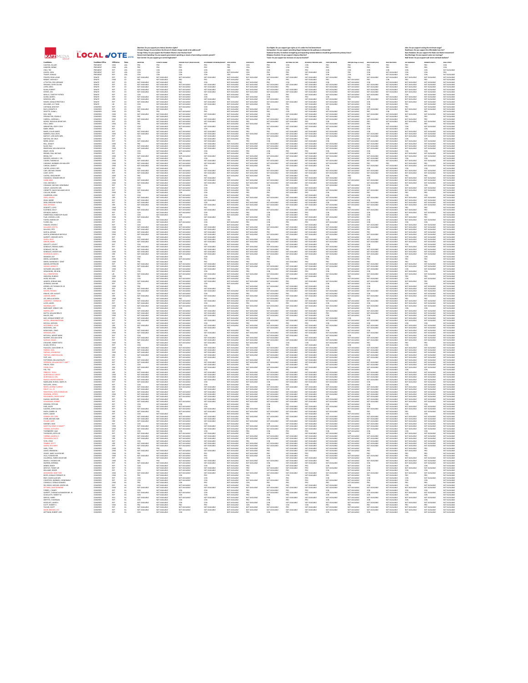| KATZ MEDIA                                                                                                                                                                                                                                                        | Abertion: Do you support pro-choical aboution rights?<br>Climate Change: De you known the Mewart of dimate change needs to be addr<br>Foreign Policy: Do you support the President Obama's iran Nuclear Deal?<br>Government Spending: D<br>LOCAL JOTE |                                                                                                                                                               |                                        |                                                                                                                                                             |                                                                                                                                                                        |                                                                                                                                             |                                                                                                                                             |                                                                                                 | Gan Rights: De you support pan rights as it is under the Irak Amendment<br>limmigration: Da you support providing likely lemnigrants the pathway to citie<br>hirlocoal Security: Da believe strengthing and suppositing national def                                      |                                                                                                                                  |                                                                                                                      |                                                                                                                            |                                                                                                                                   |                                                                                                                                                                                              |                                                                                                                                                                                                                      | Jobs: Dayou support raising the minimum wage?<br>Healthcans: Dayou support the Affordable Care Act?<br>Race Relations: Do you support the Black Line Matter move<br>Gay Marriage: Do you support same-sex marriage?<br>Wall Street: Do you |                                                                                                                                                           |                                                                                                                                                                                     |                                                                                                                     |
|-------------------------------------------------------------------------------------------------------------------------------------------------------------------------------------------------------------------------------------------------------------------|-------------------------------------------------------------------------------------------------------------------------------------------------------------------------------------------------------------------------------------------------------|---------------------------------------------------------------------------------------------------------------------------------------------------------------|----------------------------------------|-------------------------------------------------------------------------------------------------------------------------------------------------------------|------------------------------------------------------------------------------------------------------------------------------------------------------------------------|---------------------------------------------------------------------------------------------------------------------------------------------|---------------------------------------------------------------------------------------------------------------------------------------------|-------------------------------------------------------------------------------------------------|---------------------------------------------------------------------------------------------------------------------------------------------------------------------------------------------------------------------------------------------------------------------------|----------------------------------------------------------------------------------------------------------------------------------|----------------------------------------------------------------------------------------------------------------------|----------------------------------------------------------------------------------------------------------------------------|-----------------------------------------------------------------------------------------------------------------------------------|----------------------------------------------------------------------------------------------------------------------------------------------------------------------------------------------|----------------------------------------------------------------------------------------------------------------------------------------------------------------------------------------------------------------------|--------------------------------------------------------------------------------------------------------------------------------------------------------------------------------------------------------------------------------------------|-----------------------------------------------------------------------------------------------------------------------------------------------------------|-------------------------------------------------------------------------------------------------------------------------------------------------------------------------------------|---------------------------------------------------------------------------------------------------------------------|
|                                                                                                                                                                                                                                                                   |                                                                                                                                                                                                                                                       |                                                                                                                                                               |                                        |                                                                                                                                                             |                                                                                                                                                                        |                                                                                                                                             |                                                                                                                                             | Yart Gun Control<br>FRO<br>FRO<br>CON<br>NOT AVAILAGES<br>NOT AVAILAGES<br>NOT AVAILAGES        |                                                                                                                                                                                                                                                                           |                                                                                                                                  |                                                                                                                      |                                                                                                                            |                                                                                                                                   |                                                                                                                                                                                              |                                                                                                                                                                                                                      |                                                                                                                                                                                                                                            |                                                                                                                                                           |                                                                                                                                                                                     |                                                                                                                     |
| <b>CARGEMENT MANY CONSUMERS</b><br>CARGEMENT CONSUMERS ARRANGEMENT CONSUMERS ARRANGEMENT CONSULTION FOR CONSULTION PROCESSION CONSULTION FOR CONSULTION FOR CONSULTION FOR CONSULTION FOR CONSULTION FOR CONSULTION FOR CONSULTION FOR                            | <b>Candidate Office</b><br>PRESIDENT<br>PRESIDENT<br>PRESIDENT<br>PRESIDENT<br>PRESIDENT<br>SENATE                                                                                                                                                    | $\begin{array}{lcl} \textbf{Affilactic} \\ \textbf{DEM} \\ \textbf{DEM} \\ \textbf{RSP} \\ \textbf{RSP} \\ \textbf{RSP} \\ \textbf{RSP} \end{array}$          | 1823 A2 22 25<br>4 A2 22 22 22 23<br>0 | AMORTION<br>PRO<br>CON<br>CON<br>NOT AVAILABLE<br>NOT AVAILABLE                                                                                             | CLIMATE DIEASE<br>PRO<br>CON<br>CON<br>CON                                                                                                                             | FORMON POLICY (M<br>PRO<br>CON<br>CON<br>NOT AVAILAGE<br>PRO<br>PRO<br>NOT EVALUAGE                                                         |                                                                                                                                             |                                                                                                 | <b>CONTRACTS</b><br>CONTRACTS<br>PRO<br>CONTRACTS<br>NOT AVAILABLE<br>NOT AVAILABLE<br>NOT AVAILABLE<br>NOT AVAILABLE<br>NOT AVAILABLE<br>NOT AVAILABLE<br>NOT AVAILABLE<br>NOT AVAILABLE<br>NOT AVAILABLE<br>NOT AVAILABLE<br>NOT AVAILABLE<br>NOT AVAILABLE<br>NO       |                                                                                                                                  | NATIONAL MC.(ML<br>CON<br>CON<br>CON<br>PRO<br>NOT AVAILABLE<br>CON<br>CON<br>NOT AVAILABLE<br>NOT                   |                                                                                                                            |                                                                                                                                   |                                                                                                                                                                                              |                                                                                                                                                                                                                      | KACE RELATIONS                                                                                                                                                                                                                             | ENT MARRIAGE<br>FRO<br>CON<br>CON<br>NOT AURULAELE<br>NOT<br>NOT                                                                                          |                                                                                                                                                                                     | WING STREET<br>CON<br>MOT AVAILABLE<br>PRO<br>MOT AVAILABLE<br>MOT AVAILABLE                                        |
|                                                                                                                                                                                                                                                                   |                                                                                                                                                                                                                                                       |                                                                                                                                                               |                                        |                                                                                                                                                             |                                                                                                                                                                        |                                                                                                                                             | FRO<br>CON<br>NOT AVAILABLE<br>FRO<br>CON                                                                                                   |                                                                                                 |                                                                                                                                                                                                                                                                           | ----<br>PRO<br>PRO<br>NOT AVAILABLE<br>NOT AVAILABLE                                                                             |                                                                                                                      | CON<br>PRO<br>NOT AVAILABLE<br>PRO<br>NOT AVAILABLE                                                                        | PRO<br>CON<br>CON<br>NOT AVAILABLE                                                                                                | PRO<br>CON<br>PRO<br>NOT AWALABLE<br>NOT AWALABLE<br>NOT AWALABLE                                                                                                                            | FRO<br>CON<br>CON<br>NOT AVAILABLE<br>PRO<br>NOT AVAILABLE<br>NOT AVAILABLE                                                                                                                                          | FRA)<br>FRO<br>NOT AVAILABLE<br>NOT AVAILABLE<br>NOT AVAILABLE<br>CON                                                                                                                                                                      |                                                                                                                                                           | PRO<br>CON<br>CON<br>NOT AVAILABLE<br>COO                                                                                                                                           |                                                                                                                     |
|                                                                                                                                                                                                                                                                   |                                                                                                                                                                                                                                                       |                                                                                                                                                               |                                        |                                                                                                                                                             |                                                                                                                                                                        |                                                                                                                                             |                                                                                                                                             |                                                                                                 |                                                                                                                                                                                                                                                                           |                                                                                                                                  |                                                                                                                      |                                                                                                                            |                                                                                                                                   |                                                                                                                                                                                              |                                                                                                                                                                                                                      |                                                                                                                                                                                                                                            |                                                                                                                                                           |                                                                                                                                                                                     |                                                                                                                     |
|                                                                                                                                                                                                                                                                   |                                                                                                                                                                                                                                                       |                                                                                                                                                               |                                        |                                                                                                                                                             | CON<br>NOT AVAILABLE                                                                                                                                                   |                                                                                                                                             |                                                                                                                                             |                                                                                                 |                                                                                                                                                                                                                                                                           |                                                                                                                                  |                                                                                                                      |                                                                                                                            |                                                                                                                                   |                                                                                                                                                                                              |                                                                                                                                                                                                                      |                                                                                                                                                                                                                                            |                                                                                                                                                           |                                                                                                                                                                                     | NOT AVAILABLE                                                                                                       |
|                                                                                                                                                                                                                                                                   | STAVG2<br>STAVG2<br>SENATE                                                                                                                                                                                                                            |                                                                                                                                                               |                                        | PRO<br>NOT AVAILABLE<br>NOT AVAILABLE                                                                                                                       | NOT AVAILABLE<br>NOT AVAILABLE<br>NOT AVAILABLE                                                                                                                        | NOT AVAILABLE                                                                                                                               | NOT AVAILABLE                                                                                                                               | NOT AVAILABLE<br>SJAAMA TON<br>NOT AVAILABLE                                                    |                                                                                                                                                                                                                                                                           | CON<br>PRO<br>NOT AVAILABLE                                                                                                      |                                                                                                                      | NOT AVAILABLE<br>NOT AVAILABLE<br>NOT AVAILABLE                                                                            | PRO<br>CON<br>NOT AVAILABLE                                                                                                       | NOT AVAILABLE                                                                                                                                                                                |                                                                                                                                                                                                                      | CON<br>NOT AVAILABLE<br>NOT AVAILABLE                                                                                                                                                                                                      | PRO<br>NOT AVAILABLE<br>NOT AVAILABLE                                                                                                                     | PRO<br>NOT AVAILABLE<br>NOT AVAILABLE                                                                                                                                               | NOT AVAILABLE<br>NOT AVAILABLE                                                                                      |
|                                                                                                                                                                                                                                                                   | SENATE<br>SENATE                                                                                                                                                                                                                                      |                                                                                                                                                               |                                        |                                                                                                                                                             |                                                                                                                                                                        |                                                                                                                                             | NOT ANNUARES<br>NOT ANNUARES<br>NOT ANNUARES<br>CON<br>CON<br>COT ANNUARES<br>NOT ANNUARES                                                  | NOT AVAILABLE<br>EARLAND TOW                                                                    |                                                                                                                                                                                                                                                                           | MOT ANNUARES<br>MOT ANNUARES<br>MOT ANNUARES<br>CON<br>MOT ANNUARES<br>MOT ANNUARES                                              |                                                                                                                      | NOT AVAILABLE<br>NOT AVAILABLE                                                                                             |                                                                                                                                   |                                                                                                                                                                                              | NOT AVAILABLE<br>NOT AVAILABLE<br>NOT AVAILABLE<br>NOT AVAILABLE<br>CON<br>CON<br>CON<br>CON<br>NOT AVAILABLE<br>CON<br>NOT AVAILABLE                                                                                |                                                                                                                                                                                                                                            |                                                                                                                                                           | NOT ANNIAMES<br>NOT ANNIAMES<br>NOT ANNIAMES<br>NOT ANNIAMES<br>NOT ANNIAMES<br>NOT ANNIAMES<br>NOT ANNIAMES                                                                        | MOT AWAILABLE<br>MOT AWAILABLE                                                                                      |
|                                                                                                                                                                                                                                                                   |                                                                                                                                                                                                                                                       | 2888888                                                                                                                                                       | 888888                                 | NOT AWALABLE<br>NOT AWALABLE<br>NOT AWALABLE<br>CON<br>NOT AWALABLE<br>NOT AWALABLE<br>NOT AWALABLE                                                         | NOT NURSALISE<br>NOT NURSALISE<br>NOT NURSALISE<br>NOT NURSALISE<br>NOT NURSALISE<br>NOT NURSALISE                                                                     | NOT ANNUARE<br>NOT ANALAREE<br>NOT ANALAREE<br>NOT ANALAREE<br>NOT ANALAREE<br>NOT ANALAREE                                                 |                                                                                                                                             |                                                                                                 |                                                                                                                                                                                                                                                                           |                                                                                                                                  | PRO<br>NOT AVAILABLE<br>NOT AVAILABLE<br>PRO<br>CON<br>CON<br>NOT AVAILABLE                                          |                                                                                                                            | NOT AVAILABLE<br>NOT AVAILABLE<br>NOT AVAILABLE<br>NOT AVAILABLE<br>CON<br>NOT AVAILABLE<br>NOT AVAILABLE                         | NOT AVAILABLE<br>NOT AVAILABLE<br>NOT AVAILABLE<br>NOT AVAILABLE<br>NOT AVAILABLE<br>NOT AVAILABLE                                                                                           |                                                                                                                                                                                                                      | NOT AVAILABLE<br>NOT AVAILABLE<br>NOT AVAILABLE<br>NOT AVAILABLE<br>NOT AVAILABLE<br>NOT AVAILABLE                                                                                                                                         | NOT AVAILABLE<br>NOT AVAILABLE<br>NOT AVAILABLE<br>CON<br>NOT AVAILABLE<br>NOT AVAILABLE                                                                  |                                                                                                                                                                                     |                                                                                                                     |
|                                                                                                                                                                                                                                                                   | SENATE<br>SENATE<br>SENATE<br>SENATE<br>SENATE                                                                                                                                                                                                        |                                                                                                                                                               |                                        |                                                                                                                                                             |                                                                                                                                                                        |                                                                                                                                             |                                                                                                                                             | NOT AVAILABLE<br>NOT AVAILABLE<br>NOT AVAILABLE                                                 |                                                                                                                                                                                                                                                                           |                                                                                                                                  |                                                                                                                      | NOT AVAILABLE<br>NOT AVAILABLE<br>PRO<br>NOT AVAILABLE<br>NOT AVAILABLE                                                    |                                                                                                                                   |                                                                                                                                                                                              |                                                                                                                                                                                                                      |                                                                                                                                                                                                                                            |                                                                                                                                                           |                                                                                                                                                                                     | NOT AVAILABLE<br>NOT AVAILABLE<br>NOT AVAILABLE<br>NOT AVAILABLE<br>NOT AVAILABLE                                   |
|                                                                                                                                                                                                                                                                   |                                                                                                                                                                                                                                                       |                                                                                                                                                               |                                        |                                                                                                                                                             |                                                                                                                                                                        |                                                                                                                                             |                                                                                                                                             | PRO<br>NOT AVAILABLE                                                                            |                                                                                                                                                                                                                                                                           |                                                                                                                                  |                                                                                                                      |                                                                                                                            |                                                                                                                                   | PRO<br>NOT AVAILABLE                                                                                                                                                                         |                                                                                                                                                                                                                      |                                                                                                                                                                                                                                            |                                                                                                                                                           |                                                                                                                                                                                     |                                                                                                                     |
|                                                                                                                                                                                                                                                                   | SENATE<br>CONGRESS                                                                                                                                                                                                                                    |                                                                                                                                                               |                                        | $conv_{conv}$                                                                                                                                               | NOT AVAILABLE<br>NOT AVAILABLE                                                                                                                                         | NOT AVAILABLE<br>SJAAMA TON                                                                                                                 | NOT AVAILABLE<br>CON                                                                                                                        |                                                                                                 | NOT AVAILABLE                                                                                                                                                                                                                                                             | PRO<br>CON                                                                                                                       | PRO<br>PRO                                                                                                           | NOT AVAILABLE<br>NOT AVAILABLE                                                                                             | NOT AVAILABLE<br>CON                                                                                                              | NOT AVAILABLE<br>NOT AVAILABLE                                                                                                                                                               |                                                                                                                                                                                                                      | NOT AVAILABLE<br>NOT AVAILABLE                                                                                                                                                                                                             | PRO<br>PRO                                                                                                                                                | NOT AVAILABLE<br>NOT AVAILABLE                                                                                                                                                      | MOT AVAILABLE<br>NOT AVAILABLE                                                                                      |
| COFFAMAL, MAIX RRP.<br>EUCLY, KENNETH R.<br>DISGETTE, DAMA L.<br>PERIMENTER, DAMA L.<br>PERIMENTER, DAMA G.<br>PERIMENTER, DOCAVIC ARRY.<br>MODIS, MAIS D.<br>MAIN, BRAN.<br>BARN, BRAN.<br>BARN, BRAN.<br>BARN, DRAN.<br>BARN, DRAN.<br>BARN, DRAN.              | CONGRESS                                                                                                                                                                                                                                              | . 2 2 2 2 2 2 2 2 2 2 2                                                                                                                                       |                                        | NOT AVAILABLE                                                                                                                                               | NOT AVAILABLE                                                                                                                                                          |                                                                                                                                             |                                                                                                                                             | NOT AVAILABLE<br>NOT AVAILABLE<br>NOT AVAILABLE                                                 |                                                                                                                                                                                                                                                                           | NOT AVAILABLE                                                                                                                    |                                                                                                                      | NOT AVAILABLE                                                                                                              | CON                                                                                                                               | NOT AVAILABLE                                                                                                                                                                                | NOT AVAILABLE                                                                                                                                                                                                        | NOT AVAILABLE                                                                                                                                                                                                                              | NOT AVAILABLE                                                                                                                                             | NOT AVAILABLE                                                                                                                                                                       | NOT AVAILABLE                                                                                                       |
|                                                                                                                                                                                                                                                                   | CONGRESS<br>CONGRESS<br>CONGRESS<br>CONGRESS<br>CONGRESS                                                                                                                                                                                              |                                                                                                                                                               |                                        | PRO<br>NOT AVAILABLE                                                                                                                                        | PRO<br>NOT AVAILABLE<br>NOT AVAILABLE<br>NOT AVAILABLE<br>NOT AVAILABLE<br>NOT AVAILABLE                                                                               | CON<br>NOT AVAILABLE<br>NOT AVAILABLE<br>NOT AVAILABLE<br>NOT AVAILABLE<br>NOT AVAILABLE<br>NOT AVAILABLE<br>NOT AVAILABLE<br>NOT AVAILABLE | CON<br>PRO<br>NOT AVAILABLE                                                                                                                 | NOT ANNUARE<br>NOT ANALAREE<br>NOT ANALAREE<br>NOT ANALAREE<br>NOT ANALAREE<br>NOT ANALAREE     | PRO<br>NGC AVAILABLE<br>NGC AVAILABLE<br>NGC AVAILABLE<br>NGC AVAILABLE<br>PRO<br>PRO<br>PRO<br>PRO<br>PRO                                                                                                                                                                | THE RESIDENCE<br>NOT AVAILABLE<br>NOT AVAILABLE<br>NOT AVAILABLE<br>NOT AVAILABLE<br>NOT AVAILABLE                               | PRO<br>ROO<br>NOT AVAILABLE<br>CON<br>NOT AVAILABLE<br>CON<br>NOT AVAILABLE<br>CON<br>NOT AVAILABLE<br>NOT AVAILABLE | NOT NURLABLE<br>NOT NURLABLE<br>NOT NURLABLE<br>NOT NURLABLE<br>NOT NURLABLE<br>NOT NURLABLE<br>NOT NURLABLE               | NOT AVAILABLE                                                                                                                     | NOT AWALABLE<br>NOT AWALABLE<br>NOT AWALABLE<br>NOT AWALABLE<br>NOT AWALABLE<br>NOT AWALABLE<br>NOT AWALABLE                                                                                 | NOT NUMERABLE<br>PRO<br>DOT NUMERABLE<br>PRO<br>NOT NUMERABLE<br>CON<br>CON<br>CON<br>NOT NUMERABLE<br>NOT NUMERABLE<br>NOT NUMERABLE                                                                                | CON<br>NOT AVAILABLE<br>NOT AVAILABLE<br>NOT AVAILABLE<br>NOT AVAILABLE<br>CON                                                                                                                                                             | PRO<br>NOT AVAILABLE<br>PRO<br>NOT AVAILABLE<br>NOT AVAILABLE<br>PRO<br>CON                                                                               | NOT AVAILABLE<br>NOT AVAILABLE<br>NOT<br>NOT AVAILABLE<br>NOT AVAILABLE<br>NOT AVAILABLE                                                                                            | NOT AWALABLE<br>NOT AWALABLE<br>NOT AWALABLE<br>NOT AWALABLE<br>NOT AWALABLE<br>NOT AWALABLE<br>NOT AWALABLE        |
|                                                                                                                                                                                                                                                                   |                                                                                                                                                                                                                                                       |                                                                                                                                                               |                                        |                                                                                                                                                             |                                                                                                                                                                        |                                                                                                                                             |                                                                                                                                             |                                                                                                 |                                                                                                                                                                                                                                                                           |                                                                                                                                  |                                                                                                                      |                                                                                                                            | NOT AVAILABLE<br>NOT AVAILABLE<br>NOT AVAILABLE<br>CON<br>NOT AVAILABLE<br>NOT AVAILABLE                                          |                                                                                                                                                                                              |                                                                                                                                                                                                                      |                                                                                                                                                                                                                                            |                                                                                                                                                           |                                                                                                                                                                                     |                                                                                                                     |
|                                                                                                                                                                                                                                                                   |                                                                                                                                                                                                                                                       |                                                                                                                                                               |                                        | PRO<br>NOT AVAILABLE<br>PRO<br>CON<br>CON<br>NOT AVAILABLE                                                                                                  |                                                                                                                                                                        |                                                                                                                                             | PRO<br>NOT AVAILABLE<br>NOT AVAILABLE<br>PRO<br>NOT AVAILABLE                                                                               |                                                                                                 |                                                                                                                                                                                                                                                                           |                                                                                                                                  |                                                                                                                      |                                                                                                                            |                                                                                                                                   |                                                                                                                                                                                              |                                                                                                                                                                                                                      |                                                                                                                                                                                                                                            |                                                                                                                                                           |                                                                                                                                                                                     |                                                                                                                     |
|                                                                                                                                                                                                                                                                   |                                                                                                                                                                                                                                                       |                                                                                                                                                               |                                        |                                                                                                                                                             |                                                                                                                                                                        |                                                                                                                                             |                                                                                                                                             |                                                                                                 |                                                                                                                                                                                                                                                                           |                                                                                                                                  |                                                                                                                      |                                                                                                                            |                                                                                                                                   |                                                                                                                                                                                              |                                                                                                                                                                                                                      | CON<br>NOT AVAILABLE                                                                                                                                                                                                                       |                                                                                                                                                           |                                                                                                                                                                                     |                                                                                                                     |
|                                                                                                                                                                                                                                                                   | CONGRESS<br>CONGRESS                                                                                                                                                                                                                                  |                                                                                                                                                               |                                        |                                                                                                                                                             | NOT AVAILABLE<br>NOT AVAILABLE                                                                                                                                         | CON<br>NOT AVAILABLE                                                                                                                        | CON<br>NOT AVAILABLE                                                                                                                        | NOT AVAILABLE<br>SJAAMA TON                                                                     |                                                                                                                                                                                                                                                                           |                                                                                                                                  | PRO<br>NOT AVAILABLE                                                                                                 | PRO<br>NOT AVAILABLE                                                                                                       | CON<br>NOT AVAILABLE                                                                                                              | NOT AVAILABLE<br>NOT AVAILABLE                                                                                                                                                               |                                                                                                                                                                                                                      | NOT AVAILABLE<br>SJAAMA TON                                                                                                                                                                                                                | CON<br>NOT AVAILABLE                                                                                                                                      | CON<br>NOT AVAILABLE                                                                                                                                                                | MOT AVAILABLE<br>NOT AVAILABLE                                                                                      |
|                                                                                                                                                                                                                                                                   | CONGRESS                                                                                                                                                                                                                                              |                                                                                                                                                               |                                        | NOT AVAILABLE                                                                                                                                               | NOT AVAILABLE                                                                                                                                                          | NOT AVAILABLE                                                                                                                               | NOT AVAILABLE                                                                                                                               | NOT AVAILABLE                                                                                   | NOT AVAILABLE                                                                                                                                                                                                                                                             | NOT AVAILABLE                                                                                                                    | NOT AVAILABLE                                                                                                        | NOT AVAILABLE                                                                                                              | NOT AVAILABLE                                                                                                                     | NOT AVAILABLE                                                                                                                                                                                |                                                                                                                                                                                                                      | NOT AVAILABLE                                                                                                                                                                                                                              | NOT AVAILABLE                                                                                                                                             | NOT AVAILABLE                                                                                                                                                                       | NOT AVAILABLE                                                                                                       |
|                                                                                                                                                                                                                                                                   | CONGRESS<br>CONGRESS                                                                                                                                                                                                                                  |                                                                                                                                                               |                                        |                                                                                                                                                             |                                                                                                                                                                        | NOT AVAILABLE<br>NOT AVAILABLE<br>NOT AVAILABLE<br>NOT AVAILABLE<br>NOT AVAILABLE<br>NOT AVAILABLE                                          | NOT ANNUARES<br>NOT ANNUARES<br>NOT ANNUARES<br>NOT ANNUARES<br>NOT ANNUARES<br>NOT ANNUARES<br>NOT ANNUARES                                | NOT AVAILABLE<br>EARLAND TOW                                                                    | PRO<br>PRO                                                                                                                                                                                                                                                                | NOT AVAILABLE<br>CON                                                                                                             | NOT AVAILABLE<br>NOT AVAILABLE                                                                                       | NOT AVAILABLE                                                                                                              | NOT AVAILABLE<br>CON                                                                                                              |                                                                                                                                                                                              | NOT AVAILABLE<br>CON<br>CON<br>NOT AVAILABLE<br>NOT AVAILABLE<br>NOT AVAILABLE<br>NOT AVAILABLE<br>NOT AVAILABLE<br>CON                                                                                              |                                                                                                                                                                                                                                            | NOT AVAILABLE                                                                                                                                             | NOT AVAILABLE<br>CON                                                                                                                                                                | 126A JAWA TOM<br>126A JAWA TOM                                                                                      |
|                                                                                                                                                                                                                                                                   | CONGRESS<br>CONGRESS<br>CONGRESS<br>CONGRESS<br>CONGRESS                                                                                                                                                                                              |                                                                                                                                                               |                                        |                                                                                                                                                             |                                                                                                                                                                        |                                                                                                                                             |                                                                                                                                             | CON<br>NOT AVAILABLE<br>NOT AVAILABLE<br>NOT AVAILABLE<br>NOT AVAILABLE                         |                                                                                                                                                                                                                                                                           |                                                                                                                                  | NOT AVAILABLE<br>NOT AVAILABLE<br>NOT AVAILABLE<br>NOT AVAILABLE<br>PRO                                              | PRO<br>NOT AVAILABLE<br>NOT AVAILABLE<br>NOT AVAILABLE<br>NOT AVAILABLE<br>PRO                                             |                                                                                                                                   |                                                                                                                                                                                              |                                                                                                                                                                                                                      |                                                                                                                                                                                                                                            |                                                                                                                                                           |                                                                                                                                                                                     | NOT AVAILABLE<br>NOT AVAILABLE<br>NOT AVAILABLE<br>NOT AVAILABLE<br>NOT AVAILABLE                                   |
|                                                                                                                                                                                                                                                                   |                                                                                                                                                                                                                                                       |                                                                                                                                                               |                                        |                                                                                                                                                             |                                                                                                                                                                        |                                                                                                                                             |                                                                                                                                             |                                                                                                 |                                                                                                                                                                                                                                                                           |                                                                                                                                  |                                                                                                                      |                                                                                                                            |                                                                                                                                   |                                                                                                                                                                                              |                                                                                                                                                                                                                      |                                                                                                                                                                                                                                            |                                                                                                                                                           |                                                                                                                                                                                     |                                                                                                                     |
|                                                                                                                                                                                                                                                                   | CONGRESS                                                                                                                                                                                                                                              |                                                                                                                                                               |                                        |                                                                                                                                                             |                                                                                                                                                                        |                                                                                                                                             |                                                                                                                                             |                                                                                                 |                                                                                                                                                                                                                                                                           |                                                                                                                                  |                                                                                                                      | NOT AVAILABLE                                                                                                              | CON<br>NOT AVAILABLE<br>NOT AVAILABLE<br>NOT AVAILABLE<br>CON<br>NOT AVAILABLE                                                    |                                                                                                                                                                                              |                                                                                                                                                                                                                      |                                                                                                                                                                                                                                            | CON<br>NOT AVAILABLE<br>NOT AVAILABLE<br>NOT AVAILABLE<br>NOT AVAILABLE<br>CON<br>NOT AVAILABLE                                                           | CON<br>NOT AVAILABLE<br>NOT AVAILABLE<br>NOT AVAILABLE<br>NOT AVAILABLE<br>CON                                                                                                      |                                                                                                                     |
| BAKR, COLIN INTERNATION<br>BARRERA, RAUL (ROY)<br>BARRER, LOSI ANITA MISC.<br>BARRER, LOSI ANITA MISC.<br>BECEE, MICAN<br>BECE, MICAN<br>BECCE, MICAN INTERNATIONAL (ROY)<br>BECAR ENTIN, TATI<br>BECAR, RATI MICANEL<br>BECAR, PAT<br>BECAR, PAT (ROY). COL      | CONGRESS                                                                                                                                                                                                                                              |                                                                                                                                                               |                                        | NOT AVAILABLE<br>CON<br>NOT AVAILABLE<br>PRO<br>NOT AVAILABLE<br>CON<br>CON<br>CON<br>CON<br>NOT AVAILABLE<br>CON                                           | NOT NURLAIRES<br>NOT NURLAIRES<br>NOT NURLAIRES<br>NOT NURLAIRES<br>NOT NURLAIRES<br>NOT NURLAIRES<br>NOT NURLAIRES<br>NOT NURLAIRES<br>NOT NURLAIRES<br>NOT NURLAIRES | CON<br>NOT AVAILABLE                                                                                                                        | CON<br>NOT AVAILABLE                                                                                                                        | NOT AVAILABLE<br>SJAAMA TON                                                                     | PRO<br>MOT MANARIE<br>MOT MANARIE<br>MOT MANARIE<br>PRO<br>MOT MANARIE<br>MOT MANARIE<br>MOT MANARIE<br>MOT MANARIE<br>MOT MANARIE<br>MOT MANARIE<br>MOT MANARIE<br>MOT MANARIE<br>MOT MANARIE<br>MOT MANARIE<br>MOT MANARIE<br>MOT MANARIE<br>MOT MANARIE<br>MOT MANARIE | CON<br>NOT AVAILABLE<br>NOT AVAILABLE<br>NOT AVAILABLE<br>CON<br>NOT AVAILABLE<br>NOT AVAILABLE                                  | NOT AVAILABLE<br>NOT AVAILABLE                                                                                       | NOT AVAILABLE                                                                                                              | NOT AVAILABLE                                                                                                                     | NOT AWALABLE<br>NOT AWALABLE<br>NOT AWALABLE<br>NOT AWALABLE<br>NOT AWALABLE<br>NOT AWALABLE<br>NOT AWALABLE<br>NOT AWALABLE<br>NOT AWALABLE<br>NOT AWALABLE<br>NOT AWALABLE<br>NOT AWALABLE | CON<br>NOT AVAILABLE                                                                                                                                                                                                 | NOT ANNUARE<br>NOT ANNUARE<br>NOT ANNUARE<br>NOT ANNUARE<br>NOT ANNUARE<br>NOT ANNUARE<br>NOT ANNUARE<br>NOT ANNUARE<br>NOT ANNUARE<br>NOT ANNUARE                                                                                         | NOT AVAILABLE                                                                                                                                             | NOT AVAILABLE<br>NOT AVAILABLE                                                                                                                                                      | MOT AVAILABLE<br>NOT AVAILABLE                                                                                      |
|                                                                                                                                                                                                                                                                   | CONGRESS                                                                                                                                                                                                                                              |                                                                                                                                                               |                                        | cow                                                                                                                                                         | NOT AVAILABLE                                                                                                                                                          | CON                                                                                                                                         | CON                                                                                                                                         | NOT AVAILABLE                                                                                   |                                                                                                                                                                                                                                                                           | CON                                                                                                                              | PRO                                                                                                                  | NOT AVAILABLE                                                                                                              | CON                                                                                                                               | NOT AVAILABLE                                                                                                                                                                                |                                                                                                                                                                                                                      | NOT AVAILABLE                                                                                                                                                                                                                              | cow                                                                                                                                                       | con                                                                                                                                                                                 | NOT AVAILABLE                                                                                                       |
| EURICESS, MICHARIA (C. DR.)<br>CADISM, TAXWARA W.<br>CADAWAY, RASBARA LEN MALLORY<br>CARAKA, TAMER P.<br>CART, MICHAEL DWARN<br>CARTY, MICHAEL DWARN<br>CASTRO, JOAQUIN REP.<br>CARTYO, JOAQUIN REP.<br>CARTWO, MICHAEL BRUCE CLARK, MIKE                         | CONGRESS<br>CONGRESS                                                                                                                                                                                                                                  |                                                                                                                                                               |                                        | CON<br>NOT AWALABLE<br>NOT AWALABLE<br>CON<br>NOT AWALABLE<br>NOT AWALABLE<br>PRO<br>CON<br>CON<br>AWALABLE<br>NOT AWALABLE<br>NOT AWALABLE<br>NOT AWALABLE | NOT NURSALISE<br>NOT NURSALISE<br>NOT NURSALISE<br>NOT NURSALISE<br>NOT NURSALISE<br>NOT NURSALISE                                                                     | CON<br>NOT AVAILABLE<br>NOT AVAILABLE<br>NOT AVAILABLE<br>CON<br>NOT AVAILABLE<br>NOT AVAILABLE<br>NOT AVAILABLE<br>NOT AVAILABLE           | NOT AVAILABLE<br>NOT AVAILABLE                                                                                                              | SAMANANT TOW<br>SAMANANT TOW                                                                    |                                                                                                                                                                                                                                                                           | NOT AVAILABLE<br>NOT AVAILABLE                                                                                                   | MOT AWALAREE<br>NOT AWALAREE<br>NOT AWALAREE<br>NOT AWALAREE<br>NOT AWALAREE<br>NOT AWALAREE                         | NOT AVAILABLE<br>NOT AVAILABLE<br>NOT AVAILABLE<br>PRO<br>NOT AVAILABLE<br>NOT AVAILABLE                                   | SAMANA TON<br>SAMANA TON                                                                                                          | NOT AWALAMAS<br>NOT AWALABLE<br>NOT AWALABLE<br>NOT AWALABLE<br>NOT AWALABLE<br>NOT AWALABLE<br>PRO<br>CON<br>CON<br>NOT AWALABLE<br>NOT AWALABLE                                            | NOT AVAILABLE<br>NOT AVAILABLE<br>NOT AVAILABLE<br>CON<br>NOT AVAILABLE<br>NOT AVAILABLE<br>NOT AVAILABLE<br>NOT AVAILABLE<br>NOT AVAILABLE<br>NOT AVAILABLE                                                         | NOT AVAILABLE<br>PRO                                                                                                                                                                                                                       | CON<br>NOT AVAILABLE<br>NOT AVAILABLE<br>CON<br>NOT AVAILABLE<br>NOT AVAILABLE<br>PEO<br>NOT AVAILABLE<br>NOT AVAILABLE<br>NOT AVAILABLE<br>NOT AVAILABLE | CON<br>NOT AVAILABLE<br>PRO<br>NOT AVAILABLE<br>NOT AVAILABLE<br>NOT AVAILABLE<br>PRO                                                                                               | 126A JAWA TOM<br>126A JAWA TOM                                                                                      |
|                                                                                                                                                                                                                                                                   | CONGRESS<br>CONGRESS<br>CONGRESS<br>CONGRESS                                                                                                                                                                                                          |                                                                                                                                                               |                                        |                                                                                                                                                             |                                                                                                                                                                        |                                                                                                                                             | CON<br>CON<br>NOT AVAILABLE<br>NOT AVAILABLE<br>NOT AVAILABLE                                                                               | NOT AVAILABLE<br>NOT AVAILABLE<br>NOT AVAILABLE<br>NOT AVAILABLE<br>CON<br>NOT AVAILABLE<br>CON |                                                                                                                                                                                                                                                                           | PRO<br>CON<br>NOT AVAILABLE<br>NOT AVAILABLE<br>PRO<br>CON                                                                       |                                                                                                                      |                                                                                                                            | CON<br>CON<br>NOT AVAILABLE<br>NOT AVAILABLE<br>NOT AVAILABLE                                                                     |                                                                                                                                                                                              |                                                                                                                                                                                                                      | PRO<br>NOT AVAILABLE<br>NOT AVAILABLE<br>NOT AVAILABLE<br>NOT AVAILABLE<br>NOT AVAILABLE                                                                                                                                                   |                                                                                                                                                           |                                                                                                                                                                                     | NOT AVALABLE<br>NOT AVAILABLE<br>NOT AVALABLE<br>NOT AVAILABLE<br>NOT AVAILABLE                                     |
|                                                                                                                                                                                                                                                                   |                                                                                                                                                                                                                                                       |                                                                                                                                                               |                                        |                                                                                                                                                             |                                                                                                                                                                        |                                                                                                                                             |                                                                                                                                             |                                                                                                 |                                                                                                                                                                                                                                                                           |                                                                                                                                  |                                                                                                                      |                                                                                                                            |                                                                                                                                   |                                                                                                                                                                                              |                                                                                                                                                                                                                      |                                                                                                                                                                                                                                            |                                                                                                                                                           |                                                                                                                                                                                     |                                                                                                                     |
|                                                                                                                                                                                                                                                                   | CONGRESS                                                                                                                                                                                                                                              |                                                                                                                                                               |                                        |                                                                                                                                                             | NOT AVAILABLE                                                                                                                                                          |                                                                                                                                             |                                                                                                                                             |                                                                                                 |                                                                                                                                                                                                                                                                           |                                                                                                                                  | NOT AVAILABLE                                                                                                        | NOT AVAILABLE                                                                                                              |                                                                                                                                   |                                                                                                                                                                                              |                                                                                                                                                                                                                      | <b>SOT AVAILABLE</b>                                                                                                                                                                                                                       |                                                                                                                                                           | NOT AVAILABLE                                                                                                                                                                       | NOT AVAILABLE                                                                                                       |
| <mark>CLARK, MINX</mark><br>COLE, MICHAEL K                                                                                                                                                                                                                       | CONGRESS<br>CONGRESS                                                                                                                                                                                                                                  |                                                                                                                                                               |                                        | <b>NOT AVAILABLE</b>                                                                                                                                        | NOT AVAILABLE<br>NOT AVAILABLE                                                                                                                                         | NOT AVAILABLE<br>NOT AVAILABLE                                                                                                              | NOT AVAILABLE<br>NOT AVAILABLE                                                                                                              | NOT AVAILABLE                                                                                   |                                                                                                                                                                                                                                                                           | NOT AVAILABLE<br>NOT AVAILABLE                                                                                                   | NOT AVAILABLE<br>NOT AVAILABLE                                                                                       | NOT AVAILABLE<br>NOT AVAILABLE                                                                                             | NOT AVAILABLE<br>NOT AVAILABLE                                                                                                    | PRO                                                                                                                                                                                          |                                                                                                                                                                                                                      | NOT AVAILABLE<br>NOT AVAILABLE                                                                                                                                                                                                             | NOT AVAILABLE<br>NOT AVAILABLE                                                                                                                            | NOT AVAILABLE<br>NOT AVAILABLE                                                                                                                                                      | NOT AVAILABLE<br>NOT AVAILABLE                                                                                      |
| LOIA, MIGHALK<br>CONAWAY, MICHAEL HONDRABLE<br>CORNETTE, DAVID WILLIAMS MR. IR<br>CORNETTE, DAVID WILLIAMS MR. IR<br>CULBERGON, JOHN<br>CULBERGON, JOHN<br>NARR, JOSHLIA                                                                                          | CONGRESS<br>CONGRESS                                                                                                                                                                                                                                  |                                                                                                                                                               |                                        | CON<br>CON                                                                                                                                                  | NOT AVAILABLE<br>NOT AVAILABLE                                                                                                                                         |                                                                                                                                             | $\frac{\text{CON}}{\text{CON}}$                                                                                                             | MOT AVAILABLE<br>EARLANG TOW                                                                    | PRO<br>NOT AVAILABLE                                                                                                                                                                                                                                                      | $\frac{\text{CON}}{\text{CON}}$                                                                                                  | PRO<br>NOT AVAILABLE                                                                                                 | PRO<br>NOT AVAILABLE                                                                                                       | NOT AVAILABLE<br>CON                                                                                                              | PRO<br>NGC AVALAREE<br>NGC AVALAREE<br>NGC AVALAREE<br>NGC AVALAREE<br>NGC AVALAREE<br>NGC AVALAREE<br>NGC AVALAREE<br>NGC AVALAREE<br>NGC AVALAREE                                          | NOT NUMERABLE<br>CON<br>NOT NUMERABLE<br>PRO<br>CON<br>CON<br>NOT NUMERABLE<br>NOT NUMERABLE<br>NOT NUMERABLE<br>NOT NUMERABLE                                                                                       | NOT AVAILABLE<br>NOT AVAILABLE                                                                                                                                                                                                             | CON<br>NOT AVAILABLE                                                                                                                                      | CON<br>NOT AVAILABLE                                                                                                                                                                | 126A JAWA TOM<br>126A JAWA TOM                                                                                      |
|                                                                                                                                                                                                                                                                   |                                                                                                                                                                                                                                                       |                                                                                                                                                               |                                        |                                                                                                                                                             |                                                                                                                                                                        | NOT AVAILABLE<br>NOT AVAILABLE<br>NOT AVAILABLE<br>COM                                                                                      |                                                                                                                                             |                                                                                                 | MATHAMAS<br>PRO<br>PRO<br>NOT AVAILABLE<br>NOT AVAILABLE<br>NOT AVAILABLE<br>NOT AVAILABLE                                                                                                                                                                                |                                                                                                                                  |                                                                                                                      |                                                                                                                            |                                                                                                                                   |                                                                                                                                                                                              |                                                                                                                                                                                                                      |                                                                                                                                                                                                                                            |                                                                                                                                                           |                                                                                                                                                                                     |                                                                                                                     |
|                                                                                                                                                                                                                                                                   | CONGRESS<br>CONGRESS<br>CONGRESS<br>CONGRESS<br>CONGRESS                                                                                                                                                                                              |                                                                                                                                                               |                                        | NOT AVAILABLE<br>CON<br>CON<br>MOT AVAILABLE<br>MOT AVAILABLE<br>MOT AVAILABLE<br>MOT AVAILABLE                                                             | NOT AVAILABLE<br>NOT AVAILABLE<br>NOT AVAILABLE<br>NOT AVAILABLE<br>NOT AVAILABLE<br>NOT AVAILABLE<br>NOT AVAILABLE                                                    |                                                                                                                                             | CON<br>CON<br>CON<br>NOT AVAILABLE                                                                                                          | NOT AVAILABLE<br>NOT AVAILABLE<br>NOT AVAILABLE<br>NOT AVAILABLE                                |                                                                                                                                                                                                                                                                           | CON<br>PRO<br>NOT AVAILAGES<br>CON                                                                                               | NOT AVAILABLE<br>NOT AVAILABLE<br>PRO<br>NOT AVAILABLE<br>NOT AVAILABLE                                              | NOT AVAILABLE<br>PRO<br>NOT AVAILABLE<br>NOT AVAILABLE<br>NOT AVAILABLE                                                    | NOT AVAILABLE<br>CON<br>CON<br>NOT AVAILABLE<br>NOT AVAILABLE<br>CON                                                              |                                                                                                                                                                                              |                                                                                                                                                                                                                      | NOT ANALIABLE<br>NOT ANALIABLE<br>NOT ANALIABLE<br>NOT ANALIABLE<br>NOT ANALIABLE<br>NOT ANALIABLE                                                                                                                                         | NOT AVAILABLE<br>FRO<br>CON<br>NOT AVAILABLE<br>NOT AVAILABLE<br>NOT AVAILABLE<br>NOT AVAILABLE                                                           | NOT AVAILABLE<br>FRO<br>CON<br>NOT AVAILABLE<br>NOT AVAILABLE<br>NOT AVAILABLE<br>NOT AVAILABLE                                                                                     | NOT AVALABLE<br>NOT AVAILABLE<br>NOT AVALABLE<br>NOT AVAILABLE<br>NOT AVAILABLE                                     |
|                                                                                                                                                                                                                                                                   |                                                                                                                                                                                                                                                       |                                                                                                                                                               |                                        |                                                                                                                                                             |                                                                                                                                                                        |                                                                                                                                             |                                                                                                                                             |                                                                                                 |                                                                                                                                                                                                                                                                           |                                                                                                                                  |                                                                                                                      |                                                                                                                            |                                                                                                                                   |                                                                                                                                                                                              |                                                                                                                                                                                                                      |                                                                                                                                                                                                                                            |                                                                                                                                                           |                                                                                                                                                                                     |                                                                                                                     |
| DARR, JOSHUA<br>DEAN, ANDRE<br>DEER, GREGORY PATRICK<br>DIAZ, ANTONIO                                                                                                                                                                                             | CONGRESS<br>CONGRESS                                                                                                                                                                                                                                  |                                                                                                                                                               |                                        |                                                                                                                                                             |                                                                                                                                                                        | CON<br>NOT AVAILABLE<br>NOT AVAILABLE<br>NOT AVAILABLE<br>NOT AVAILABLE<br>NOT AVAILABLE                                                    | CON<br>NOT AVAILABLE                                                                                                                        | NOT AVAILABLE<br>SJAAMA TON                                                                     |                                                                                                                                                                                                                                                                           | NOT AVAILABLE<br>NOT AVAILABLE<br>NOT AVAILABLE                                                                                  | NOT AVAILABLE<br>NOT AVAILABLE                                                                                       | NOT AVAILABLE<br>NOT AVAILABLE                                                                                             | CON<br>NOT AVAILABLE                                                                                                              |                                                                                                                                                                                              |                                                                                                                                                                                                                      |                                                                                                                                                                                                                                            |                                                                                                                                                           |                                                                                                                                                                                     | MOT AVAILABLE<br>NOT AVAILABLE                                                                                      |
|                                                                                                                                                                                                                                                                   | CONGRESS                                                                                                                                                                                                                                              |                                                                                                                                                               |                                        | PRO                                                                                                                                                         | NOT AVAILABLE                                                                                                                                                          | NOT AVAILABLE                                                                                                                               | PRO                                                                                                                                         | NOT AVAILABLE                                                                                   |                                                                                                                                                                                                                                                                           |                                                                                                                                  | cow                                                                                                                  | cow                                                                                                                        | NOT AVAILABLE                                                                                                                     |                                                                                                                                                                                              | PRO                                                                                                                                                                                                                  | NOT AVAILABLE                                                                                                                                                                                                                              |                                                                                                                                                           | PRO                                                                                                                                                                                 | NOT AVAILABLE                                                                                                       |
|                                                                                                                                                                                                                                                                   |                                                                                                                                                                                                                                                       |                                                                                                                                                               |                                        |                                                                                                                                                             |                                                                                                                                                                        | NOT AVAILABLE<br>EARLAND TOW                                                                                                                |                                                                                                                                             |                                                                                                 |                                                                                                                                                                                                                                                                           |                                                                                                                                  |                                                                                                                      |                                                                                                                            | NOT AVAILABLE<br>CON                                                                                                              |                                                                                                                                                                                              |                                                                                                                                                                                                                      |                                                                                                                                                                                                                                            | PRO<br>NOT AVAILABLE<br>NOT AVAILABLE                                                                                                                     | PRO<br>NOT AVAILABLE                                                                                                                                                                |                                                                                                                     |
|                                                                                                                                                                                                                                                                   |                                                                                                                                                                                                                                                       |                                                                                                                                                               |                                        |                                                                                                                                                             |                                                                                                                                                                        |                                                                                                                                             |                                                                                                                                             |                                                                                                 |                                                                                                                                                                                                                                                                           |                                                                                                                                  |                                                                                                                      |                                                                                                                            |                                                                                                                                   |                                                                                                                                                                                              |                                                                                                                                                                                                                      |                                                                                                                                                                                                                                            |                                                                                                                                                           |                                                                                                                                                                                     |                                                                                                                     |
| <b>DAZ, ANTONIO</b><br>DOGGETT, LLOVD<br>ELIZONDO, DOLEY<br>FARINTROCA, MARA L<br>FARINTROCA, RANDOLPH BLAKE<br>FARINTROCA, SANDOLPH BLAKE<br>FARING, SING LOVD VIT<br>FARING, SING VIT<br>CALLARES, STRUCK COMPART<br>CALLARES, STRUCK COMPART<br>CALLARES, STRU | CONGRESS<br>CONGRESS<br>CONGRESS<br>CONGRESS<br>CONGRESS                                                                                                                                                                                              |                                                                                                                                                               |                                        | PRO<br>NOT AVAILABLE<br>CON<br>CON<br>CON<br>CON<br>CON                                                                                                     | NOT AVAILABLE<br>NOT AVAILABLE<br>NOT AVAILABLE<br>NOT AVAILABLE<br>NOT AVAILABLE<br>NOT AVAILABLE                                                                     | CON<br>NOT AVAILABLE<br>NOT AVAILABLE<br>CON                                                                                                | PRO<br>NOT AVAILABLE<br>CON<br>CON<br>CON<br>CON<br>CON                                                                                     | NOT AVAILABLE<br>NOT AVAILABLE<br>NOT AVAILABLE<br>PRO<br>CON<br>NOT AVAILABLE<br>NOT AVAILABLE | NOT AVAILABLE<br>CON<br>NOT AVAILABLE<br>PRO<br>NOT AVAILABLE<br>PRO<br>PRO<br>PRO                                                                                                                                                                                        | PRO<br>NOT AVAILABLE<br>CON<br>CON<br>CON<br>CON<br>CON                                                                          | NOT AVAILABLE<br>NOT AVAILABLE<br>NOT AVAILABLE<br>NOT AVAILABLE<br>NOT AVAILABLE<br>PRO<br>PRO                      | CON<br>NOT AVAILABLE<br>PRO<br>PRO<br>NOT AVAILABLE<br>PRO<br>NOT AVAILABLE<br>NOT AVAILABLE                               | CON<br>NOT AVAILABLE<br>CON<br>NOT AVAILABLE<br>CON                                                                               | NOT AVAILABLE<br>PRO<br>NOT AVAILABLE<br>NOT AVAILABLE<br>NOT AVAILABLE<br>NOT AVAILABLE<br>NOT AVAILABLE<br>NOT AVAILABLE<br>NOT AVAILABLE                                                  | PRO<br>NOT AVAILABLE<br>CON<br>CON<br>CON<br>NOT AVAILABLE<br>NOT AVAILABLE                                                                                                                                          | NOT AVAILABLE<br>NOT AVAILABLE<br>NOT AVAILABLE<br>NOT AVAILABLE<br>NOT AVAILABLE<br>NOT AVAILABLE                                                                                                                                         | CON<br>NOT AVAILABLE<br>NOT AVAILABLE<br>CON<br>NOT AVAILABLE                                                                                             | PRO<br>PRO<br>NOT AVAILABLE<br>NOT AVAILABLE<br>NOT AVAILABLE                                                                                                                       | NOT AWALABLE<br>NOT AWALABLE<br>NOT AWALABLE<br>NOT AWALABLE<br>NOT AWALABLE<br>NOT AWALABLE<br>NOT AWALABLE        |
|                                                                                                                                                                                                                                                                   |                                                                                                                                                                                                                                                       |                                                                                                                                                               |                                        |                                                                                                                                                             |                                                                                                                                                                        |                                                                                                                                             |                                                                                                                                             |                                                                                                 |                                                                                                                                                                                                                                                                           |                                                                                                                                  |                                                                                                                      |                                                                                                                            |                                                                                                                                   |                                                                                                                                                                                              |                                                                                                                                                                                                                      |                                                                                                                                                                                                                                            |                                                                                                                                                           |                                                                                                                                                                                     |                                                                                                                     |
|                                                                                                                                                                                                                                                                   | CONGRESS<br>CONGRESS                                                                                                                                                                                                                                  | DEM<br>DEM                                                                                                                                                    |                                        | NOT AVAILABLE<br>NOT AVAILABLE                                                                                                                              | NOT AVAILABLE<br>NOT AVAILABLE                                                                                                                                         | NOT AVAILABLE<br>RADALAVATOR                                                                                                                | NOT AVAILABLE<br>NOT AVAILABLE                                                                                                              | NOT AVAILABLE<br>SJAAMA TON                                                                     |                                                                                                                                                                                                                                                                           | NOT AVAILABLE<br>PRO<br>PRO                                                                                                      | NOT AVAILABLE<br>NOT AVAILABLE                                                                                       | NOT AVAILABLE<br>NOT AVAILABLE                                                                                             | NOT AVAILABLE<br>NOT AVAILABLE                                                                                                    | NOT AVAILABLE<br>NOT AVAILABLE                                                                                                                                                               | NOT AVAILABLE<br>PRO                                                                                                                                                                                                 | NOT AVAILABLE<br>SJAAMA TON                                                                                                                                                                                                                | NOT AVAILABLE<br>NOT AVAILABLE                                                                                                                            | NOT AVAILABLE<br>NOT AVAILABLE                                                                                                                                                      | MOT AVAILABLE<br>NOT AVAILABLE                                                                                      |
|                                                                                                                                                                                                                                                                   | CONGRESS                                                                                                                                                                                                                                              |                                                                                                                                                               |                                        | <b>NOT AVAILABLE</b>                                                                                                                                        | NOT AVAILABLE                                                                                                                                                          | NOT AVAILABLE                                                                                                                               | NOT AVAILABLE                                                                                                                               | NOT AVAILABLE                                                                                   | NOT AVAILABLE<br>NOT AVAILABLE<br>NOT AVAILABLE<br>NOT AVAILABLE<br>NOT AVAILABLE                                                                                                                                                                                         |                                                                                                                                  | NOT AVAILABLE                                                                                                        | NOT AVAILABLE                                                                                                              | NOT AVAILABLE                                                                                                                     | NOT AVAILABLE                                                                                                                                                                                | PRO<br>NOT AVAILABLE                                                                                                                                                                                                 | NOT AVAILABLE                                                                                                                                                                                                                              | NOT AVAILABLE                                                                                                                                             | NOT AVAILABLE                                                                                                                                                                       | NOT AVAILABLE                                                                                                       |
|                                                                                                                                                                                                                                                                   | CONGRESS<br>CONGRESS                                                                                                                                                                                                                                  |                                                                                                                                                               |                                        | NOT AVAILABLE                                                                                                                                               |                                                                                                                                                                        |                                                                                                                                             |                                                                                                                                             |                                                                                                 |                                                                                                                                                                                                                                                                           | NOT AVAILABLE                                                                                                                    | NOT AVAILABLE                                                                                                        | <b>NOT AVAILABLE</b>                                                                                                       | NOT AVAILABLE                                                                                                                     |                                                                                                                                                                                              |                                                                                                                                                                                                                      |                                                                                                                                                                                                                                            |                                                                                                                                                           |                                                                                                                                                                                     |                                                                                                                     |
|                                                                                                                                                                                                                                                                   | CONGRESS<br>CONGRESS<br>CONGRESS<br>CONGRESS<br>CONGRESS                                                                                                                                                                                              | 0GM<br>0GM<br>0GP 0GM<br>0GP 0GP 0GP                                                                                                                          |                                        | NOT AVAILABLE<br>NOT AVAILABLE<br>NOT AVAILABLE<br>CON<br>NOT AVAILABLE<br>NOT AVAILABLE                                                                    | NOT NURSALISE<br>NOT NURSALISE<br>NOT NURSALISE<br>NOT NURSALISE<br>NOT NURSALISE<br>NOT NURSALISE                                                                     | NOT AVAILABLE<br>NOT AVAILABLE<br>NOT AVAILABLE<br>NOT AVAILABLE<br>NOT AVAILABLE<br>NOT AVAILABLE                                          | NOT AVAILABLE<br>NOT AVAILABLE<br>NOT AVAILABLE<br>NOT AVAILABLE<br>CON<br>NOT AVAILABLE<br>NOT AVAILABLE                                   | NOT ANNUARE<br>NOT ANALAREE<br>NOT ANALAREE<br>NOT ANALAREE<br>NOT ANALAREE<br>NOT ANALAREE     |                                                                                                                                                                                                                                                                           | THE AVAILABLE<br>THAT AVAILABLE<br>THAT AVAILABLE<br>CON<br>THAT AVAILABLE                                                       | PRO<br>NOT AVAILABLE<br>NOT AVAILABLE<br>NOT AVAILABLE<br>NOT AVAILABLE<br>PRO                                       | PRO<br>NOT AVAILABLE<br>NOT AVAILABLE<br>NOT AVAILABLE<br>NOT AVAILABLE<br>NOT AVAILABLE                                   | CON<br>NOT AVAILABLE<br>NOT AVAILABLE<br>NOT AVAILABLE<br>NOT AVAILABLE                                                           | NOT AVAILABLE<br>NOT AVAILABLE<br>NOT AVAILABLE<br>NOT AVAILABLE<br>NOT AVAILABLE<br>NOT AVAILABLE                                                                                           | NOT AVANDABLE<br>NOT AVAILABLE<br>NOT AVAILABLE<br>CON<br>CON<br>NOT AVAILABLE                                                                                                                                       | NOT AVAILABLE<br>NOT AVAILABLE<br>NOT AVAILABLE<br>NOT AVAILABLE<br>NOT AVAILABLE<br>NOT AVAILABLE                                                                                                                                         | NOT AVAILABLE<br>NOT AVAILABLE<br>NOT AVAILABLE<br>NOT AVAILABLE<br>CON<br>NOT AVAILABLE<br>NOT AVAILABLE                                                 | NOT ANNIAMES<br>NOT ANNIAMES<br>NOT ANNIAMES<br>NOT ANNIAMES<br>NOT ANNIAMES<br>NOT ANNIAMES<br>NOT ANNIAMES                                                                        | NOT AWALABLE<br>NOT AWALABLE<br>NOT AWALABLE<br>NOT AWALABLE<br>NOT AWALABLE<br>NOT AWALABLE<br>NOT AWALABLE        |
|                                                                                                                                                                                                                                                                   |                                                                                                                                                                                                                                                       |                                                                                                                                                               |                                        |                                                                                                                                                             |                                                                                                                                                                        |                                                                                                                                             |                                                                                                                                             |                                                                                                 |                                                                                                                                                                                                                                                                           |                                                                                                                                  |                                                                                                                      |                                                                                                                            |                                                                                                                                   |                                                                                                                                                                                              |                                                                                                                                                                                                                      |                                                                                                                                                                                                                                            |                                                                                                                                                           |                                                                                                                                                                                     |                                                                                                                     |
|                                                                                                                                                                                                                                                                   |                                                                                                                                                                                                                                                       |                                                                                                                                                               |                                        |                                                                                                                                                             |                                                                                                                                                                        |                                                                                                                                             |                                                                                                                                             |                                                                                                 |                                                                                                                                                                                                                                                                           |                                                                                                                                  |                                                                                                                      |                                                                                                                            |                                                                                                                                   |                                                                                                                                                                                              |                                                                                                                                                                                                                      |                                                                                                                                                                                                                                            |                                                                                                                                                           |                                                                                                                                                                                     |                                                                                                                     |
| FOWLER, STEVEN C<br>GAILLINES, SCOT 8.<br>GAILLINES, SCOT 8.<br>GAILLINES, PITE<br>GAILLIN, ONE NUN<br>GAIRSTT, GAICANN<br>GAIRSTT, GAICAN WAR<br>GAIRST, NEW YOUR PITE<br>GAIRSTANLER, NORTHE NUR.<br>GOINDALER, NORTHE NUR.<br>GOINDALER, NORTHE NUR.<br>GRAN   | CONGRESS<br>CONGRESS                                                                                                                                                                                                                                  |                                                                                                                                                               |                                        | NOT AVAILABLE<br>NOT AVAILABLE                                                                                                                              | NOT AVAILABLE<br>NOT AVAILABLE                                                                                                                                         | NOT AVAILABLE<br>SJAAMAA TOW                                                                                                                | NOT AVAILABLE<br>SJAAMAA TOW                                                                                                                | NOT AVAILABLE<br>SJAAMAA TOW                                                                    | NOT AVAILABLE<br>NOT AVAILABLE<br>NOT AVAILABLE<br>NOT AVAILABLE<br>NOT AVAILABLE<br>NOT AVAILABLE<br>NOT AVAILABLE<br>NOT AVAILABLE                                                                                                                                      | NOT AVAILABLE<br>NOT AVAILABLE                                                                                                   | NOT AVAILABLE<br>NOT AVAILABLE                                                                                       | NOT AVAILABLE<br>NOT AVAILABLE                                                                                             | NOT AVAILABLE<br>SJAAMAA TOW                                                                                                      | NOT AVAILABLE<br>NOT AVAILABLE                                                                                                                                                               | NOT AVAILABLE<br>NOT AVAILABLE                                                                                                                                                                                       | NOT AVAILABLE<br>NOT AVAILABLE                                                                                                                                                                                                             | NOT AVAILABLE<br>NOT AVAILABLE                                                                                                                            | NOT AVAILABLE<br>NOT AVAILABLE                                                                                                                                                      | MOT AVAILABLE<br>NOT AVAILABLE                                                                                      |
| GOURDOUX, MARY L<br>GREEN, ALEXANDER<br>GREEN, ALEXANDER<br>GREEN, ALEXANDER<br>HARDIN, ZEFFEN MR<br>HAYMARD, WILLIAM R<br>HAYMARD, VILLIAM R<br>HELYMARD VILLIAM R<br>HELYMARD VILLIAM R<br>HELYMARD VILLIAM R                                                   | CONGRESS                                                                                                                                                                                                                                              |                                                                                                                                                               |                                        | NOT AWAILANDS<br>PRO<br>PRO<br>NOT AWAILARLE<br>NOT AWAILARLE<br>CON<br>CON<br>CON<br>NOT AWAILARLE<br>NOT AWAILARLE                                        | NOT AVAILABLE                                                                                                                                                          | CON<br>NOT AVAILABLE                                                                                                                        | NOT AVAILABLE<br>CON<br>PRO<br>ROT AVAILABLE<br>NOT AVAILABLE<br>CON<br>NOT AVAILABLE<br>NOT AVAILABLE<br>NOT AVAILABLE<br>NOT AVAILABLE    | NOT AVAILABLE                                                                                   | NOT AVAILABLE<br>PRO<br>CON<br>CON<br>NOT AVAILABLE<br>PRO<br>PRO<br>NOT AVAILABLE<br>NOT<br>NOT AVAILABLE                                                                                                                                                                | NUT AVAILABLE<br>FORD<br>FORD<br>MOT AVAILABLE<br>MOT AVAILABLE<br>MOT AVAILABLE<br>MOT AVAILABLE<br>MOT<br>MOT AVAILABLE<br>MOT | PRO                                                                                                                  | PRO<br>PRO<br>PRO                                                                                                          | $rac{CDN}{PRO}$                                                                                                                   | NOT AVAILABLE                                                                                                                                                                                | NOT AVAILABLE<br>FRO<br>FRO<br>NOT AVAILABLE<br>NOT AVAILABLE<br>CON<br>NOT AVAILABLE<br>FRO<br>FRO                                                                                                                  | NOT AVAILABLE                                                                                                                                                                                                                              | CON<br>PRO<br>PRO                                                                                                                                         | NUT AVAILABLE<br>FRO<br>FRO<br>NOT AVAILABLE<br>NOT AVAILABLE<br>CON<br>NOT AVAILABLE<br>CON<br>NOT AVAILABLE<br>CON                                                                | NOT AVAILABLE                                                                                                       |
|                                                                                                                                                                                                                                                                   | CONGRESS<br>CONGRESS<br>CONGRESS<br>CONGRESS<br>CONGRESS                                                                                                                                                                                              |                                                                                                                                                               |                                        |                                                                                                                                                             | NOT NURSALISE<br>NOT NURSALISE<br>NOT NURSALISE<br>NOT NURSALISE<br>NOT NURSALISE<br>NOT NURSALISE                                                                     | THE ANNEARES<br>CON<br>NOT AVAILABLE<br>NOT AVAILABLE<br>NOT AVAILABLE<br>NOT AVAILABLE<br>NOT AVAILABLE<br>DOO                             |                                                                                                                                             | NOT ANNUARE<br>NOT ANALAREE<br>NOT ANALAREE<br>NOT ANALAREE<br>NOT ANALAREE<br>NOT ANALAREE     |                                                                                                                                                                                                                                                                           |                                                                                                                                  | CON<br>NOT AVAILABLE                                                                                                 |                                                                                                                            |                                                                                                                                   | NOT AWALABLE<br>NOT AWALABLE<br>NOT AWALABLE<br>NOT AWALABLE<br>NOT AWALABLE<br>NOT AWALABLE<br>NOT AWALABLE<br>NOT AWALABLE<br>NOT AWALABLE<br>NOT AWALABLE<br>NOT AWALABLE                 |                                                                                                                                                                                                                      | NOT AVAILABLE<br>NOT AVAILABLE<br>NOT AVAILABLE<br>NOT AVAILABLE<br>NOT AVAILABLE<br>NOT AVAILABLE                                                                                                                                         |                                                                                                                                                           |                                                                                                                                                                                     | NOT AVAILABLE<br>NOT AVAILABLE<br>NOT AVAILABLE<br>NOT AVAILABLE<br>NOT AVAILABLE<br>NOT AVAILABLE<br>NOT AVAILABLE |
|                                                                                                                                                                                                                                                                   |                                                                                                                                                                                                                                                       |                                                                                                                                                               |                                        |                                                                                                                                                             |                                                                                                                                                                        |                                                                                                                                             |                                                                                                                                             |                                                                                                 |                                                                                                                                                                                                                                                                           |                                                                                                                                  | PRO<br>NOT AVAILARLE<br>NOT AVAILARLE<br>NOT AVAILARLE<br>NOT AVAILARLE                                              | NOT AVAILABLE<br>NOT AVAILABLE<br>NOT AVAILABLE<br>PRO<br>NOT AVAILABLE                                                    | PRO<br>NOT AVAILABLE<br>YOT AVAILABLE<br>CON<br>NOT AVAILABLE<br>PRO<br>YOT AVAILABLE<br>YOU<br>NOT AVAILABLE                     |                                                                                                                                                                                              |                                                                                                                                                                                                                      |                                                                                                                                                                                                                                            | MOT AVAILABLE<br>NOT AVAILABLE<br>CON<br>NOT AVAILABLE<br>NOT AVAILABLE<br>MOT AVAILABLE                                                                  |                                                                                                                                                                                     |                                                                                                                     |
|                                                                                                                                                                                                                                                                   |                                                                                                                                                                                                                                                       |                                                                                                                                                               |                                        |                                                                                                                                                             |                                                                                                                                                                        |                                                                                                                                             |                                                                                                                                             |                                                                                                 |                                                                                                                                                                                                                                                                           |                                                                                                                                  |                                                                                                                      |                                                                                                                            |                                                                                                                                   |                                                                                                                                                                                              |                                                                                                                                                                                                                      |                                                                                                                                                                                                                                            |                                                                                                                                                           |                                                                                                                                                                                     |                                                                                                                     |
|                                                                                                                                                                                                                                                                   | CONGRESS                                                                                                                                                                                                                                              |                                                                                                                                                               |                                        |                                                                                                                                                             |                                                                                                                                                                        |                                                                                                                                             |                                                                                                                                             | NOT AVAILABLE                                                                                   |                                                                                                                                                                                                                                                                           |                                                                                                                                  |                                                                                                                      |                                                                                                                            |                                                                                                                                   |                                                                                                                                                                                              |                                                                                                                                                                                                                      |                                                                                                                                                                                                                                            |                                                                                                                                                           |                                                                                                                                                                                     | NOT AVAILABLE                                                                                                       |
|                                                                                                                                                                                                                                                                   | CONGRESS<br>CONGRESS                                                                                                                                                                                                                                  |                                                                                                                                                               |                                        | PRO<br>CON<br>NOT AVAILABLE                                                                                                                                 | NOT AVAILABLE<br>NOT AVAILABLE<br>NOT AVAILABLE                                                                                                                        | NOT AVAILABLE<br>NOT AVAILABLE                                                                                                              | PRO<br>NOT AVAILABLE<br>NOT AVAILABLE                                                                                                       | NOT AVAILABLE<br>NOT AVAILABLE                                                                  | CON<br>PRO<br>NOT AVAILABLE                                                                                                                                                                                                                                               | NOT AVAILABLE<br>NOT AVAILABLE                                                                                                   | PRO<br>NOT AVAILABLE<br>PRO                                                                                          | NOT AVAILABLE<br>PRO<br><b>NOT AVAILABLE</b>                                                                               |                                                                                                                                   | NOT AVAILABLE                                                                                                                                                                                | PRO<br>NOT AVAILABLE<br>NOT AVAILABLE                                                                                                                                                                                | NOT AVAILABLE<br>SJAAMA TON<br>NOT AVAILABLE                                                                                                                                                                                               | PRO<br>CON<br>NOT AVAILABLE                                                                                                                               | PRO<br>NOT AVAILABLE<br>PRO                                                                                                                                                         | NOT AVAILABLE<br>NOT AVAILABLE                                                                                      |
|                                                                                                                                                                                                                                                                   | CONGRESS<br>CONGRESS                                                                                                                                                                                                                                  |                                                                                                                                                               |                                        | CON<br>PRO                                                                                                                                                  | NOT AVAILABLE<br>NOT AVAILABLE                                                                                                                                         |                                                                                                                                             | CON<br>PRO                                                                                                                                  | NOT AVAILABLE                                                                                   | PRO<br>NOT AVAILABLE                                                                                                                                                                                                                                                      | CON<br>NOT AVAILABLE                                                                                                             | PRO<br>NOT AVAILABLE                                                                                                 | PRO<br>NOT AVAILABLE                                                                                                       | $\frac{\cos x}{\cos x}$                                                                                                           | NOT AVAILABLE<br>NOT AVAILABLE                                                                                                                                                               | CON<br>CON                                                                                                                                                                                                           |                                                                                                                                                                                                                                            | CON<br>NOT AVAILABLE                                                                                                                                      | CON<br>NOT AVAILABLE                                                                                                                                                                | 126A JAWA TOM<br>126A JAWA TOM                                                                                      |
|                                                                                                                                                                                                                                                                   |                                                                                                                                                                                                                                                       |                                                                                                                                                               |                                        |                                                                                                                                                             |                                                                                                                                                                        |                                                                                                                                             |                                                                                                                                             |                                                                                                 |                                                                                                                                                                                                                                                                           |                                                                                                                                  |                                                                                                                      |                                                                                                                            |                                                                                                                                   |                                                                                                                                                                                              |                                                                                                                                                                                                                      |                                                                                                                                                                                                                                            |                                                                                                                                                           |                                                                                                                                                                                     |                                                                                                                     |
| HILL, CHRISTOPHER<br>HNOOCOL, RUSHIN C.<br>HURD, WILLIAM<br>HURD, WILLIAM<br>KEDIKIN, LEE THOMAS OR. RUSHIN<br>KEDIKIN, LEE THOMAS OR. RU<br>KENGIN, JOHN C.<br>KINGON, MARK<br>UAWSON, MARK                                                                      | CONGRESS<br>CONGRESS<br>CONGRESS<br>CONGRESS<br>CONGRESS                                                                                                                                                                                              |                                                                                                                                                               |                                        | NOT AVAILABLE<br>NOT AVAILABLE<br>CON<br>NOT AVAILABLE<br>PRO                                                                                               | NOT NORRABLE<br>NOT NORRABLE<br>NOT NORRABLE<br>NOT NORRABLE<br>NOT NORRABLE<br>NOT NORRABLE<br>NOT NORRABLE<br>NOT NORRABLE<br>NOT NORRABLE                           | NOT ANNUARE<br>NOT ANNUARE<br>NOT ANNUARE<br>NOT ANNUARE<br>NOT ANNUARE<br>NOT ANNUARE                                                      | NOT AVAILABLE<br>NOT AVAILABLE<br>CON<br>NOT AVAILABLE<br>PRO                                                                               | PRO<br>NOT AVAILABLE<br>NOT AVAILABLE<br>NOT AVAILABLE<br>NOT AVAILABLE<br>NOT AVAILABLE        | NOT AVAILABLE<br>NOT AVAILABLE<br>NOT AVAILABLE<br>NOT AVAILABLE<br>CON<br>NOT AVAILABLE<br>PRO<br>NOT AVAILABLE<br>NOT AVAILABLE                                                                                                                                         | CON<br>NOT AVAILABLE<br>NOT AVAILABLE<br>NOT AVAILABLE<br>NOT AVAILABLE<br>NOT AVAILABLE<br>NOT AVAILABLE                        | NOT AVAILABLE<br>NOT AVAILABLE<br>PRO<br>NOT AVAILABLE<br>CON<br>NOT AVAILABLE<br>PRO                                | NOT AVAILABLE<br>NOT AVAILABLE<br>NOT AVAILABLE<br>NOT AVAILABLE<br>CON                                                    | CON<br>NOT AVAILABLE<br>NOT AVAILABLE<br>NOT AVAILABLE<br>PRO                                                                     | NOT AVAILABLE<br>NOT AVAILABLE<br>NOT AVAILABLE<br>NOT AVAILABLE<br>PRO                                                                                                                      | CON<br>NOT AVAILABLE<br>CON<br>NOT AVAILABLE<br>PRO                                                                                                                                                                  | NOT AVAILABLE<br>NOT AVAILABLE<br>NOT AVAILABLE<br>NOT AVAILABLE<br>NOT AVAILABLE<br>NOT AVAILABLE<br>NOT AVAILABLE<br>NOT AVAILABLE<br>NOT AVAILABLE<br>NOT AVAILABLE<br>NOT AVAILABLE                                                    | NOT AVAILABLE<br>NOT AVAILABLE<br>NOT AVAILABLE<br>NOT AVAILABLE<br>PRO                                                                                   | NOT AVAILABLE<br>NOT AVAILABLE<br>NOT AVAILABLE<br>NOT AVAILABLE<br>PRO                                                                                                             | NOT AVAILABLE<br>NOT AVAILABLE<br>NOT AVAILABLE<br>NOT AVAILABLE<br>NOT AVAILABLE<br>NOT AVAILABLE<br>NOT AVAILABLE |
|                                                                                                                                                                                                                                                                   |                                                                                                                                                                                                                                                       |                                                                                                                                                               |                                        |                                                                                                                                                             |                                                                                                                                                                        |                                                                                                                                             |                                                                                                                                             |                                                                                                 |                                                                                                                                                                                                                                                                           |                                                                                                                                  |                                                                                                                      |                                                                                                                            |                                                                                                                                   |                                                                                                                                                                                              |                                                                                                                                                                                                                      |                                                                                                                                                                                                                                            |                                                                                                                                                           |                                                                                                                                                                                     |                                                                                                                     |
| <b>LEE, SHEILA IACKSON</b>                                                                                                                                                                                                                                        | CONGRESS                                                                                                                                                                                                                                              |                                                                                                                                                               |                                        |                                                                                                                                                             |                                                                                                                                                                        |                                                                                                                                             | NOT AVAILABLE                                                                                                                               |                                                                                                 |                                                                                                                                                                                                                                                                           |                                                                                                                                  |                                                                                                                      | NOT AVAILABLE<br>NOT AVAILABLE                                                                                             | NOT AVAILABLE                                                                                                                     | NOT AVAILABLE                                                                                                                                                                                | PRO<br>NOT AVAILABLE<br>CON<br>NOT AVAILABLE                                                                                                                                                                         |                                                                                                                                                                                                                                            | NOT AVAILABLE                                                                                                                                             |                                                                                                                                                                                     |                                                                                                                     |
|                                                                                                                                                                                                                                                                   | CONGRESS<br>CONGRESS                                                                                                                                                                                                                                  |                                                                                                                                                               |                                        | NOT AVAILABLE<br>NOT AVAILABLE<br>NOT AVAILABLE                                                                                                             |                                                                                                                                                                        | NGT<br>NGT AVAILABLE<br>NGT AVAILABLE<br>NGT AVAILABLE                                                                                      | NOT AVAILABLE                                                                                                                               | <b>NOT AVAILABLE</b><br>NOT AVAILABLE                                                           |                                                                                                                                                                                                                                                                           | NOT AVAILABLE                                                                                                                    | NOT AVAILABLE                                                                                                        | NOT AVAILABLE                                                                                                              | CON<br>NOT AVAILABLE                                                                                                              | NOT AVAILABLE<br>NOT AVAILABLE                                                                                                                                                               |                                                                                                                                                                                                                      | NOT AVAILABLE                                                                                                                                                                                                                              | NOT AVAILABLE<br>NOT AVAILABLE                                                                                                                            | NOT AVAILABLE<br>NOT AVAILABLE<br>NOT AVAILABLE                                                                                                                                     | NOT AVAILABLE                                                                                                       |
|                                                                                                                                                                                                                                                                   | CONGRESS<br>CONGRESS                                                                                                                                                                                                                                  |                                                                                                                                                               |                                        | CON<br>NOT AVAILABLE                                                                                                                                        | NOT NURSES<br>NOT NURSESLE<br>NOT NURSESLE<br>NOT NURSESLE<br>NOT NURSESLE<br>NOT NURSESLE                                                                             | CON<br>NOT AVAILABLE                                                                                                                        |                                                                                                                                             | SAMANANT TOW<br>SAMANANT TOW                                                                    | PRO<br>NOT AVAILABLE                                                                                                                                                                                                                                                      | CON<br>NOT AVAILABLE<br>NOT AVAILABLE<br>NOT AVAILABLE<br>CON<br>NOT AVAILABLE                                                   | PRO<br>NOT AVAILABLE                                                                                                 | PRO<br>NOT AVAILABLE                                                                                                       | CON<br>NOT AVAILABLE                                                                                                              |                                                                                                                                                                                              |                                                                                                                                                                                                                      | NOT AVAILABLE<br>NOT AVAILABLE<br>NOT AVAILABLE<br>NOT AVAILABLE<br>NOT AVAILABLE<br>NOT AVAILABLE                                                                                                                                         | CON<br>NOT AVAILABLE                                                                                                                                      | CON<br>NOT AVAILABLE                                                                                                                                                                | 126A JAWA TOM<br>126A JAWA TOM                                                                                      |
|                                                                                                                                                                                                                                                                   |                                                                                                                                                                                                                                                       |                                                                                                                                                               |                                        |                                                                                                                                                             |                                                                                                                                                                        |                                                                                                                                             |                                                                                                                                             |                                                                                                 |                                                                                                                                                                                                                                                                           |                                                                                                                                  |                                                                                                                      |                                                                                                                            |                                                                                                                                   |                                                                                                                                                                                              |                                                                                                                                                                                                                      |                                                                                                                                                                                                                                            |                                                                                                                                                           |                                                                                                                                                                                     |                                                                                                                     |
|                                                                                                                                                                                                                                                                   |                                                                                                                                                                                                                                                       |                                                                                                                                                               |                                        |                                                                                                                                                             |                                                                                                                                                                        |                                                                                                                                             |                                                                                                                                             |                                                                                                 |                                                                                                                                                                                                                                                                           |                                                                                                                                  |                                                                                                                      |                                                                                                                            |                                                                                                                                   |                                                                                                                                                                                              |                                                                                                                                                                                                                      |                                                                                                                                                                                                                                            |                                                                                                                                                           |                                                                                                                                                                                     |                                                                                                                     |
|                                                                                                                                                                                                                                                                   | CONGRESS<br>CONGRESS<br>CONGRESS<br>CONGRESS                                                                                                                                                                                                          |                                                                                                                                                               |                                        |                                                                                                                                                             |                                                                                                                                                                        | NOT AVAILABLE<br>NOT AVAILABLE<br>NOT AVAILABLE<br>NOT AVAILABLE                                                                            |                                                                                                                                             | NOT AVAILABLE<br>NOT AVAILABLE<br>NOT AVAILABLE<br>NOT AVAILABLE                                | NOT AVAILABLE<br>NOT AVAILABLE<br>NOT AVAILABLE<br>NOT AVAILABLE<br>NOT AVAILABLE                                                                                                                                                                                         |                                                                                                                                  | NOT AVAILABLE<br>NOT AVAILABLE<br>PRO<br>NOT AVAILABLE<br>PRO                                                        | NOT AVAILABLE<br>NOT AVAILABLE<br>NOT AVAILABLE<br>NOT AVAILABLE<br>PRO                                                    |                                                                                                                                   |                                                                                                                                                                                              |                                                                                                                                                                                                                      |                                                                                                                                                                                                                                            | NOT AVAILABLE<br>NOT AVAILABLE<br>NOT AVAILABLE<br>NOT AVAILABLE<br>CON                                                                                   | NOT AVAILABLE<br>NOT AVAILABLE<br>NOT AVAILABLE<br>NOT AVAILABLE<br>CON                                                                                                             | NOT AVAILABLE<br>NOT AVAILABLE<br>NOT AVAILABLE<br>NOT AVAILABLE<br>NOT AVAILABLE                                   |
|                                                                                                                                                                                                                                                                   | CONGRESS<br>CONGRESS                                                                                                                                                                                                                                  |                                                                                                                                                               |                                        | NOT AVAILABLE<br>NOT AVAILABLE<br>NOT AVAILABLE<br>NOT AVAILABLE<br>CON<br>NOT AVAILABLE<br>PRO                                                             | NOT AVAILABLE<br>NOT AVAILABLE                                                                                                                                         | NOT AVAILABLE<br>NOT AVAILABLE                                                                                                              | NUI ANNUARES<br>CON<br>NOT ANNUARES<br>NOT ANNUARES<br>CON<br>NOT ANNUARES<br>NOT ANNUARES<br>NOT ANNUARES<br>NOT ANNUARES<br>NOT ANNUARES  | NOT AVAILABLE<br>PRO                                                                            | NOT AVAILABLE<br>NOT AVAILABLE                                                                                                                                                                                                                                            | NOT AVAILABLE<br>NOT AVAILABLE                                                                                                   | NOT AVAILABLE<br>NOT AVAILABLE                                                                                       | NOT AVAILABLE<br>NOT AVAILABLE                                                                                             |                                                                                                                                   | NOT AVAILABLE<br>NOT AVAILABLE<br>NOT AVAILABLE<br>NOT AVAILABLE<br>CON<br>NOT AVAILABLE<br>NOT AVAILABLE<br>NOT AVAILABLE<br>NOT AVAILABLE<br>NOT AVAILABLE<br>NOT AVAILABLE                | TON<br>NOT WARLABLE<br>NOT WARLABLE<br>CON<br>CON<br>NOT WARLABLE<br>NOT WARLABLE<br>NOT WARLABLE<br>NOT WARLABLE<br>NOT WARLABLE<br>NOT WARLABLE                                                                    | NOT AVAILABLE<br>NOT AVAILABLE                                                                                                                                                                                                             | NOT AVAILABLE<br>NOT AVAILABLE                                                                                                                            | NOT AVAILABLE<br>NOT AVAILABLE                                                                                                                                                      | NOT AVAILABLE<br>NOT AVAILABLE                                                                                      |
| AN APRILATION AND MASS &<br>ILION LANGE<br>MACROSAL, ARV<br>MACROSAL, ARV C MACROSAL, ARV C MACROSAL, ARV C MACROSAL, ARV C<br>MACROSAL, ARV C MACROSAL<br>MACROSAL, ARV CHOCONICI, ARV<br>MCCOORING, COMPANY<br>MCCOORING, COMPANY<br>MCCOORING, COMP            | CONGRESS                                                                                                                                                                                                                                              |                                                                                                                                                               |                                        | NOT AVAILABLE                                                                                                                                               | NOT AVAILABLE                                                                                                                                                          | NOT AVAILABLE                                                                                                                               | CON                                                                                                                                         | NOT AVAILABLE                                                                                   | PRO                                                                                                                                                                                                                                                                       | CON                                                                                                                              | NOT AVAILABLE                                                                                                        | NOT AVAILABLE                                                                                                              | con                                                                                                                               | NOT AVAILABLE                                                                                                                                                                                | cow                                                                                                                                                                                                                  | NOT AVAILABLE                                                                                                                                                                                                                              | NOT AVAILABLE                                                                                                                                             | NOT AVAILABLE                                                                                                                                                                       | NOT AVAILABLE                                                                                                       |
| <b>MENDONAL CONTRACTOR</b><br>MEDICILL, MONTE MARK<br>MEDICILL, MONTE MARK<br>MARYAVE, SUSAN<br>D'ROURKE, SOBERT BETO<br>DISON, PETER G.<br>MAAGOSE, JUNN SONNY JR<br>PAAGOSE, JUNN SONNY JR<br>PAAGOSE, JUNN SONNY JR                                            | CONGRESS<br>CONGRESS                                                                                                                                                                                                                                  | 88888888888888888                                                                                                                                             |                                        | NOT AVAILABLE<br>CON<br>NOT AVAILABLE<br>NOT AVAILABLE<br>PRO<br>CON<br>NOT AVAILABLE<br>NOT AVAILABLE                                                      | NOT NURSES<br>NOT NURSESLE<br>NOT NURSESLE<br>NOT NURSESLE<br>NOT NURSESLE<br>NOT NURSESLE                                                                             | NOT ANNUARES<br>NOT AVAILABLE<br>NOT AVAILABLE<br>NOT AVAILABLE<br>NOT AVAILABLE<br>NOT AVAILABLE                                           | NOT AVAILABLE                                                                                                                               | MOT AVAILABLE<br>ESALAVA TON                                                                    | THE AVAILABLE<br>PRO<br>NOT AVAILABLE<br>NOT AVAILABLE<br>PRO<br>NOT AVAILABLE<br>PRO                                                                                                                                                                                     | NOT AVAILABLE<br>NOT AVAILABLE<br>NOT AVAILABLE<br>NOT AVAILABLE<br>PRO<br>CON                                                   | NOT AVAILABLE<br>NOT AVAILABLE                                                                                       | NOT AVAILABLE<br>PRO                                                                                                       | NOT AVAILABLE<br>EARLAND TOW                                                                                                      | NOT AVAILABLE                                                                                                                                                                                | NOT AVAILABLE                                                                                                                                                                                                        | NOT AVAILABLE<br>NOT AVAILABLE<br>NOT AVAILABLE<br>NOT AVAILABLE<br>NOT AVAILABLE<br>NOT AVAILABLE                                                                                                                                         | NOT AVAILABLE<br>NOT AVAILABLE<br>NOT AVAILABLE<br>NOT AVAILABLE<br>FRO<br>CON                                                                            | NOT AVAILABLE<br>NOT AVAILABLE                                                                                                                                                      | 126A JAWA TOM<br>126A JAWA TOM                                                                                      |
|                                                                                                                                                                                                                                                                   | CONGRESS<br>CONGRESS<br>CONGRESS<br>CONGRESS<br>CONGRESS                                                                                                                                                                                              |                                                                                                                                                               |                                        |                                                                                                                                                             |                                                                                                                                                                        |                                                                                                                                             | CON<br>NOT AVAILABLE<br>NOT AVAILABLE<br>NOT AVAILABLE<br>CON                                                                               | NOT AVAILABLE<br>NOT AVAILABLE<br>NOT AVAILABLE<br>NOT AVAILABLE                                |                                                                                                                                                                                                                                                                           |                                                                                                                                  | PRO<br>NOT AVAILABLE<br>CON<br>PRO<br>NOT AVAILABLE                                                                  | NOT AVAILABLE<br>NOT AVAILABLE                                                                                             | CON<br>NOT AVAILABLE<br>NOT AVAILABLE                                                                                             | CON<br>NOT AVAILABLE<br>NOT AVAILABLE<br>NOT AVAILABLE<br>CON                                                                                                                                | CON<br>NOT AVAILABLE<br>NOT AVAILABLE<br>PRO<br>CON                                                                                                                                                                  |                                                                                                                                                                                                                                            |                                                                                                                                                           | NOT AVAILABLE<br>NOT AVAILABLE<br>PRO<br>NOT AVAILABLE                                                                                                                              | NOT AVAILABLE<br>NOT AVAILABLE<br>NOT AVAILABLE<br>NOT AVAILABLE<br>NOT AVAILABLE                                   |
|                                                                                                                                                                                                                                                                   |                                                                                                                                                                                                                                                       |                                                                                                                                                               |                                        |                                                                                                                                                             |                                                                                                                                                                        |                                                                                                                                             |                                                                                                                                             |                                                                                                 |                                                                                                                                                                                                                                                                           |                                                                                                                                  |                                                                                                                      | CON<br>NOT AVAILABLE<br>NOT AVAILABLE                                                                                      |                                                                                                                                   |                                                                                                                                                                                              |                                                                                                                                                                                                                      |                                                                                                                                                                                                                                            |                                                                                                                                                           |                                                                                                                                                                                     |                                                                                                                     |
|                                                                                                                                                                                                                                                                   |                                                                                                                                                                                                                                                       |                                                                                                                                                               |                                        |                                                                                                                                                             |                                                                                                                                                                        | CON<br>NOT AVAILABLE                                                                                                                        | CON<br>NOT AVAILABLE                                                                                                                        |                                                                                                 |                                                                                                                                                                                                                                                                           | CON<br>NOT AVAILABLE                                                                                                             |                                                                                                                      |                                                                                                                            | CON<br>NOT AVAILABLE                                                                                                              | CON<br>NOT AVAILABLE                                                                                                                                                                         | CON<br>NOT AVAILABLE                                                                                                                                                                                                 |                                                                                                                                                                                                                                            |                                                                                                                                                           |                                                                                                                                                                                     |                                                                                                                     |
| rassish, DON<br>Pastain, Johnny Ray                                                                                                                                                                                                                               | CONGRESS<br>CONGRESS                                                                                                                                                                                                                                  |                                                                                                                                                               |                                        | NOT AVAILABLE<br>NOT AVAILABLE                                                                                                                              | NOT AVAILABLE<br>NOT AVAILABLE                                                                                                                                         | NOT AVAILABLE<br>RADALAVATOR                                                                                                                | NOT AVAILABLE<br>SJAAMA TON                                                                                                                 | NOT AVAILABLE<br>SJAAMA TON                                                                     | NOT AVAILABLE<br>NOT AVAILABLE                                                                                                                                                                                                                                            | NOT AVAILABLE<br>NOT AVAILABLE                                                                                                   | NOT AVAILABLE<br>NOT AVAILABLE                                                                                       | NOT AVAILABLE<br>NOT AVAILABLE                                                                                             | NOT AVAILABLE<br>SJAAMA TON                                                                                                       | NOT AVAILABLE<br>NOT AVAILABLE                                                                                                                                                               | NOT AVAILABLE<br>NOT AVAILABLE                                                                                                                                                                                       | NOT AVAILABLE<br>NOT AVAILABLE                                                                                                                                                                                                             | NOT AVAILABLE<br>NOT AVAILABLE                                                                                                                            | NOT AVAILABLE<br>NOT AVAILABLE                                                                                                                                                      | MOT AVAILABLE<br>NOT AVAILABLE                                                                                      |
| <b>PARTSCH, IAMES GALVAN</b>                                                                                                                                                                                                                                      | CONGRESS                                                                                                                                                                                                                                              |                                                                                                                                                               |                                        | <b>NOT AVAILABLE</b>                                                                                                                                        | NOT AVAILABLE                                                                                                                                                          | NOT AVAILABLE                                                                                                                               | NOT AVAILABLE<br>NOT AVAILABLE                                                                                                              | NOT AVAILABLE                                                                                   | NOT AVAILABLE                                                                                                                                                                                                                                                             | MOT AVAILABLE<br>NOT AVAILABLE                                                                                                   | NOT AVAILABLE                                                                                                        | NOT AVAILABLE                                                                                                              | NOT AVAILABLE                                                                                                                     | NOT AVAILABLE                                                                                                                                                                                | NOT AVAILABLE<br>1007 AVAILABLE                                                                                                                                                                                      | NOT AVAILABLE                                                                                                                                                                                                                              | NOT AVAILABLE                                                                                                                                             | NOT AVAILABLE                                                                                                                                                                       | NOT AVAILABLE                                                                                                       |
| PATE, AVA<br>PATTERSON, WILLIAM RALPH                                                                                                                                                                                                                             |                                                                                                                                                                                                                                                       |                                                                                                                                                               |                                        | CON<br>NOT AVAILABLE<br>NOT AVAILABLE<br>CON<br>NOT AVAILABLE<br>CON                                                                                        |                                                                                                                                                                        |                                                                                                                                             |                                                                                                                                             |                                                                                                 |                                                                                                                                                                                                                                                                           | CON<br>NOT AVAILABLE                                                                                                             | NOT AVAILABLE<br>NOT AVAILABLE<br>NOT AVAILABLE<br>NOT AVAILABLE<br>NOT AVAILABLE<br>NOT AVAILABLE                   | NOT AVAILABLE<br>NOT AVAILABLE<br>NOT AVAILABLE<br>PRO<br>NOT AVAILABLE<br>NO                                              | NOT AVAILABLE<br>NOT AVAILABLE<br>NOT AVAILABLE<br>NOT AVAILABLE<br>NOT AVAILABLE<br>COM                                          |                                                                                                                                                                                              |                                                                                                                                                                                                                      |                                                                                                                                                                                                                                            | NOT AVAILABLE<br>NOT AVAILABLE<br>NOT AVAILABLE<br>NOT AVAILABLE<br>NOT AVAILABLE<br>CON                                                                  | NOT AVAILABLE<br>NOT AVAILABLE<br>NOT AVAILABLE<br>NOT AVAILABLE<br>NOT AVAILABLE<br>NOT AVAILABLE                                                                                  |                                                                                                                     |
|                                                                                                                                                                                                                                                                   |                                                                                                                                                                                                                                                       |                                                                                                                                                               |                                        |                                                                                                                                                             |                                                                                                                                                                        |                                                                                                                                             | CON<br>NOT AVAILABLE<br>NOT AVAILABLE<br>NOT AVAILABLE                                                                                      |                                                                                                 |                                                                                                                                                                                                                                                                           |                                                                                                                                  |                                                                                                                      |                                                                                                                            |                                                                                                                                   |                                                                                                                                                                                              | CON<br>NOT AVAILABLE<br>NOT AVAILABLE<br>NOT AVAILABLE<br>CON                                                                                                                                                        |                                                                                                                                                                                                                                            |                                                                                                                                                           |                                                                                                                                                                                     |                                                                                                                     |
| HALLANGON, WILLIAM RALPH<br>PETRISCH, WILLIAM SCOTT HART <sup>HI</sup><br>PHEIP, PALE<br>POE, TED<br>POE, TED<br>PRENTICE, THOM                                                                                                                                   | CONGRESS<br>CONGRESS<br>CONGRESS<br>CONGRESS<br>CONGRESS                                                                                                                                                                                              |                                                                                                                                                               |                                        | CON<br>NOT AVAILABLE                                                                                                                                        | NOT NURSALISE<br>NOT NURSALISE<br>NOT NURSALISE<br>NOT NURSALISE<br>NOT NURSALISE<br>NOT NURSALISE                                                                     | NOT AVAILABLE<br>NOT AVAILABLE<br>NOT AVAILABLE<br>NOT AVAILABLE<br>NOT AVAILABLE<br>NOT AVAILABLE                                          | CON<br>NOT AVAILABLE                                                                                                                        | NOT ANNUARE<br>NOT ANALAREE<br>NOT ANALAREE<br>NOT ANALAREE<br>NOT ANALAREE<br>NOT ANALAREE     | NOT AVANLABLE<br>NOT AVAILABLE<br>NOT AVAILABLE<br>PRO<br>NOT AVAILABLE<br>PRO                                                                                                                                                                                            | CON<br>NOT AVAILABLE<br>CON<br>NOT AVAILABLE                                                                                     | PRO<br>NOT AVAILABLE                                                                                                 |                                                                                                                            | CON<br>NOT AVAILABLE                                                                                                              | NOT AWALABLE<br>NOT AWALABLE<br>NOT AWALABLE<br>NOT AWALABLE<br>NOT AWALABLE<br>NOT AWALABLE<br>NOT AWALABLE                                                                                 | CON<br>NOT AVAILABLE                                                                                                                                                                                                 | NOT AVAILABLE<br>NOT AVAILABLE<br>NOT AVAILABLE<br>NOT AVAILABLE<br>NOT AVAILABLE<br>NOT AVAILABLE                                                                                                                                         |                                                                                                                                                           | CON<br>NOT AVAILABLE                                                                                                                                                                | NOT AWALABLE<br>NOT AWALABLE<br>NOT AWALABLE<br>NOT AWALABLE<br>NOT AWALABLE<br>NOT AWALABLE<br>NOT AWALABLE        |
|                                                                                                                                                                                                                                                                   |                                                                                                                                                                                                                                                       |                                                                                                                                                               |                                        |                                                                                                                                                             |                                                                                                                                                                        |                                                                                                                                             |                                                                                                                                             |                                                                                                 |                                                                                                                                                                                                                                                                           |                                                                                                                                  |                                                                                                                      | PRO<br>NOT AVAILABLE                                                                                                       |                                                                                                                                   |                                                                                                                                                                                              |                                                                                                                                                                                                                      |                                                                                                                                                                                                                                            | CON<br>NOT AVAILABLE<br>NOT AVAILABLE                                                                                                                     |                                                                                                                                                                                     |                                                                                                                     |
| QUINTANILLA, CARLOS<br>QUINTANILLA, JOEL<br>MASCH, WAYNE GORDON                                                                                                                                                                                                   | CONGRESS<br>CONGRESS<br>CONGRESS                                                                                                                                                                                                                      | DEM<br>DEM                                                                                                                                                    |                                        | MOT AVAILABLE<br>NOT AVAILABLE<br>NOT AVAILABLE                                                                                                             | NOT AVAILABLE<br>NOT AVAILABLE<br>NOT AVAILABLE                                                                                                                        | NOT AVAILABLE<br>RADALAVATOR<br>NOT AVAILABLE                                                                                               | NOT AVAILABLE<br>SJAAMA TON<br>NOT AVAILABLE                                                                                                | NOT AVAILABLE<br>SJAAMA TON<br>NOT AVAILABLE                                                    | NOT AVAILABLE<br>NOT AVAILABLE                                                                                                                                                                                                                                            | NOT AVAILABLE<br>NOT AVAILABLE<br>NOT AVAILABLE                                                                                  | NOT AVAILABLE<br>NOT AVAILABLE<br>NOT AVAILABLE                                                                      | NOT AVAILABLE<br>NOT AVAILABLE<br>NOT AVAILABLE                                                                            | NOT AVAILABLE<br>SJAAMA TON<br>NOT AVAILABLE                                                                                      | NOT AVAILABLE<br>NOT AVAILABLE<br>NOT AVAILABLE                                                                                                                                              | NOT AVAILABLE<br>NOT AVAILABLE<br>NOT AVAILABLE                                                                                                                                                                      | NOT AVAILABLE<br>SJAAMA TON<br>NOT AVAILABLE                                                                                                                                                                                               | NOT AVAILABLE<br>NOT AVAILABLE<br>NOT AVAILABLE                                                                                                           | NOT AVAILABLE<br>NOT AVAILABLE<br>NOT AVAILABLE                                                                                                                                     | 126AJAWA TOM<br>126AJAWA TOM<br>NOT AVAILABLE                                                                       |
| RAMSLAND, RUSSELL I AMES IR.<br>RATCLIFFE, JOHN L                                                                                                                                                                                                                 | CONGRESS                                                                                                                                                                                                                                              |                                                                                                                                                               |                                        | 126AJAWA TOM                                                                                                                                                |                                                                                                                                                                        |                                                                                                                                             |                                                                                                                                             |                                                                                                 | NOT AVAILABLE<br>NOT AVAILABLE                                                                                                                                                                                                                                            |                                                                                                                                  | 126AJAWA TOM                                                                                                         | NOT AVAILABLE                                                                                                              | NOT AVAILABLE                                                                                                                     |                                                                                                                                                                                              |                                                                                                                                                                                                                      |                                                                                                                                                                                                                                            | NOT AVAILABLE                                                                                                                                             | NOT AVAILABLE<br>NOT AVAILABLE                                                                                                                                                      | NOT AVAILABLE<br>NOT AVAILABLE                                                                                      |
| REITER, GEORGE FLORENT<br>RIDLEY, H.L., IR.                                                                                                                                                                                                                       | CONGRESS                                                                                                                                                                                                                                              | 20050000000000000000                                                                                                                                          |                                        | NOT AVAILABLE<br>NOT AVAILABLE<br>NOT AVAILABLE<br>NOT AVAILABLE<br>NOT AVAILABLE                                                                           | NOT NURSES<br>NOT NURSESLE<br>NOT NURSESLE<br>NOT NURSESLE<br>NOT NURSESLE<br>NOT NURSESLE                                                                             | NOT AVAILABLE<br>NOT AVAILABLE<br>NOT AVAILABLE<br>COM                                                                                      |                                                                                                                                             | NOT ANNUARE<br>NOT ANALAREE<br>NOT ANALAREE<br>NOT ANALAREE<br>NOT ANALAREE<br>NOT ANALAREE     | NGU AWALAWA<br>NGU AWALAWA<br>NGU AWALAWA<br>NGU AWALAWA<br>NGU AWALAWA<br>NGU AWALAWA<br>NGU AWALAWA<br>NGU AWALAWA                                                                                                                                                      |                                                                                                                                  |                                                                                                                      | CON<br>NOT AVAILABLE<br>NOT AVAILABLE<br>NOT AVAILABLE<br>NOT AVAILABLE<br>NOT AVAILABLE                                   | CON<br>NOT AVAILABLE<br>NOT AVAILABLE<br>NOT AVAILABLE<br>NOT AVAILABLE<br>CON                                                    | NOT AVAILABLE<br>NOT AVAILABLE<br>NOT AVAILABLE<br>NOT AVAILABLE<br>NOT AVAILABLE<br>NOT AVAILABLE<br>NOT AVAILABLE<br>NOT AVAILABLE<br>NOT AVAILABLE<br>NOT AVAILABLE<br>NOT AVAILABLE      | <b>FOUR<br/>CON<br/>NOT AVAILABLE<br/>NOT AVAILABLE<br/>NOT AVAILABLE<br/>NOT AVAILABLE<br/>NOT AVAILABLE<br/>NOT AVAILABLE</b><br>NOT AVAILABLE<br>NOT AVAILABLE<br>NOT AVAILABLE<br>NOT AVAILABLE<br>NOT AVAILABLE | NOT ANNUARE<br>NOT ANNUARE<br>NOT ANNUARE<br>NOT ANNUARE<br>NOT ANNUARE<br>NOT ANNUARE<br>NOT ANNUARE                                                                                                                                      | TON<br>NOT AVAILABLE<br>NOT AVAILABLE<br>NOT AVAILABLE<br>NOT AVAILABLE<br>NOT AVAILABLE                                                                  |                                                                                                                                                                                     |                                                                                                                     |
|                                                                                                                                                                                                                                                                   |                                                                                                                                                                                                                                                       |                                                                                                                                                               |                                        |                                                                                                                                                             |                                                                                                                                                                        | CON<br>NOT AVAILABLE<br>NOT AVAILABLE<br>NOT AVAILABLE                                                                                      | NOT AVAILABLE<br>NOT AVAILABLE<br>NOT AVAILABLE<br>NOT AVAILABLE                                                                            |                                                                                                 |                                                                                                                                                                                                                                                                           | NOT AVAILABLE<br>NOT AVAILABLE<br>NOT AVAILABLE<br>NOT AVAILABLE<br>NOT AVAILABLE                                                | MOT AVAILABLE<br>CON<br>NOT AVAILABLE<br>NOT AVAILABLE<br>NOT AVAILABLE                                              |                                                                                                                            |                                                                                                                                   |                                                                                                                                                                                              |                                                                                                                                                                                                                      |                                                                                                                                                                                                                                            |                                                                                                                                                           | NOT AVAILABLE<br>NOT AVAILABLE<br>NOT AVAILABLE<br>NOT AVAILABLE                                                                                                                    | NOT AVAILABLE<br>NOT AVAILABLE<br>NOT AVAILABLE<br>NOT AVAILABLE<br>NOT AVAILABLE                                   |
|                                                                                                                                                                                                                                                                   |                                                                                                                                                                                                                                                       |                                                                                                                                                               |                                        |                                                                                                                                                             |                                                                                                                                                                        |                                                                                                                                             |                                                                                                                                             |                                                                                                 |                                                                                                                                                                                                                                                                           |                                                                                                                                  |                                                                                                                      |                                                                                                                            |                                                                                                                                   |                                                                                                                                                                                              |                                                                                                                                                                                                                      |                                                                                                                                                                                                                                            |                                                                                                                                                           |                                                                                                                                                                                     |                                                                                                                     |
| .<br>Salinas, Xavier Mr.<br>Schafranek, Robert                                                                                                                                                                                                                    | CONGRESS<br>CONGRESS                                                                                                                                                                                                                                  |                                                                                                                                                               |                                        | MOT AVAILABLE<br>NOT AVAILABLE                                                                                                                              | NOT AVAILABLE<br>NOT AVAILABLE                                                                                                                                         | CON<br>NOT AVAILABLE                                                                                                                        | NOT AVAILABLE<br>SJAAMA TON                                                                                                                 | SANAMA TON<br>SANAMA TON                                                                        |                                                                                                                                                                                                                                                                           | NOT AVAILABLE<br>NOT AVAILABLE                                                                                                   | NOT AVAILABLE<br>NOT AVAILABLE                                                                                       | NOT AVAILABLE<br>NOT AVAILABLE                                                                                             | NOT AVAILABLE<br>SJAAMAA TOW                                                                                                      |                                                                                                                                                                                              |                                                                                                                                                                                                                      | NOT AVAILABLE<br>SJAAMA TON                                                                                                                                                                                                                | NOT AVAILABLE<br>NOT AVAILABLE                                                                                                                            | NOT AVAILABLE<br>NOT AVAILABLE                                                                                                                                                      | 126AJAWA TOM<br>126AJAWA TOM                                                                                        |
| SESSIONS, PETE MR.                                                                                                                                                                                                                                                | CONGRESS                                                                                                                                                                                                                                              |                                                                                                                                                               |                                        | cow                                                                                                                                                         | NOT AVAILABLE                                                                                                                                                          | CON                                                                                                                                         | CON                                                                                                                                         | NOT AVAILABLE                                                                                   | NOT AVAILABLE<br>PRO<br>NOT AVAILABLE<br>NOT AVAILABLE<br>NOT AVAILABLE<br>PRO<br>NOT AVAILABLE<br>NOT AVAILABLE<br>NOT AVAILABLE<br>NOT AVAILABLE                                                                                                                        | cow                                                                                                                              | PRO                                                                                                                  |                                                                                                                            | CON                                                                                                                               | NOT AVAILABLE                                                                                                                                                                                | cow                                                                                                                                                                                                                  | NOT AVAILABLE                                                                                                                                                                                                                              | cow                                                                                                                                                       | CON                                                                                                                                                                                 | NOT AVAILABLE                                                                                                       |
| SIMS, KALEB<br>SLAVENS, JOHN CALVIN                                                                                                                                                                                                                               | CONGRESS<br>CONGRESS                                                                                                                                                                                                                                  |                                                                                                                                                               |                                        |                                                                                                                                                             | <b>NOT AVAILABLE</b><br>ANDT AVAILABLE                                                                                                                                 |                                                                                                                                             |                                                                                                                                             | NOT AVAILABLE<br>NOT AVAILABLE                                                                  |                                                                                                                                                                                                                                                                           |                                                                                                                                  |                                                                                                                      |                                                                                                                            |                                                                                                                                   | NOT AVAILABLE<br>NOT AVAILABLE                                                                                                                                                               | CON<br>NOT AVAILABLE                                                                                                                                                                                                 |                                                                                                                                                                                                                                            | LUN<br>NOT AVAILABLE<br>NOT AVAILABLE                                                                                                                     |                                                                                                                                                                                     | NOT AVAILABLE<br>NOT AVAILABLE                                                                                      |
|                                                                                                                                                                                                                                                                   |                                                                                                                                                                                                                                                       |                                                                                                                                                               |                                        | CON<br>NOT AVAILABLE<br>NOT AVAILABLE<br>NOT AVAILABLE<br>NOT AVAILABLE<br>NOT AVAILABLE<br>NOT AVAILABLE<br>NOT AVAILABLE<br>NOT AVAILABLE                 |                                                                                                                                                                        | CON<br>NOT AVAILABLE<br>NOT AVAILABLE<br>CON<br>CON<br>NOT AVAILABLE<br>NOT AVAILABLE<br>NOT AVAILABLE<br>NOT AVAILABLE<br>NOT AVAILABLE    | CON<br>NOT AVAILABLE<br>NOT AVAILABLE<br>NOT AVAILABLE<br>NOT AVAILABLE<br>NOT AVAILABLE<br>NOT AVAILABLE<br>NOT AVAILABLE<br>NOT AVAILABLE |                                                                                                 |                                                                                                                                                                                                                                                                           | CON<br>CON<br>NOT AVAILAGLE<br>CON<br>NOT AVAILAGLE<br>CON                                                                       | MOT AWALAREE<br>NOT AWALAREE<br>NOT AWALAREE<br>NOT AWALAREE<br>PRO<br>NOT AWALAREE                                  | PRO<br>NOT AVAILABLE<br>NOT AVAILABLE<br>NOT AVAILABLE<br>NOT AVAILABLE<br>NOT AVAILABLE<br>NOT AVAILABLE<br>NOT AVAILABLE | CON<br>NOT AVAILABLE<br>CON<br>NOT AVAILABLE<br>NOT AVAILABLE<br>NOT AVAILABLE<br>NOT AVAILABLE<br>NOT AVAILABLE<br>NOT AVAILABLE |                                                                                                                                                                                              | NOT WARRANTS<br>FRO<br>NOT WARRANTS<br>NOT WARRANTS<br>NOT WARRANTS<br>NOT WARRANTS<br>NOT WARRANTS<br>NOT WARRANTS<br>NOT WARRANTS                                                                                  | NOT AVAILABLE<br>NOT AVAILABLE<br>NOT AVAILABLE<br>NOT AVAILABLE<br>NOT AVAILABLE<br>NOT AVAILABLE<br>NOT AVAILABLE<br>NOT AVAILABLE<br>NOT AVAILABLE                                                                                      | PRO<br>CON<br>NOT AVAILABLE<br>NOT AVAILABLE<br>NOT AVAILABLE<br>NOT AVAILABLE                                                                            | CON<br>NOT AVAILAGE<br>NOT AVAILAGES<br>NOT AVAILAGES<br>CON<br>NOT AVAILAGES<br>NOT AVAILAGES<br>NOT AVAILAGES<br>NOT AVAILAGES<br>NOT AVAILAGES<br>NOT AVAILAGES<br>NOT AVAILAGES |                                                                                                                     |
| SMITH, DARSEL IR<br>SMITH, LAMAR<br>STANLEY, ROY CARL<br>STARR, MICHAEL ROB<br>CTIMBO, GABY                                                                                                                                                                       | CONGRESS<br>CONGRESS<br>CONGRESS<br>CONGRESS                                                                                                                                                                                                          |                                                                                                                                                               |                                        |                                                                                                                                                             | PRO<br>NOT AVAILABLE<br>NOT AVAILABLE<br>NOT AVAILABLE<br>NOT AVAILABLE                                                                                                |                                                                                                                                             |                                                                                                                                             | NOT AVAILABLE<br>NOT AVAILABLE<br>NOT AVAILABLE<br>NOT AVAILABLE                                |                                                                                                                                                                                                                                                                           |                                                                                                                                  |                                                                                                                      |                                                                                                                            |                                                                                                                                   | PRO<br>NOT AVAILARLE<br>NOT AVAILARLE<br>NOT AVAILARLE<br>NOT AVAILARLE<br>NOT AVAILARLE<br>NOT AVAILARLE                                                                                    |                                                                                                                                                                                                                      |                                                                                                                                                                                                                                            |                                                                                                                                                           |                                                                                                                                                                                     | NOT AVALABLE<br>NOT AVAILABLE<br>NOT AVALABLE<br>NOT AVAILABLE<br>NOT AVAILABLE                                     |
|                                                                                                                                                                                                                                                                   |                                                                                                                                                                                                                                                       |                                                                                                                                                               |                                        |                                                                                                                                                             |                                                                                                                                                                        |                                                                                                                                             |                                                                                                                                             |                                                                                                 |                                                                                                                                                                                                                                                                           | CON<br>NOT AVAILABLE                                                                                                             |                                                                                                                      |                                                                                                                            |                                                                                                                                   |                                                                                                                                                                                              |                                                                                                                                                                                                                      |                                                                                                                                                                                                                                            |                                                                                                                                                           |                                                                                                                                                                                     |                                                                                                                     |
| <b>PACENCY, MIKE</b>                                                                                                                                                                                                                                              | CONGRESS                                                                                                                                                                                                                                              |                                                                                                                                                               |                                        |                                                                                                                                                             | <b>OT AVAILABLE</b><br>NOT AVAILABLE                                                                                                                                   |                                                                                                                                             |                                                                                                                                             | NOT AVAILABLE<br>NOT AVAILABLE                                                                  |                                                                                                                                                                                                                                                                           |                                                                                                                                  | NOT AVAILABLE<br>NOT AVAILABLE<br>NOT AVAILABLE                                                                      | NOT AVAILABLE<br>NOT AVAILABLE                                                                                             | NOT AVAILABLE                                                                                                                     |                                                                                                                                                                                              |                                                                                                                                                                                                                      |                                                                                                                                                                                                                                            |                                                                                                                                                           |                                                                                                                                                                                     | NOT AVAILABLE<br>NOT AVAILABLE                                                                                      |
|                                                                                                                                                                                                                                                                   | CONGRESS                                                                                                                                                                                                                                              |                                                                                                                                                               |                                        | NOT AVAILABLE                                                                                                                                               | NOT AVAILABLE                                                                                                                                                          | NOT AVAILABLE                                                                                                                               | NOT AVAILABLE                                                                                                                               | NOT AVAILABLE                                                                                   |                                                                                                                                                                                                                                                                           | NOT AVAILABLE<br>NOT AVAILABLE                                                                                                   |                                                                                                                      | NOT AVAILABLE                                                                                                              | NOT AVAILABLE                                                                                                                     | NOT AVAILABLE                                                                                                                                                                                |                                                                                                                                                                                                                      | NOT AVAILABLE<br>NOT AVAILABLE                                                                                                                                                                                                             | NOT AVAILABLE                                                                                                                                             |                                                                                                                                                                                     | NOT AVAILABLE                                                                                                       |
| THORNBERRY, MAG<br>URGOOD, KEIT                                                                                                                                                                                                                                   | CONGRESS<br>CONGRESS                                                                                                                                                                                                                                  |                                                                                                                                                               |                                        | CON<br>NOT AVAILABLE                                                                                                                                        | NOT AVAILABLE<br>NOT AVAILABLE                                                                                                                                         | NOT AVAILABLE                                                                                                                               | CON<br>NOT AVAILABLE                                                                                                                        | NOT AVAILABLE<br>NOT AVAILABLE                                                                  |                                                                                                                                                                                                                                                                           | CON<br>CON                                                                                                                       | PRO                                                                                                                  | <b>NOT AVAILABLE</b>                                                                                                       | CON<br>NOT AVAILABLE                                                                                                              | NOT AVAILABLE                                                                                                                                                                                |                                                                                                                                                                                                                      | NOT AVAILABLE<br>NOT AVAILABLE                                                                                                                                                                                                             | CON<br>NOT AVAILABLE                                                                                                                                      | CON<br>NOT AVAILABLE                                                                                                                                                                | NOT AVAILABLE<br>NOT AVAILABLE                                                                                      |
|                                                                                                                                                                                                                                                                   |                                                                                                                                                                                                                                                       | GRE<br>GRE                                                                                                                                                    | $\frac{D}{D}$                          | NOT AVAILABLE<br>NOT AVAILABLE                                                                                                                              |                                                                                                                                                                        |                                                                                                                                             |                                                                                                                                             |                                                                                                 |                                                                                                                                                                                                                                                                           |                                                                                                                                  |                                                                                                                      |                                                                                                                            |                                                                                                                                   |                                                                                                                                                                                              |                                                                                                                                                                                                                      |                                                                                                                                                                                                                                            |                                                                                                                                                           |                                                                                                                                                                                     |                                                                                                                     |
|                                                                                                                                                                                                                                                                   | CONGRESS<br>CONGRESS<br>CONGRESS<br>CONGRESS<br>CONGRESS                                                                                                                                                                                              |                                                                                                                                                               |                                        | Non<br>CON<br>NOT AVAILABLE<br>NOT AVAILABLE                                                                                                                | NOT AVAILABLE<br>NOT AVAILABLE<br>NOT AVAILABLE<br>NOT AVAILABLE<br>NOT AVAILABLE                                                                                      | NOT AVAILABLE<br>NOT AVAILABLE<br>NOT AVAILABLE<br>NOT AVAILABLE<br>NOT AVAILABLE                                                           | NOT AVAILABLE<br>NOT AVAILABLE<br>NOT AVAILABLE<br>NOT AVAILABLE<br>NOT AVAILABLE                                                           | <b>SIGALIANA TON<br/>NOT AVALAGES<br/>SIGALIANA TON<br/>SIGALIANA TON<br/>NOT AVALAGES</b>      | MOT AVAILABLE<br>NOT AVAILABLE<br>PRO<br>NOT AVAILABLE<br>NOT AVAILABLE<br>NOT AVAILABLE<br>NOT AVAILABLE                                                                                                                                                                 | MOT AVAILABLE<br>MOT AVAILABLE<br>CON<br>MOT AVAILABLE<br>MOT AVAILABLE                                                          | NOT AVAILABLE<br>NOT AVAILABLE<br>NOT AVAILABLE<br>NOT AVAILABLE<br>NOT AVAILABLE                                    | NOT AVAILABLE<br>NOT AVAILABLE<br>NOT AVAILABLE<br>NOT AVAILABLE<br>NOT AVAILABLE                                          | NOT AVAILABLE<br>NOT AVAILABLE<br>NOT AVAILABLE<br>NOT AVAILABLE<br>NOT AVAILABLE                                                 | NOT AWALABLE<br>NOT AWALABLE<br>NOT AWALABLE<br>NOT AWALABLE<br>NOT AWALABLE<br>NOT AWALABLE<br>NOT AWALABLE                                                                                 | NOT AVAILABLE<br>NOT AVAILABLE<br>NOT AVAILABLE<br>NOT AVAILABLE<br>NOT AVAILABLE                                                                                                                                    | NOT AVAILABLE<br>NOT AVAILABLE<br>NOT AVAILABLE<br>NOT AVAILABLE                                                                                                                                                                           | NOT AVAILABLE<br>NOT AVAILABLE<br>NOT AVAILABLE<br>NOT AVAILABLE<br>NOT AVAILABLE                                                                         | NOT AVAILABLE<br>NOT AVAILABLE<br>NOT AVAILABLE<br>NOT AVAILABLE                                                                                                                    | MOT AVAILABLE<br>MOT AVAILABLE<br>MOT AVAILABLE<br>MOT AVAILABLE<br>MOT AVAILABLE                                   |
|                                                                                                                                                                                                                                                                   |                                                                                                                                                                                                                                                       |                                                                                                                                                               |                                        |                                                                                                                                                             |                                                                                                                                                                        |                                                                                                                                             |                                                                                                                                             |                                                                                                 |                                                                                                                                                                                                                                                                           |                                                                                                                                  |                                                                                                                      |                                                                                                                            |                                                                                                                                   |                                                                                                                                                                                              |                                                                                                                                                                                                                      |                                                                                                                                                                                                                                            |                                                                                                                                                           |                                                                                                                                                                                     |                                                                                                                     |
|                                                                                                                                                                                                                                                                   | CONGRESS<br>CONGRESS                                                                                                                                                                                                                                  | DEM<br>DEM                                                                                                                                                    |                                        | 326AJAWA TOM                                                                                                                                                | NOT AVAILABLE                                                                                                                                                          | PRO<br>NOT AVAILABLE                                                                                                                        | NOT AVAILABLE                                                                                                                               | NOT AVAILABLE<br>NOT AVAILABLE                                                                  |                                                                                                                                                                                                                                                                           | $\frac{m_0}{m_0}$                                                                                                                | NOT AVAILABLE<br>NOT AVAILABLE                                                                                       | NOT AVAILABLE<br>NOT AVAILABLE                                                                                             | <b>SIGNAMA TOP</b><br><b>NOT AVAILABLE</b>                                                                                        |                                                                                                                                                                                              | PRO<br>PRO                                                                                                                                                                                                           | <b>SOT AVAILABLE</b><br>NOT AVAILABLE                                                                                                                                                                                                      | NOT AVAILABLE<br>NOT AVAILABLE                                                                                                                            | $\frac{990}{990}$                                                                                                                                                                   | NOT AVAILABLE<br>NOT AVAILABLE                                                                                      |
| THURGOOD, KEITH LEE<br>TICRINA, VANESSAS<br>TONIUNGON, RUSTY<br>TOTIU, STEVE<br>RRANGE, VANES<br>VAND, TELAS<br>VAND, TELAS<br>VAND, TELAS<br>VAND, TELAS<br>VAND, TELAS<br>VAND, TELAS<br>VELA & ICRAON NR                                                       | CONGRESS                                                                                                                                                                                                                                              | <b>DEM</b>                                                                                                                                                    |                                        |                                                                                                                                                             | NOT AVAILABLE                                                                                                                                                          | NOT AVAILABLE                                                                                                                               | PRO                                                                                                                                         | <b>2JAAJAVATOR</b>                                                                              | NOT AVAILABLE                                                                                                                                                                                                                                                             | 990                                                                                                                              | NOT AVAILABLE                                                                                                        | PRO                                                                                                                        | NOT AVAILABLE                                                                                                                     |                                                                                                                                                                                              | 990                                                                                                                                                                                                                  | NOT AVAILABLE                                                                                                                                                                                                                              | PSD                                                                                                                                                       | PRO                                                                                                                                                                                 | NOT AVAILABLE                                                                                                       |
|                                                                                                                                                                                                                                                                   | CONGRESS<br>CONGRESS                                                                                                                                                                                                                                  | $_{\rm SSP}^{\rm DM}$                                                                                                                                         |                                        | NOT AVAILABLE<br>CON                                                                                                                                        | NOT AVAILABLE<br>NOT AVAILABLE                                                                                                                                         |                                                                                                                                             | PRO<br>CON                                                                                                                                  | SJÄAJMAT TON<br>SJÄAJMAT TON                                                                    | NOT AVAILABLE<br>PRO                                                                                                                                                                                                                                                      | $\frac{\text{CON}}{\text{CON}}$                                                                                                  | NOT AVAILABLE<br>NOT AVAILABLE                                                                                       | PRO<br>NOT AVAILABLE                                                                                                       | SAMANANT TOW<br>SAMANANT TOW                                                                                                      |                                                                                                                                                                                              |                                                                                                                                                                                                                      |                                                                                                                                                                                                                                            | PRO<br>NOT AVAILABLE                                                                                                                                      | PRO<br>NOT AVAILABLE                                                                                                                                                                | 126A JAWA TOM<br>126A JAWA TOM                                                                                      |
| VEASY, MARCAUZION MR.<br>VEASY, MARCAUZION MR.<br>VILLASSEAL, RUBEN OSCAR MR.<br>WALASSEAL, RUBEN OSCAR MR.<br>WARSEN, DISSNINA<br>WASSEN, DONALD STERNOFF RR.<br>WIESTLEY, TRAMY LEE<br>BEYER, DONALD STERNOFF RR.<br>BEYER, DONALD STERNOFF RR.<br>BEYE         | CONGRESS<br>CONGRESS<br>CONGRESS<br>CONGRESS                                                                                                                                                                                                          | 20 85 85<br>유유 유유<br>유유                                                                                                                                       |                                        | PRO<br>NOT AVAILABLE<br>CON<br>CON<br>CON                                                                                                                   | PRO<br>NOT AVAILABLE<br>NOT AVAILABLE<br>NOT AVAILABLE<br>NOT AVAILABLE                                                                                                | NOT ANALABLE<br>NOT ANALABLE<br>NOT ANALABLE<br>NOT ANALABLE<br>NOT ANALABLE<br>NOT ANALABLE                                                | NOT AVAILABLE<br>NOT AVAILABLE<br>CON<br>NOT AVAILABLE<br>NOT AVAILABLE                                                                     | TANAMA TON<br>NOT AVAILABLE<br>NOT AVAILABLE<br>NOT AVAILABLE<br>NOT AVAILABLE                  | PRO<br>NOT AVALABLE<br>NOT AVALABLE<br>PRO<br>PRO                                                                                                                                                                                                                         | NOT AVAILABLE<br>CON<br>CON<br>NOT AVAILABLE<br>NOT AVAILABLE                                                                    | NOT AVAILABLE<br>NOT AVAILABLE<br>NOT AVAILABLE<br>NOT AVAILABLE<br>PRO                                              | NOT AVAILABLE<br>NOT AVAILABLE<br>PRO<br>PRO                                                                               | PRO<br>NOT AVAILABLE                                                                                                              | PRO<br>NOT AVAILABLE<br>NOT AVAILABLE<br>NOT AVAILABLE<br>NOT AVAILABLE<br>NOT AVAILABLE<br>NOT AVAILABLE<br>NOT AVAILABLE                                                                   | PRO<br>CON<br>CON<br>CON<br>CON<br>CON<br>CON                                                                                                                                                                        | NOT ANNUARES<br>NOT ANNUARES<br>NOT ANNUARES<br>NOT ANNUARES<br>NOT ANNUARES<br>NOT ANNUARES                                                                                                                                               | NOT AVAILABLE<br>NOT AVAILABLE<br>CON<br>NOT AVAILABLE<br>CON                                                                                             | NOT AVAILABLE<br>NOT AVAILABLE<br>CON<br>NOT AVAILABLE<br>CON                                                                                                                       | NOT AVAILABLE<br>NOT AVAILABLE<br>NOT AVAILABLE<br>NOT AVAILABLE                                                    |
|                                                                                                                                                                                                                                                                   |                                                                                                                                                                                                                                                       |                                                                                                                                                               |                                        |                                                                                                                                                             |                                                                                                                                                                        |                                                                                                                                             |                                                                                                                                             |                                                                                                 |                                                                                                                                                                                                                                                                           |                                                                                                                                  |                                                                                                                      |                                                                                                                            | NOT AVAILABLE<br>NOT AVAILABLE<br>CON                                                                                             |                                                                                                                                                                                              |                                                                                                                                                                                                                      |                                                                                                                                                                                                                                            |                                                                                                                                                           |                                                                                                                                                                                     |                                                                                                                     |
|                                                                                                                                                                                                                                                                   |                                                                                                                                                                                                                                                       |                                                                                                                                                               |                                        |                                                                                                                                                             |                                                                                                                                                                        |                                                                                                                                             |                                                                                                                                             |                                                                                                 |                                                                                                                                                                                                                                                                           |                                                                                                                                  |                                                                                                                      |                                                                                                                            |                                                                                                                                   |                                                                                                                                                                                              |                                                                                                                                                                                                                      |                                                                                                                                                                                                                                            |                                                                                                                                                           |                                                                                                                                                                                     |                                                                                                                     |
|                                                                                                                                                                                                                                                                   | CONGRESS<br>CONGRESS                                                                                                                                                                                                                                  | DEM<br>DEM                                                                                                                                                    |                                        | NOT AVAILABLE<br>PRO                                                                                                                                        | NOT AVAILABLE<br>NOT AVAILABLE                                                                                                                                         | NOT AVAILABLE<br>CON                                                                                                                        | NOT AVAILABLE<br>PRO                                                                                                                        | NOT AVAILABLE<br>NOT AVAILABLE                                                                  | NOT AVAILABLE<br>CON                                                                                                                                                                                                                                                      | NOT AVAILABLE<br>PRO                                                                                                             | NOT AVAILABLE<br>cow                                                                                                 | NOT AVAILABLE<br><b>NOT AVAILABLE</b>                                                                                      | NOT AVAILABLE<br>PRO                                                                                                              | NOT AVAILABLE<br>NOT AVAILABLE                                                                                                                                                               | NOT AVAILABLE<br>PRO                                                                                                                                                                                                 | NOT AVAILABLE<br>NOT AVAILABLE                                                                                                                                                                                                             | <b>JARANATOR</b>                                                                                                                                          | NOT AVAILABLE                                                                                                                                                                       | NOT AVAILABLE<br>NOT AVAILABLE                                                                                      |
|                                                                                                                                                                                                                                                                   | CONGRESS<br>CONGRESS                                                                                                                                                                                                                                  | RSF<br>$\kappa$                                                                                                                                               |                                        | cow                                                                                                                                                         | NOT AVAILABLE                                                                                                                                                          | NOT AVAILABLE<br>NOT AVAILABLE                                                                                                              | CON                                                                                                                                         | <b>2JAAJAVATOR</b><br>NOT AVAILABLE                                                             | PRO<br>NOT AVAILABLE                                                                                                                                                                                                                                                      | con<br>NOT AVAILABLE                                                                                                             | PRO                                                                                                                  | PRO<br>$_{\rm PRO}$                                                                                                        | CON<br><b>23BAJAVATOR</b>                                                                                                         | NOT AVAILABLE                                                                                                                                                                                | cow                                                                                                                                                                                                                  | NOT AVAILABLE                                                                                                                                                                                                                              | CON                                                                                                                                                       | NOT AVAILABLE<br>con                                                                                                                                                                | NOT AVAILABLE<br>NOT AVAILABLE                                                                                      |
| COMSTOCK, BARBARA I HONORABLE<br>CONNOLLY, GERALD EDWARD<br>DEL ROSSO, MICHAEL JOSEPH MR.                                                                                                                                                                         | CONGRESS                                                                                                                                                                                                                                              |                                                                                                                                                               |                                        | CON<br>PRO                                                                                                                                                  | NOT AVAILABLE<br>NOT AVAILABLE                                                                                                                                         |                                                                                                                                             | CON<br>PRO                                                                                                                                  | NOT AVAILABLE                                                                                   | cow                                                                                                                                                                                                                                                                       |                                                                                                                                  | $^{980}_{980}$                                                                                                       |                                                                                                                            |                                                                                                                                   | NOT AVAILABLE<br>NOT AVAILABLE                                                                                                                                                               | $_{\rm PSO}^{\rm CON}$                                                                                                                                                                                               | NOT AVAILABLE<br>NOT AVAILABLE<br>NOT AVAILABLE<br>NOT AVAILABLE<br>NOT AVAILABLE<br>NOT AVAILABLE<br>NOT AVAILABLE                                                                                                                        | $\frac{\text{CON}}{\text{PD}}$                                                                                                                            |                                                                                                                                                                                     | <b>OT AVAILABLE</b>                                                                                                 |
|                                                                                                                                                                                                                                                                   | CONGRESS<br>CONGRESS<br>CONGRESS<br>CONGRESS                                                                                                                                                                                                          | 200222                                                                                                                                                        |                                        | CON<br>NOT AVAILABLE<br>CON<br>NOT AVAILABLE<br>CON                                                                                                         | NOT AVAILABLE<br>NOT AVAILABLE<br>NOT AVAILABLE<br>NOT AVAILABLE                                                                                                       | <b>NOT AVAILABLE</b><br>NOT AVAILABLE<br>CON<br>NOT AVAILABLE<br>CON                                                                        | CON<br>NOT AVAILABLE<br>CON<br>CON                                                                                                          | NOT AVAILABLE<br>NOT AVAILABLE<br>NOT AVAILABLE<br>NOT AVAILABLE<br>NOT AVAILABLE               | PRO<br>NOT AVAILABLE<br>PRO<br>PRO<br>PRO                                                                                                                                                                                                                                 | CON<br>NOT AVAILABLE<br>NOT AVAILABLE<br>NOT AVAILABLE<br>CON                                                                    | PRO<br>NOT AVAILABLE<br>PRO<br>NOT AVAILABLE<br>PRO                                                                  | NOT AVAILABLE<br>NOT AVAILABLE<br>PRO<br>NOT AVAILABLE<br>PRO                                                              | MOT AVAILABLE<br>NOT AVAILABLE<br>CON<br>NOT AVAILABLE<br>CON                                                                     | CON<br>NOT AVAILABLE<br>NOT AVAILABLE<br>NOT AVAILABLE<br>NOT AVAILABLE                                                                                                                      | CON<br>NOT AVAILABLE<br>CON<br>CON                                                                                                                                                                                   |                                                                                                                                                                                                                                            | CON<br>NOT AVAILABLE<br>CON<br>NOT AVAILABLE<br>CON                                                                                                       | NOT AVAILABLE<br>NOT AVAILABLE<br>CON<br>NOT AVAILABLE<br>CON                                                                                                                       | NOT AVAILABLE<br>NOT AVAILABLE<br>NOT AVAILABLE<br>NOT AVAILABLE<br>NOT AVAILABLE                                   |
|                                                                                                                                                                                                                                                                   |                                                                                                                                                                                                                                                       |                                                                                                                                                               |                                        |                                                                                                                                                             |                                                                                                                                                                        |                                                                                                                                             |                                                                                                                                             |                                                                                                 |                                                                                                                                                                                                                                                                           |                                                                                                                                  |                                                                                                                      |                                                                                                                            |                                                                                                                                   |                                                                                                                                                                                              |                                                                                                                                                                                                                      |                                                                                                                                                                                                                                            |                                                                                                                                                           |                                                                                                                                                                                     |                                                                                                                     |
| DIA WISSON, MILIONIA DISMONE<br>DISTANGA, JAMED ESIMONE<br>CORINAR, JAMEDY<br>GARRETT, THOMAS ALDUANDER MR. JR.<br>GORDELATTR, HARRY W.<br>GRIDGO, HARRY<br>GRIDGO, HARRY                                                                                         |                                                                                                                                                                                                                                                       |                                                                                                                                                               |                                        |                                                                                                                                                             |                                                                                                                                                                        |                                                                                                                                             |                                                                                                                                             |                                                                                                 |                                                                                                                                                                                                                                                                           |                                                                                                                                  |                                                                                                                      |                                                                                                                            | <b>JANAANA TON</b>                                                                                                                |                                                                                                                                                                                              | NOT AVAILABLE                                                                                                                                                                                                        |                                                                                                                                                                                                                                            | <b>JANANA TON</b>                                                                                                                                         |                                                                                                                                                                                     |                                                                                                                     |
|                                                                                                                                                                                                                                                                   | CONGRESS<br>CONGRESS                                                                                                                                                                                                                                  | $\frac{150}{160}$                                                                                                                                             |                                        | NOT AVAILABLE<br>CON                                                                                                                                        | NOT AVAILABLE<br>NOT AVAILABLE                                                                                                                                         | NOT AVAILABLE<br>CON                                                                                                                        | NOT AVAILABLE<br>CON                                                                                                                        | NOT AVAILABLE<br>NOT AVAILABLE                                                                  | NOT AVAILABLE<br>PRO                                                                                                                                                                                                                                                      | PRO<br>CON                                                                                                                       | NOT AVAILABLE<br>PRO                                                                                                 | NOT AVAILABLE<br>PRO                                                                                                       | cos                                                                                                                               | NOT AVAILABLE<br>NOT AVAILABLE                                                                                                                                                               | CON                                                                                                                                                                                                                  | NOT AVAILABLE<br>NOT AVAILABLE                                                                                                                                                                                                             | cow                                                                                                                                                       | NOT AVAILABLE<br>CON                                                                                                                                                                | NOT AVAILABLE<br>NOT AVAILABLE                                                                                      |
| MOIGLWEY, JAMES K                                                                                                                                                                                                                                                 | CONGRESS<br>CONGRESS                                                                                                                                                                                                                                  | REP                                                                                                                                                           | s s s s s                              | NOT AVAILABLE                                                                                                                                               | NOT AVAILABLE                                                                                                                                                          | CON                                                                                                                                         | CON                                                                                                                                         | NOT AVAILABLE                                                                                   | NOT AVAILABLE                                                                                                                                                                                                                                                             | CON                                                                                                                              | NOT AVAILABLE                                                                                                        | NOT AVAILABLE                                                                                                              | NOT AVAILABLE                                                                                                                     | NOT AVAILABLE                                                                                                                                                                                | NOT AVAILABLE                                                                                                                                                                                                        | NOT AVAILABLE                                                                                                                                                                                                                              | NOT AVAILABLE                                                                                                                                             | NOT AVAILABLE                                                                                                                                                                       | NOT AVAILABLE<br>NOT AVAILABLE                                                                                      |
| SCOTT, ROBERT C.<br>TAYLOR, SCOTT                                                                                                                                                                                                                                 | CONGRESS                                                                                                                                                                                                                                              | $\begin{array}{l} \displaystyle \Omega M \\ \displaystyle \Omega P \\ \displaystyle \Omega P \\ \displaystyle \Omega P \\ \displaystyle \Omega P \end{array}$ |                                        | PRO<br>NOT AVAILABLE<br>NOT AVAILABLE<br>CON                                                                                                                | NOT AVAILABLE<br>NOT AVAILABLE<br>NOT AVAILABLE<br>NOT AVAILABLE                                                                                                       | NOT AVAILABLE<br>NOT AVAILABLE<br>CON                                                                                                       | PRO<br>NOT AVAILABLE<br>NOT AVAILABLE<br>CON                                                                                                | NOT AVAILABLE<br>NOT AVAILABLE<br>NOT AVAILABLE<br>NOT AVAILABLE                                | CON<br>NOT AVAILABLE<br>NOT AVAILABLE<br>PRO                                                                                                                                                                                                                              | PRO<br>NOT AVAILABLE<br>NOT AVAILABLE<br>CON                                                                                     | CON<br>PRO<br>NOT AVAILABLE<br>PRO                                                                                   | CON<br>NOT AVAILABLE                                                                                                       | PRO<br>NOT AVAILABLE                                                                                                              | PRO<br>NOT AVAILABLE                                                                                                                                                                         | PRO<br>NOT AVAILABLE<br>NOT AVAILABLE<br>CON                                                                                                                                                                         | NOT AVAILABLE<br>NOT AVAILABLE<br>NOT AVAILABLE<br>NOT AVAILABLE                                                                                                                                                                           | PRO<br>NOT AVAILABLE                                                                                                                                      | PRO<br>NOT AVAILABLE                                                                                                                                                                | NOT AVAILABLE                                                                                                       |
| <b>DE, MICHAL LIGHT</b><br>TTMAN, ROBERT J MR.                                                                                                                                                                                                                    | CONGRESS<br>CONGRESS                                                                                                                                                                                                                                  |                                                                                                                                                               |                                        |                                                                                                                                                             |                                                                                                                                                                        |                                                                                                                                             |                                                                                                                                             |                                                                                                 |                                                                                                                                                                                                                                                                           |                                                                                                                                  |                                                                                                                      | NOT AVAILABLE<br>PRO                                                                                                       | NOT AVAILABLE<br>CON                                                                                                              | NOT AVAILABLE<br>NOT AVAILABLE                                                                                                                                                               |                                                                                                                                                                                                                      |                                                                                                                                                                                                                                            | NOT AVAILABLE<br>CON                                                                                                                                      | NOT AVAILABLE<br>NOT AVAILABLE                                                                                                                                                      | NOT AVAILABLE<br>NOT AVAILABLE                                                                                      |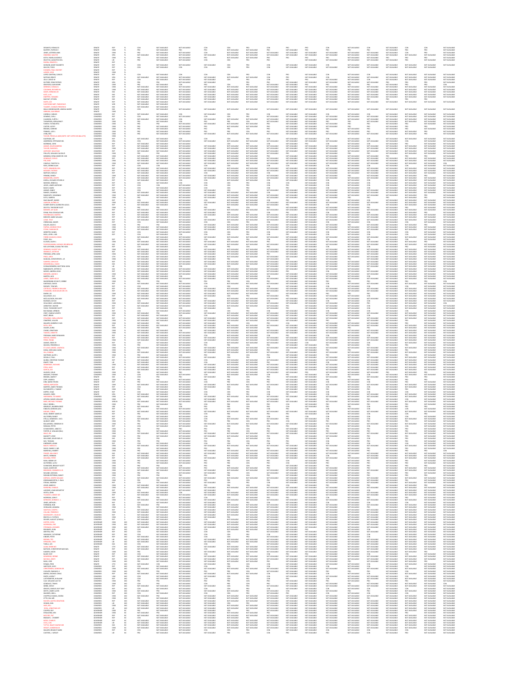| DESANTIS, RONALD D<br>MURPHY, PATRICK E<br>IONES, LATERESA ANN                                                                                                                                                                                                                 |                                                                                                        |                                                      |                      | cos<br>CON<br>PRO<br>NOT AVAILABLE<br>PRO<br>PRO                                                                                                                                                                                               | NOT AVAILABLE<br>NOT AVAILABLE<br>NOT AVAILABLE<br>NOT AVAILABLE<br>NOT AVAILABLE<br>NOT AVAILABLE                                                                                                       | NOT AVAILABLE<br>PRO<br>NOT AVAILABLE<br>NOT AVAILABLE<br>NOT AVAILABLE<br>NOT AVAILABLE                                                                               | CON<br>ROOM<br>NOT AVAILABLE<br>PRO<br>CON                                                                                                          | NOT AVAILABLE<br>NOT AVAILABLE<br>NOT AVAILABLE<br>NOT AVAILABLE<br>CON                                                              | MOT AWALABLE<br>NOT AWALABLE<br>NOT AWALABLE<br>NOT AWALABLE<br>PRO                                                                                                                     | PRO<br>NOT AVAILABLE                                                                                                                                                                    | NOT AWALABLE<br>NOT AWALABLE<br>NOT AWALABLE<br>PRO                                                                                                                                                         | FRO<br>NOT AVAILABLE<br>NOT AVAILABLE<br>FRO<br>NOT AVAILABLE                                                                                                                                            | con<br>PRO<br>NOT AVAILABLE<br>NOT AVAILABLE<br>PRO<br>NOT AVAILABLE                                                                 | NOT AVAILABLE<br>PRO<br>NOT AVAILABLE<br>NOT AVAILABLE<br>NOT AVAILABLE<br>NOT AVAILABLE                                                                                                 | cow<br>PRO<br>NOT AVAILABLE                                                                                                               | NOT AVAILABLE<br>NOT AVAILABLE<br>NOT AVAILABLE<br>NOT AVAILABLE<br>PRO<br>NOT AVAILABLE                                                                                                                     | CON<br>EM<br>FRO<br>NOT AVAILABLE<br>FRO<br>FRO                                                                                              | <b>DAD</b><br>PRO<br>NOT AVAILABLE<br>NOT AVAILABLE<br>NOT AVAILABLE                                                                                                                                                                          | NOT AVAILABLE<br>NOT AVAILABLE<br>NOT AVAILABLE<br>NOT AVAILABLE<br>NOT AVAILABLE<br>NOT AVAILABLE           |
|--------------------------------------------------------------------------------------------------------------------------------------------------------------------------------------------------------------------------------------------------------------------------------|--------------------------------------------------------------------------------------------------------|------------------------------------------------------|----------------------|------------------------------------------------------------------------------------------------------------------------------------------------------------------------------------------------------------------------------------------------|----------------------------------------------------------------------------------------------------------------------------------------------------------------------------------------------------------|------------------------------------------------------------------------------------------------------------------------------------------------------------------------|-----------------------------------------------------------------------------------------------------------------------------------------------------|--------------------------------------------------------------------------------------------------------------------------------------|-----------------------------------------------------------------------------------------------------------------------------------------------------------------------------------------|-----------------------------------------------------------------------------------------------------------------------------------------------------------------------------------------|-------------------------------------------------------------------------------------------------------------------------------------------------------------------------------------------------------------|----------------------------------------------------------------------------------------------------------------------------------------------------------------------------------------------------------|--------------------------------------------------------------------------------------------------------------------------------------|------------------------------------------------------------------------------------------------------------------------------------------------------------------------------------------|-------------------------------------------------------------------------------------------------------------------------------------------|--------------------------------------------------------------------------------------------------------------------------------------------------------------------------------------------------------------|----------------------------------------------------------------------------------------------------------------------------------------------|-----------------------------------------------------------------------------------------------------------------------------------------------------------------------------------------------------------------------------------------------|--------------------------------------------------------------------------------------------------------------|
| OSROBNE, WALTER<br>KEITH, PAMELA MICHELE<br>INVICTUS, AUGUSTUS SO<br>INVICA - FANYTO L                                                                                                                                                                                         | SENATE<br>SENATE<br>SENATE<br>SENATE<br>SENATE                                                         | DEM<br>DEM<br>NPA<br>DEM<br>DEM<br>HEP<br>REP        |                      | $\frac{\text{CON}}{\text{CON}}$                                                                                                                                                                                                                | NOT AVAILABLE                                                                                                                                                                                            | NOT AVAILABLE                                                                                                                                                          | NOT AVAILABLE                                                                                                                                       | CON<br>CON                                                                                                                           | PRO<br>PRO                                                                                                                                                                              | NOT AVAILABLE<br>PRO<br>PRO<br>$\frac{\text{CON}}{\text{CON}}$                                                                                                                          | NOT AVAILABLE                                                                                                                                                                                               | NOT AVAILABLE                                                                                                                                                                                            | CON<br>NOT AVAILABLE                                                                                                                 | NOT AVAILABLE                                                                                                                                                                            | NOT AVAILABLE<br>NOT AVAILABLE<br>NOT AVAILABLE<br>NOT AVAILABLE                                                                          | NOT AVAILABLE                                                                                                                                                                                                | NOT AVAILABLE                                                                                                                                | NOT AVAILABLE                                                                                                                                                                                                                                 | NOT AVAILABLE                                                                                                |
| -<br>Boura, Ebiesto ;<br>Godwin, Mary Elisabeth<br>Wilcox, Todo<br>Showen, Pale Viverait                                                                                                                                                                                       | SENATE<br>SENATE<br>SENATE                                                                             |                                                      |                      | CON<br>NOT AVAILABLE                                                                                                                                                                                                                           | NOT AVAILABLE                                                                                                                                                                                            | cos                                                                                                                                                                    | cow                                                                                                                                                 |                                                                                                                                      |                                                                                                                                                                                         |                                                                                                                                                                                         | NOT AVAILABLE                                                                                                                                                                                               | NOT AVAILABLE<br>NOT AVAILABLE<br>NOT AVAILABLE                                                                                                                                                          |                                                                                                                                      | NOT AVAILABLE                                                                                                                                                                            | NOT AVAILABLE                                                                                                                             | NOT AVAILABLE                                                                                                                                                                                                | NOT AVAILABLE                                                                                                                                | NOT AVAILABLE                                                                                                                                                                                                                                 |                                                                                                              |
| LARCISE, LOSH<br>LOPEZ-CANTERA, CARLOS<br>NATHAN, BRUCE<br>CELTHRIE, SEAN PATRICK<br>CELTHRIE, SEAN PATRICK<br>CRISTICO, DONALD J.<br>COLEMAN, RICHARD M.<br>COLEMAN, RICHARD M.                                                                                               | SENATE<br>SENATE<br>SENATE<br>SENATE<br>SENATE                                                         |                                                      |                      | CON<br>PRO<br>NOT AVAILABLE<br>NOT AVAILABLE<br>NOT AVAILABLE                                                                                                                                                                                  | NOT AVAILABLE<br>NOT AVAILABLE<br>NOT AVAILABLE<br>PRO<br>NOT AVAILABLE<br>NOT AVAILABLE                                                                                                                 | CON<br>NOT AVAILABLE<br>NOT AVAILABLE<br>NOT AVAILABLE<br>NOT AVAILABLE<br>NOT AVAILABLE                                                                               | CON<br>NOT AVAILABLE<br>NOT AVAILABLE<br>NOT AVAILABLE<br>NOT AVAILABLE<br>NOT AVAILABLE                                                            | CON<br>NOT AVAILABLE<br>CON                                                                                                          | PRO<br>NOT AVALABLE<br>PRO<br>PRO<br>NOT AVALABLE<br>NOT AVALABLE<br>NOT AVALABLE<br>NOT AVALABLE<br>NOT AVALABLE<br>NOT AVALABLE                                                       | CON<br>CON<br>PRO<br>MOT AVAILABLE<br>MOT AVAILABLE<br>MOT AVAILABLE                                                                                                                    | PRO<br>PRO<br>NOT AWALARLE<br>NOT AWALARLE<br>NOT AWALARLE<br>NOT AWALARLE<br>NOT AWALARLE                                                                                                                  | PRO<br>NOT AVAILABLE<br>PRO<br>NOT AVAILABLE<br>NOT AVAILABLE                                                                                                                                            | CON<br>NOT AVAILABLE<br>NOT AVAILABLE<br>PRO<br>NOT AVAILABLE<br>NOT AVAILABLE                                                       | NOT AVAILABLE<br>NOT AVAILABLE<br>NOT AVAILABLE<br>NOT AVAILABLE<br>PRO<br>NOT AVAILABLE<br>NOT AVAILABLE                                                                                | CON<br>NOT AVAILABLE<br>CON<br>NOT AVAILABLE<br>NOT AVAILABLE<br>NOT AVAILABLE                                                            | NOT AVAILABLE<br>NOT AVAILABLE<br>NOT AVAILABLE<br>PRO<br>NOT AVAILABLE<br>NOT AVAILABLE<br>NOT AVAILABLE                                                                                                    | NOT AVALABLE<br>NOT AVALABLE<br>PRO<br>PRO<br>NOT AVALABLE<br>NOT AVALABLE<br>NOT AVALABLE<br>NOT AVALABLE<br>NOT AVALABLE<br>NOT AVALABLE   | NOT AVAILABLE<br>NOT AVAILABLE<br>NOT AVAILABLE<br>PRO<br>NOT AVAILABLE<br>NOT AVAILABLE<br>NOT AVAILABLE<br>NOT AVAILABLE<br>NOT AVAILABLE<br>NOT AVAILABLE                                                                                  | NOT AVAILABLE<br>NOT AVAILABLE<br>NOT AVAILABLE<br>NOT AVAILABLE<br>CON<br>NOT AVAILABLE<br>NOT AVAILABLE    |
|                                                                                                                                                                                                                                                                                | SENATE<br>SENATE                                                                                       |                                                      |                      | NOT AVAILABLE<br>NOT AVAILABLE                                                                                                                                                                                                                 | NOT AVAILABLE<br>NOT AVAILABLE                                                                                                                                                                           | NOT AVAILABLE<br>SJAAMAA TOW                                                                                                                                           | NOT AVAILABLE<br>NOT AVAILABLE                                                                                                                      | CON<br>NOT AVAILABLE<br>NOT AVAILABLE<br>NOT AVAILABLE<br>NOT AVAILABLE                                                              |                                                                                                                                                                                         | NOT AVAILABLE<br>NOT AVAILABLE                                                                                                                                                          | MOT AVAILABLE<br>NOT AVAILABLE                                                                                                                                                                              | NOT AVAILABLE<br>NOT AVAILABLE                                                                                                                                                                           | NOT AVAILABLE<br>NOT AVAILABLE                                                                                                       | MOT AVAILABLE<br>NOT AVAILABLE                                                                                                                                                           | NOT AVAILABLE<br>NOT AVAILABLE                                                                                                            | NOT AVAILABLE<br>SJAAMA TON                                                                                                                                                                                  |                                                                                                                                              |                                                                                                                                                                                                                                               | NOT AVAILABLE<br>NOT AVAILABLE                                                                               |
|                                                                                                                                                                                                                                                                                | SENATE<br>SENATE<br>SENATE                                                                             |                                                      |                      | NOT AVAILABLE<br>NOT AVAILABLE<br>NOT AVAILABLE<br>NOT AVAILABLE<br>NOT AVAILABLE<br>NOT AVAILABLE                                                                                                                                             | NOT AVAILABLE<br>NOT AVAILABLE<br>NOT AVAILABLE<br>NOT AVAILABLE<br>NOT AVAILABLE                                                                                                                        | NOT AVAILABLE<br>NOT AVAILABLE<br>NOT AVAILABLE                                                                                                                        | NOT AVAILABLE<br>NOT AVAILABLE<br>NOT AVAILABLE                                                                                                     | NOT AVAILABLE<br>NOT AVAILABLE<br>NOT AVAILABLE                                                                                      | NOT AVAILABLE<br>NOT AVAILABLE<br>NOT AVAILABLE                                                                                                                                         | NOT AVAILABLE<br>NOT AVAILABLE<br>NOT AVAILABLE                                                                                                                                         | NOT AVAILABLE<br>NOT AVAILABLE<br>NOT AVAILABLE                                                                                                                                                             | NOT AVAILABLE<br>NOT AVAILABLE<br>NOT AVAILABLE                                                                                                                                                          | NOT AVAILABLE<br>NOT AVAILABLE<br>NOT AVAILABLE                                                                                      | NOT AVAILABLE<br>NOT AVAILABLE<br>NOT AVAILABLE                                                                                                                                          | NOT AVAILABLE<br>PRO<br>NOT AVAILABLE                                                                                                     | NOT AVAILABLE<br>PRO<br>NOT AVAILABLE                                                                                                                                                                        | NOT AVAILABLE<br>PRO<br>NOT AVAILABLE                                                                                                        | NOT AVAILABLE<br>PRO<br>NOT AVAILABLE                                                                                                                                                                                                         | NOT AVAILABLE<br>NOT AVAILABLE                                                                               |
| ART), LON<br>CONTRACTOR (1990)<br>DISTRIBUTION (1990)<br>DISTRIBUTION (1990)<br>DISTRIBUTION (1990)<br>DISTRIBUTION (1990)<br>DISTRIBUTION (1990)<br>DISTRIBUTION (1990)<br>CONTRACTOR (2000)<br>CONTRACTOR (2000)<br>CONTRACTOR (2000)<br>CONTRACTOR (2000)<br>CO             |                                                                                                        |                                                      |                      | NOT AVAILABLE                                                                                                                                                                                                                                  | NOT AVAILABLE                                                                                                                                                                                            | NOT AVAILABLE<br>cos                                                                                                                                                   | NOT AVAILABLE<br>NOT AVAILABLE                                                                                                                      | NOT AVAILABLE<br>cow                                                                                                                 | NOT AVAILABLE                                                                                                                                                                           | NOT AVAILABLE<br>cow                                                                                                                                                                    | NOT AVAILABLE<br>NOT AVAILABLE                                                                                                                                                                              | NOT AVAILABLE<br>NOT AVAILABLE                                                                                                                                                                           | NOT AVAILABLE<br>cow                                                                                                                 | NOT AVAILABLE<br>NOT AVAILABLE                                                                                                                                                           | NOT AVAILABLE<br>CON                                                                                                                      | NOT AVAILABLE<br>NOT AVAILABLE                                                                                                                                                                               | NOT AVAILABLE<br>NOT AVAILABLE                                                                                                               | NOT AVAILABLE<br>NOT AVAILABLE                                                                                                                                                                                                                | NOT AVAILABLE<br>NOT AVAILABLE                                                                               |
|                                                                                                                                                                                                                                                                                | CONGRESS<br>CONGRESS<br>CONGRESS                                                                       |                                                      |                      | CON<br>NOT AVAILABLE                                                                                                                                                                                                                           | NOT AVAILABLE<br>NOT AVAILABLE<br>NOT AVAILABLE                                                                                                                                                          | NOT AVAILABLE<br>CON<br>CON                                                                                                                                            | CON<br>NOT AVAILABLE                                                                                                                                | CON<br>NOT AVAILABLE<br>PRO                                                                                                          | PRO<br>PRO<br>NOT AVAILABLE<br>CON<br>NOT AVAILABLE<br>NOT AVAILABLE                                                                                                                    | NOT AVAILABLE<br>NOT AVAILABLE<br>NOT AVAILABLE                                                                                                                                         | MOT AVAILABLE<br>NOT AVAILABLE<br>NOT AVAILABLE                                                                                                                                                             | NOT AVAILABLE<br>NOT AVAILABLE<br>NOT AVAILABLE                                                                                                                                                          | MOT AVAILABLE<br>GALAMA TOM<br>PRO<br>NOT AVAILABLE<br>NOT AVAILABLE                                                                 | NOT AVAILABLE<br>NOT AVAILABLE                                                                                                                                                           | NOT AVAILABLE<br>NOT AVAILABLE<br>NOT AVAILABLE                                                                                           | NOT AVAILABLE<br>SJAAMA TON<br>NOT AVAILABLE                                                                                                                                                                 | NOT AVAILABLE<br>NOT AVAILABLE<br>NOT AVAILABLE                                                                                              | NOT AVAILABLE<br>NOT AVAILABLE<br>NOT AVAILABLE                                                                                                                                                                                               | NOT AVAILABLE<br>NOT AVAILABLE<br>NOT AVAILABLE                                                              |
|                                                                                                                                                                                                                                                                                | CONGRESS<br>CONGRESS<br>CONGRESS<br>CONGRESS<br>CONGRESS<br>CONGRESS                                   |                                                      |                      | PRO<br>PRO<br>PRO<br>PRO<br>PRO                                                                                                                                                                                                                | PRO<br>NOT AVAILABLE<br>NOT AVAILABLE<br>NOT AVAILABLE<br>NOT AVAILABLE                                                                                                                                  | NOT AVAILABLE<br>NOT AVAILABLE<br>NOT AVAILABLE<br>NOT AVAILABLE<br>NOT AVAILABLE                                                                                      | PRO<br>NOT AVAILABLE<br>PRO<br>PRO<br>NOT AVAILABLE                                                                                                 | PRO<br>NOT AVAILABLE<br>NOT AVAILABLE<br>PRO<br>PRO<br>NOT AVAILABLE                                                                 | CON<br>CON<br>NOT AVAILABLE                                                                                                                                                             | mo<br>mo<br>mo<br>mo<br>NOT AVAILABLE                                                                                                                                                   | NOT AVAILABLE<br>NOT AVAILABLE<br>NOT AVAILABLE<br>NOT AVAILABLE<br>NOT AVAILABLE                                                                                                                           | NOT AVAILABLE<br>NOT AVAILABLE<br>NOT AVAILABLE<br>NOT AVAILABLE<br>NOT AVAILABLE                                                                                                                        | PRO<br>PRO<br>NOT AVAILABLE                                                                                                          | NOT AVAILABLE<br>PRO<br>PROT AVAILABLE<br>NOT AVAILABLE<br>NOT AVAILABLE                                                                                                                 | NOT NEMESCALE<br>PRO<br>PRO<br>PRO<br>NOT NUMEARLE                                                                                        | NOT AVAILABLE<br>NOT AVAILABLE<br>NOT AVAILABLE<br>NOT AVAILABLE<br>NOT AVAILABLE                                                                                                                            | PRO<br>PRO<br>PRO<br>NOT AVAILABLE<br>NOT AVAILABLE                                                                                          | NOT AVAILABLE<br>PRO<br>NOT AVAILABLE<br>PRO<br>PRO                                                                                                                                                                                           | NOT AVAILABLE<br>NOT AVAILABLE<br>NOT AVAILABLE<br>NOT AVAILABLE<br>NOT AVAILABLE                            |
| MORNING, JOHN                                                                                                                                                                                                                                                                  | CONGRESS<br>CONGRESS                                                                                   |                                                      |                      | NOT AVAILABLE<br>CON<br>NOT AVAILABLE                                                                                                                                                                                                          | NOT AVAILABLE<br>NOT AVAILABLE<br>NOT AVAILABLE                                                                                                                                                          | CON<br>NOT AVAILABLE                                                                                                                                                   | CON<br>NOT AVAILABLE                                                                                                                                | CON<br>NOT AVAILABLE                                                                                                                 | PRO<br>NOT AWAILARLE<br>PRO<br>NOT AWAILARLE                                                                                                                                            | CON<br>NOT AVAILABLE                                                                                                                                                                    | NOT AVAILABLE<br>126A JAWA TOM<br>126A JAWA TOM                                                                                                                                                             | NOT AVAILABLE<br>NOT AVAILABLE                                                                                                                                                                           | $\begin{array}{l} \text{CON} \\ \text{NOT} \text{ANMLAGE} \end{array}$                                                               | NOT AVAILABLE<br>NOT AVAILABLE<br>NOT AVAILABLE                                                                                                                                          | CON<br>NOT AVAILABLE                                                                                                                      | NOT AVAILABLE<br>NOT AVAILABLE<br>NOT AVAILABLE<br>NOT AVAILABLE                                                                                                                                             | NOT AVAILABLE<br>CON<br>PRO<br>NOT AVAILABLE                                                                                                 | NOT AVAILABLE<br>NOT AVAILABLE<br>EBAJAKA TON<br>NOT AVAILABLE                                                                                                                                                                                | NOT AVAILABLE<br>NOT AVAILABLE<br>NOT AVAILABLE                                                              |
| ADAMS, DAVID ANDREW<br><b>TAYLOR, DWAYNE L</b>                                                                                                                                                                                                                                 | CONGRESS<br>CONGRESS<br>CONGRESS                                                                       | $_{\rm{K2}}^{\rm{DM}}$                               |                      | NOT AVAILABLE<br>NOT AVAILABLE<br>NOT AVAILABLE                                                                                                                                                                                                | NOT AVAILABLE<br>NOT AVAILABLE<br>NOT AVAILABLE                                                                                                                                                          | NOT AVAILABLE<br>SIBAJAVA TON                                                                                                                                          | NOT AVAILABLE                                                                                                                                       | CON<br>NOT AVAILABLE                                                                                                                 |                                                                                                                                                                                         | CON<br>NOT AVAILABLE<br>NOT AVAILABLE<br>NOT AVAILABLE<br>NOT AVAILABLE<br>NOT AVAILABLE                                                                                                | NOT AVAILABLE<br>NOT AVAILABLE<br>NOT AVAILABLE                                                                                                                                                             | PRO<br>NOT AVAILABLE<br>NOT AVAILABLE<br>NOT AVAILABLE                                                                                                                                                   | CON<br>NOT AVAILABLE                                                                                                                 | NOT AVAILABLE<br>NOT AVAILABLE<br>NOT AVAILABLE                                                                                                                                          | CON<br>NOT AVAILABLE<br>NOT AVAILABLE<br>NOT AVAILABLE                                                                                    |                                                                                                                                                                                                              | NOT AVAILABLE<br>NOT AVAILABLE                                                                                                               | NOT AVAILABLE<br>NOT AVAILABLE<br>NOT AVAILABLE<br>NOT                                                                                                                                                                                        | NOT AVAILABLE<br>NOT AVAILABLE<br>NOT AVAILABLE                                                              |
| IARIDE (VARME LA MECCHI)<br>PHILIPS, WILLIAM CALVIN JR<br>PHILIPS, WILLIAM CALVIN JR<br>MATHANIC, DVA MARE DR. MD<br>CONCALT, DVELIO<br>CAROL TIMOTHY A<br>CAROL DRAME ALAN<br>MATH, JRAME ALAN<br>MATH, JRAME ALAN<br>MATH, JRAME ALAN<br>MATH, JRAME ALAN                    | CONGRESS<br>CONGRESS<br>CONGRESS<br>CONGRESS                                                           | 88888888888888888                                    |                      | PRO<br>NOT AVAILABLE<br>NOT AVAILABLE<br>NOT AVAILABLE<br>NOT AVAILABLE                                                                                                                                                                        | PRO<br>NOT AVAILABLE<br>NOT AVAILABLE<br>NOT AVAILABLE<br>NOT AVAILABLE<br>CON                                                                                                                           | NOT ANNUARE<br>NOT ANNUARE<br>NOT ANNUARE<br>NOT ANNUARE<br>NOT ANNUARE<br>NOT ANNUARE<br>NOT ANNUARE<br>NOT ANNUARE<br>NOT ANNUARE<br>NOT ANNUARE                     | NOT ANNEARES<br>NOT ANNEARES<br>NOT ANNEARES<br>NOT ANNEARES<br>NOT ANNEARES<br>NOT ANNEARES<br>NOT ANNEARES<br>NOT ANNEARES                        | NOT AVAILABLE<br>NOT AVAILABLE<br>NOT AVAILABLE<br>NOT AVAILABLE<br>NOT AVAILABLE<br>NOT AVAILABLE<br>NOT AVAILABLE<br>NOT AVAILABLE | NOT AVAILABLE<br>NOT AVAILABLE<br>NOT AVAILABLE<br>NOT AVAILABLE<br>NOT AVAILABLE<br>NOT AVAILABLE<br>NOT AVAILABLE                                                                     | PRO<br>NOT AVAILABLE<br>NOT AVAILABLE<br>NOT AVAILABLE<br>NOT AVAILABLE                                                                                                                 | PRO<br>NOT AVAILABLE<br>NOT AVAILABLE<br>NOT AVAILABLE<br>NOT AVAILABLE                                                                                                                                     | NOT AVAILABLE<br>NOT AVAILABLE<br>NOT AVAILABLE<br>NOT AVAILABLE<br>NOT AVAILABLE<br>NOT AVAILABLE<br>NOT AVAILABLE                                                                                      | NOT AVAILABLE<br>NOT AVAILABLE<br>NOT AVAILABLE<br>NOT AVAILABLE<br>NOT AVAILABLE<br>NOT AVAILABLE<br>NOT AVAILABLE<br>NOT AVAILABLE | PRO<br>NOT AVAILABLE<br>NOT AVAILABLE<br>NOT AVAILABLE<br>NOT AVAILABLE<br>NOT AVAILABLE                                                                                                 | PRO<br>NOT AVAILABLE<br>NOT AVAILABLE<br>NOT AVAILABLE<br>NOT AVAILABLE                                                                   | NOT ANNUARIS<br>NOT ANNUARIS<br>NOT ANNUARIS<br>NOT ANNUARIS<br>NOT ANNUARIS<br>NOT ANNUARIS<br>NOT ANNUARIS<br>NOT ANNUARIS<br>NOT ANNUARIS<br>NOT ANNUARIS                                                 | NOT AVAILABLE<br>PRO<br>NOT AVAILABLE<br>NOT AVAILABLE<br>NOT AVAILABLE<br>CON                                                               |                                                                                                                                                                                                                                               | NOT AVAILABLE<br>NOT AVAILABLE<br>NOT AVAILABLE<br>NOT AVAILABLE<br>CON                                      |
| MOONEY, PATRICK                                                                                                                                                                                                                                                                | CONGRESS<br>CONGRESS<br>CONGRESS                                                                       |                                                      |                      | CON<br>NOT AVAILABLE<br>NOT AVAILABLE                                                                                                                                                                                                          | CON<br>NOT AVAILABLE<br>NOT AVAILABLE                                                                                                                                                                    | NOT AVAILABLE                                                                                                                                                          | CON<br>NOT AVAILABLE<br>NOT AVAILABLE                                                                                                               | CON<br>NOT AVAILABLE<br>NOT AVAILABLE                                                                                                | NOT AVAILABLE<br>NOT AVAILABLE                                                                                                                                                          | NOT AVAILABLE                                                                                                                                                                           | CON<br>NOT AVAILABLE<br>NOT AVAILABLE                                                                                                                                                                       | NOT AVAILABLE                                                                                                                                                                                            | CON<br>NOT AVAILABLE<br>NOT AVAILABLE                                                                                                | NOT AVAILABLE                                                                                                                                                                            | CON<br>NOT AVAILABLE<br>NOT AVAILABLE                                                                                                     |                                                                                                                                                                                                              | CON<br>NOT AVAILABLE<br>NOT AVAILABLE                                                                                                        | PRO<br>NOT AVAILABLE<br>NOT AVAILABLE<br>NOT AVAILABLE<br>NOT AVAILABLE<br>NOT AVAILABLE<br>NOT AVAILABLE<br>NOT AVAILABLE<br>PRO                                                                                                             | OT AVAILABLE<br>NOT AVAILABLE<br>NOT AVAILABLE                                                               |
| NIKPOUR, NOELLE<br>PERIONS, RANDY                                                                                                                                                                                                                                              | CONGRESS<br>CONGRESS<br>CONGRESS<br>CONGRESS<br>CONGRESS                                               |                                                      |                      | NOT AVAILABLE<br>NOT AVAILABLE<br>NOT AVAILABLE<br>NOT AVAILABLE<br>CON<br>CON                                                                                                                                                                 | NOT AVAILABLE<br>NOT AVAILABLE<br>NOT AVAILABLE<br>NOT AVAILABLE<br>NOT AVAILABLE<br>CON                                                                                                                 | NOT AVAILABLE<br>NOT AVAILABLE<br>NOT AVAILABLE<br>CON<br>NOT AVAILABLE<br>NOT AVAILABLE                                                                               | CON<br>NOT AVAILABLE                                                                                                                                | NOT AVAILABLE<br>NOT AVAILABLE<br>NOT AVAILABLE<br>NOT AVAILABLE<br>CON<br>CON<br>CON                                                | NOT AVAILABLE<br>NOT AVAILABLE<br>NOT AVAILABLE<br>NOT AVAILABLE<br>PRO<br>PRO                                                                                                          | CON<br>NOT AVAILABLE<br>NOT AVAILABLE<br>CON<br>CON<br>CON                                                                                                                              | NOT AVAILABLE<br>NOT AVAILABLE<br>NOT AVAILABLE<br>NOT AVAILABLE<br>CON<br>PRO                                                                                                                              | NOT AVAILABLE<br>NOT AVAILABLE<br>NOT AVAILABLE<br>NOT AVAILABLE<br>NOT AVAILABLE<br>NOT AVAILABLE                                                                                                       | NOT AVAILABLE<br>NOT AVAILABLE<br>NOT AVAILABLE<br>CON<br>CON<br>CON                                                                 | NOT AVAILABLE<br>PRO<br>NOT AVAILABLE<br>NOT AVAILABLE<br>NOT AVAILABLE<br>NOT AVAILABLE<br>NOT AVAILABLE                                                                                | NOT NURLAIRES<br>NOT NURLABLE<br>CON<br>CON<br>CON<br>CON<br>NOT NURLABLE<br>NOT NURLABLE<br>NOT NURLABLE<br>NOT NURLABLE<br>NOT NURLABLE | NOT AVAILABLE<br>NOT AVAILABLE<br>NOT AVAILABLE<br>NOT AVAILABLE<br>NOT AVAILABLE<br>NOT AVAILABLE                                                                                                           | NOT AVAILABLE<br>NOT AVAILABLE<br>NOT AVAILABLE<br>NOT AVAILABLE<br>NOT AVAILABLE<br>NOT AVAILABLE                                           |                                                                                                                                                                                                                                               | NOT AWALABLE<br>NOT AWALABLE<br>NOT AWALABLE<br>NOT AWALABLE<br>NOT AWALABLE<br>NOT AWALABLE<br>NOT AWALABLE |
| PARKR, KRAVIT<br>BENSMARK, KOSEPH<br>KEGEON, REBECCA<br>KEGEON, REBECCA<br>BESCH, KRAS<br>BENSCH, KRAV<br>KANGE, ROAD<br>KANGE, ROAD<br>SANGE, ROAD<br>SANGE, ROAD<br>SANGE, ROAD<br>SANGE, ROAD<br>SANGE, ROAD<br>SANGE, ROAD<br>SANGE, MARKR<br>SANGE, MARKR<br>SANGE, MARKR | CONGRESS<br>CONGRESS                                                                                   |                                                      |                      | CON<br>NOT AVAILABLE                                                                                                                                                                                                                           | CON<br>NOT AVAILABLE<br>NOT AVAILABLE<br>NOT AVAILABLE                                                                                                                                                   | NOT AVAILABLE<br>SJAAMA TON                                                                                                                                            | NOT AVAILABLE<br>CON<br>CON<br>CON<br>NOT AVAILABLE<br>NOT AVAILABLE                                                                                | CON<br>NOT AVAILABLE                                                                                                                 | PRO<br>NOT AVAILABLE                                                                                                                                                                    | NOT AVAILABLE<br>CON                                                                                                                                                                    | NOT AVAILABLE<br>NOT AVAILABLE                                                                                                                                                                              | NOT AVAILABLE<br>NOT AVAILABLE                                                                                                                                                                           | NOT AVAILABLE<br>NOT AVAILABLE                                                                                                       | MOT AVAILABLE<br>NOT AVAILABLE                                                                                                                                                           |                                                                                                                                           | NOT AVAILABLE<br>SJAAMA TON                                                                                                                                                                                  | NOT AVAILABLE<br>NOT AVAILABLE                                                                                                               | NUI AVAILABLE<br>FRO<br>VOT AVAILABLE<br>VOT AVAILABLE<br>VOT AVAILABLE<br>VOT AVAILABLE<br>VOT AVAILABLE<br>VOT AVAILABLE<br>VOT AVAILABLE<br>VOT AVAILABLE                                                                                  | OT AVAILABL                                                                                                  |
|                                                                                                                                                                                                                                                                                | CONGRESS<br>CONGRESS<br>CONGRESS                                                                       |                                                      |                      | NOT AVAILABLE<br>PRO<br>CON                                                                                                                                                                                                                    | NOT AVAILABLE                                                                                                                                                                                            | NOT AVAILABLE                                                                                                                                                          | NOT AVAILABLE<br>NOT AVAILABLE                                                                                                                      | NOT AVAILABLE                                                                                                                        |                                                                                                                                                                                         | NOT AVAILABLE<br>NOT AVAILABLE                                                                                                                                                          | NOT AVAILABLE<br>NOT AVAILABLE                                                                                                                                                                              | NOT AVAILABLE                                                                                                                                                                                            | NOT AVAILABLE<br>NOT AVAILABLE                                                                                                       | 126AJAWA TOM                                                                                                                                                                             | NOT AVAILABLE<br>PRO<br>CON                                                                                                               | NOT AVAILABLE                                                                                                                                                                                                | NOT AVAILABLE                                                                                                                                | PRO                                                                                                                                                                                                                                           | NOT AVAILABLE<br>NOT AVAILABLE                                                                               |
| LAWSON, ALFRED JR<br>SCURRY-SMITH, GLOREATHA (GLO)<br>DEUTCH, THEODORE ELIOT<br>BONNER, JAY ALAN<br>SPAIN, PAUL DOUGLAS M.R.                                                                                                                                                   | CONGRESS<br>CONGRESS<br>CONGRESS<br>CONGRESS                                                           |                                                      |                      | NOT AVAILABLE<br>NOT AVAILABLE<br>PRO<br>NOT AVAILABLE<br>NOT AVAILABLE                                                                                                                                                                        | NOT AVAILABLE<br>NOT AVAILABLE<br>NOT AVAILABLE<br>NOT AVAILABLE<br>NOT AVAILABLE<br>NOT AVAILABLE                                                                                                       | NOT ANNUARE<br>NOT ANALAREE<br>NOT ANALAREE<br>NOT ANALAREE<br>NOT ANALAREE<br>NOT ANALAREE                                                                            | THI ANNUARES<br>TON<br>TON<br>TOO<br>NOT AVAILABLE<br>NOT AVAILABLE                                                                                 | NOT AVAILABLE<br>NOT AVAILABLE<br>NOT AVAILABLE<br>NOT AVAILABLE<br>NOT AVAILABLE<br>NOT AVAILABLE<br>CON                            | NOT AVAILABLE<br>NOT AVAILABLE<br>NOT AVAILABLE<br>NOT AVAILABLE<br>NOT AVAILABLE<br>CON<br>NOT AVAILABLE<br>PRO                                                                        | THE AVAILABLE<br>THAT AVAILABLE<br>THAT AVAILABLE<br>PRO<br>TAT AVAILABLE<br>CON                                                                                                        | NOT AVAILABLE<br>NOT AVAILABLE<br>PRO<br>NOT AVAILABLE<br>NOT AVAILABLE<br>NOT AVAILABLE<br>PRO                                                                                                             | NOT AVAILABLE<br>NOT AVAILABLE<br>NOT AVAILABLE<br>NOT AVAILABLE<br>NOT AVAILABLE<br>NOT AVAILABLE                                                                                                       | CON<br>NOT AVAILABLE<br>CON<br>NOT AVAILABLE<br>NOT AVAILABLE<br>CON                                                                 | PRO<br>NOT AVAILABLE<br>NOT AVAILABLE<br>NOT AVAILABLE<br>NOT AVAILABLE<br>NOT AVAILABLE                                                                                                 | NOT AVAILABLE<br>CON<br>PRO<br>NOT AVAILABLE<br>CON                                                                                       | PRO<br>NOT AVAILABLE<br>NOT AVAILABLE<br>NOT AVAILABLE<br>NOT AVAILABLE<br>NOT AVAILABLE                                                                                                                     | NOT NUMBARI<br>NOT NUMBARIE<br>NOT NUMBARIE<br>NOT NUMBARIE<br>PRO<br>NOT NUMBARIE<br>NOT NUMBARIE                                           | PRO<br>NOT AVAILABLE<br>NOT AVAILABLE<br>NOT AVAILABLE<br>NOT AVAILABLE<br>NOT AVAILABLE<br>PRO                                                                                                                                               | NOT AWALABLE<br>NOT AWALABLE<br>NOT AWALABLE<br>NOT AWALABLE<br>NOT AWALABLE<br>NOT AWALABLE<br>NOT AWALABLE |
| .<br>Feigenbaum, Martin<br>Bircher, Mark William                                                                                                                                                                                                                               | CONGRESS<br>CONGRESS<br>CONGRESS                                                                       |                                                      |                      | NOT AVAILABLE<br>NOT AVAILABLE<br><b>NOT AVAILABLE</b>                                                                                                                                                                                         | NOT AVAILABLE<br>NOT AVAILABLE                                                                                                                                                                           | NOT AVAILABLE<br>SJAAMA TON<br>NOT AVAILABLE                                                                                                                           | NOT AVAILABLE<br>CON<br>NOT AVAILABLE                                                                                                               | NOT AVAILABLE<br>NOT AVAILABLE<br>NOT AVAILABLE                                                                                      | NOT AVAILABLE<br>NOT AVAILABLE                                                                                                                                                          | NOT AVAILABLE<br>NOT AVAILABLE<br>NOT AVAILABLE                                                                                                                                         | NOT AVAILABLE<br>NOT AVAILABLE                                                                                                                                                                              | NOT AVAILABLE<br>NOT AVAILABLE<br>NOT AVAILABLE                                                                                                                                                          | NOT AVAILABLE<br>NOT AVAILABLE<br>NOT AVAILABLE                                                                                      | MOT AVAILABLE<br>NOT AVAILABLE                                                                                                                                                           | NOT AVAILABLE<br>NOT AVAILABLE<br>NOT AVAILABLE                                                                                           | NOT AVAILABLE<br>NOT AVAILABLE                                                                                                                                                                               | NOT AVAILABLE<br>NOT AVAILABLE<br>NOT AVAILABLE                                                                                              | NOT AVAILABLE<br>NOT AVAILABLE                                                                                                                                                                                                                | NOT AVAILABLE<br>NOT AVAILABLE<br>NOT AVAILABLE                                                              |
| LOWE, THUY<br>CRENGHAW, ANDER<br>KOLLER, DAVID C<br>FAPPAS, GEORGE STEVE<br>FRIPPAS, GEORGE STEVE                                                                                                                                                                              | CONGRESS<br>CONGRESS<br>CONGRESS<br>CONGRESS<br>CONGRESS                                               | 55 55 55 55 55                                       |                      | CON<br>PRO<br>NOT AVAILABLE<br>NOT AVAILABLE<br>CON<br>CON<br>NOT AVAILABLE                                                                                                                                                                    | NOT AVAILABLE<br>NOT AVAILABLE                                                                                                                                                                           | NOT AVAILABLE<br>NOT AVAILABLE<br>NOT AVAILABLE<br>NOT AVAILABLE<br>NOT AVAILABLE<br>NOT AVAILABLE                                                                     | THE PRODUCES<br>THE REAL AND REAL PRODUCES<br>THE REAL PRODUCES<br>THE REAL PRODUCES<br>THE REAL PRODUCES<br>THE REAL PRODUCES<br>THE REAL PRODUCES | NOT AVAILABLE<br>CON<br>NOT AVAILABLE<br>NOT AVAILABLE<br>CON<br>CON<br>CON<br>NOT AVAILABLE                                         | PRO<br>NOT AVAILABLE<br>NOT AVAILABLE<br>NOT AVAILABLE<br>PRO<br>NOT AVAILABLE<br>DRO                                                                                                   | CON<br>NOT AVAILABLE<br>NOT AVAILABLE<br>NOT AVAILABLE<br>CON<br>NOT AVAILABLE                                                                                                          | NOT AVAILABLE<br>NOT AVAILABLE<br>NOT AVAILABLE<br>NOT AVAILABLE<br>NOT AVAILABLE<br>NOT AVAILABLE                                                                                                          | NOT NURSES<br>NOT NURSESLE<br>NOT NURSESLE<br>NOT NURSESLE<br>NOT NURSESLE<br>NOT NURSESLE                                                                                                               | CON<br>NOT AVAILABLE<br>NOT AVAILABLE<br>NOT AVAILABLE<br>CON<br>NOT AVAILABLE                                                       | NOT AWALABLE<br>NOT AWALABLE<br>NOT AWALABLE<br>NOT AWALABLE<br>NOT AWALABLE<br>NOT AWALABLE<br>NOT AWALABLE<br>NOT AWALABLE<br>NOT AWALABLE                                             | CON<br>NOT AVAILABLE<br>NOT AVAILABLE<br>NOT AVAILABLE<br>CON<br>CON<br>CON                                                               | NOT ANNUARIS<br>NOT ANNUARIS<br>NOT ANNUARIS<br>NOT ANNUARIS<br>NOT ANNUARIS<br>NOT ANNUARIS<br>NOT ANNUARIS<br>NOT ANNUARIS                                                                                 | NOT NURRABLE<br>NOT NURRABLE<br>NOT NURRABLE<br>CON<br>CON<br>NOT NURRABLE<br>CON<br>NOT NURRABLE                                            | <b>TANAMARE</b><br>NOT AVAILABLE                                                                                                                                                                                                              | NOT AWALABLE<br>NOT AWALABLE<br>NOT AWALABLE<br>NOT AWALABLE<br>NOT AWALABLE<br>NOT AWALABLE<br>NOT AWALABLE |
| STONS, LINNAN L<br>MERSTER, DANIEL<br>MERSE CHARLES, I                                                                                                                                                                                                                         | ONGRESS                                                                                                |                                                      |                      |                                                                                                                                                                                                                                                | PRO<br>NOT AVAILABLE<br>NOT AVAILABLE<br>NOT AVAILABLE<br>NOT AVAILABLE                                                                                                                                  | CON<br>NOT AVAILABLE                                                                                                                                                   |                                                                                                                                                     |                                                                                                                                      |                                                                                                                                                                                         |                                                                                                                                                                                         | PRO<br>NOT AVAILABLE                                                                                                                                                                                        |                                                                                                                                                                                                          |                                                                                                                                      |                                                                                                                                                                                          |                                                                                                                                           |                                                                                                                                                                                                              |                                                                                                                                              | PRO<br>NOT AVAILABLE<br>NOT AVAILABLE<br>NOT AVAILABLE<br>NOT AVAILABLE                                                                                                                                                                       | NOT AVAILABLE                                                                                                |
| POSEY, BILL<br>ELISON, ALLEN L<br>AGL REUBEN MR<br>ROS-LENTINEN, ILEANA THE HON.                                                                                                                                                                                               | CONGRESS<br>CONGRESS<br>CONGRESS<br>CONGRESS                                                           | REP<br>DEM                                           |                      | CON<br>NOT AVAILABLE<br>NOT AVAILABLE                                                                                                                                                                                                          | NOT AVAILABLE<br>NOT AVAILABLE<br>NOT AVAILABLE                                                                                                                                                          | NOT AVAILABLE<br>SJAAMA TON<br>NOT AVAILABLE                                                                                                                           | CON<br>NOT AVAILABLE<br>NOT AVAILABLE<br>CON<br>NOT AVAILABLE                                                                                       | CON<br>NOT AVAILABLE<br>NOT AVAILABLE<br>PRO<br>NOT AVAILABLE                                                                        | PRO<br>NOT AVAILABLE<br>NOT AVAILABLE                                                                                                                                                   | CON<br>PRO<br>NOT AVAILABLE                                                                                                                                                             | MOT AVAILABLE<br>NOT AVAILABLE<br>NOT AVAILABLE                                                                                                                                                             | NOT AVAILABLE<br>NOT AVAILABLE<br>NOT AVAILABLE                                                                                                                                                          | CON<br>NOT AVAILABLE<br>NOT AVAILABLE<br>CON<br>NOT AVAILABLE                                                                        | MOT AVAILABLE<br>NOT AVAILABLE<br>126AJAWA TOM                                                                                                                                           | CON<br>NOT AVAILABLE<br>NOT AVAILABLE<br>CON<br>NOT AVAILABLE                                                                             | NOT AVAILABLE<br>SJAAMA TON<br>NOT AVAILABLE                                                                                                                                                                 | CON<br>NOT AVAILABLE<br>NOT AVAILABLE<br>PRO<br>NOT AVAILABLE                                                                                | NOT AVAILABLE<br>NOT AVAILABLE                                                                                                                                                                                                                | NOT AVAILABLE<br>NOT AVAILABLE                                                                               |
|                                                                                                                                                                                                                                                                                | CONGRESS<br>CONGRESS<br>CONGRESS<br>CONGRESS                                                           |                                                      |                      |                                                                                                                                                                                                                                                |                                                                                                                                                                                                          | NOT AVAILABLE<br>NOT AVAILABLE<br>NOT AVAILABLE<br>NOT AVAILABLE<br>NOT AVAILABLE<br>NOT AVAILABLE<br>NOT AVAILABLE<br>NOT AVAILABLE<br>NOT AVAILABLE<br>NOT AVAILABLE | NOT AVAILABLE<br>NOT AVAILABLE<br>NOT AVAILABLE<br>NOT AVAILABLE<br>NOT AVAILABLE<br>NOT AVAILABLE                                                  | NOT AVAILABLE<br>NOT AVAILABLE<br>NOT AVAILABLE                                                                                      |                                                                                                                                                                                         |                                                                                                                                                                                         |                                                                                                                                                                                                             |                                                                                                                                                                                                          |                                                                                                                                      |                                                                                                                                                                                          |                                                                                                                                           |                                                                                                                                                                                                              |                                                                                                                                              |                                                                                                                                                                                                                                               | NOT AWALABLE<br>NOT AWALABLE<br>NOT AWALABLE<br>NOT AWALABLE<br>NOT AWALABLE<br>NOT AWALABLE<br>NOT AWALABLE |
| MONTANT, JUSTIN M<br>GRABILLE, JUSTIN M<br>FREEMAN, APRI, JUNE<br>DUNCAN, CHRISTOPHER L. JR<br>KAWYER, JOHN MONTANT<br>MONACCENNERS, MATTHEW JOHN<br>DOHMOKRNERS, MATTHEW JOHN<br>MAGECE ANDRALLEDU                                                                            | CONGRESS<br>CONGRESS<br>CONGRESS                                                                       |                                                      |                      | NOT WAS ARRESTED TO A WAS ARRESTED FOR A WAS ARRESTED FOR A WAS ARRESTED FOR THE MAINT AND THE MAIN ARREST AND A MAIN ARREST AND A MAIN A MAIN A MAIN A MAIN A MAIN A MAIN A MAIN A MAIN A MAIN A MAIN A MAIN A MAIN A MAIN A<br>NOT AVAILABLE | NOT AVAILABLE<br>NOT AVAILABLE<br>NOT AVAILABLE<br>NOT AVAILABLE<br>NOT AVAILABLE<br>NOT AVAILABLE<br>NOT AVAILABLE<br>NOT AVAILABLE<br>NOT AVAILABLE<br>NOT AVAILABLE<br>NOT AVAILABLE<br>NOT AVAILABLE | CON<br>LUN<br>NOT AVAILABLE                                                                                                                                            | CON<br>NOT AVAILABLE                                                                                                                                | PRO<br>NOT AVAILABLE<br>NOT AVAILABLE<br>CON<br>NOT AVAILABLE                                                                        | NOW WASHINGTON<br>NOT AVAILABLE<br>NOT AVAILABLE<br>NOT AVAILABLE<br>NOT AVAILABLE<br>NOT AVAILABLE<br>NOT AVAILABLE<br>NOT AVAILABLE                                                   | NOT AVAILABLE<br>NOT AVAILABLE<br>NOT AVAILABLE<br>NOT AVAILABLE<br>NOT AVAILABLE<br>NOT AVAILABLE<br>NOT AVAILABLE<br>NOT AVAILABLE<br>NOT AVAILABLE<br>NOT AVAILABLE<br>NOT AVAILABLE | NOT AWALABLE<br>NOT AWALABLE<br>NOT AWALABLE<br>NOT AWALABLE<br>NOT AWALABLE<br>CON<br>NOT AWALABLE<br>NOT AWALABLE<br>NOT AWALABLE<br>NOT AWALABLE<br>NOT AWALABLE<br>NOT AWALABLE<br><b>NOT AVAILABLE</b> | NOT AVAILABLE<br>NOT AVAILABLE<br>NOT AVAILABLE<br>NOT AVAILABLE<br>NOT AVAILABLE<br>NOT AVAILABLE<br>NOT AVAILABLE<br>NOT AVAILABLE<br>NOT AVAILABLE<br>NOT AVAILABLE<br>NOT AVAILABLE<br>NOT AVAILABLE | NOT ANNUARES<br>NOT ANNUARES<br>NOT ANNUARES<br>NOT ANNUARES<br>NOT ANNUARES<br>NOT ANNUARES<br>NOT AVAILABLE                        | NOT AWALABLE<br>NOT AWALABLE<br>NOT AWALABLE<br>NOT AWALABLE<br>NOT AWALABLE<br>PRO<br>NOT AWALABLE<br>NOT AWALABLE<br>NOT AWALABLE<br>NOT AWALABLE<br>NOT AWALABLE<br>NOT AVAILABLE     | NOT AVAILABLE<br>NOT AVAILABLE<br>NOT AVAILABLE<br>NOT AVAILABLE<br>NOT AVAILABLE<br>NOT AVAILABLE<br>NOT AVAILABLE<br>CR1                | NOT ANNUARIS<br>NOT ANNUARIS<br>NOT ANNUARIS<br>NOT ANNUARIS<br>NOT ANNUARIS<br>NOT ANNUARIS<br>NOT ANNUARIS<br>NOT ANNUARIS<br>NOT ANNUARIS<br>NOT ANNUARIS<br>NOT ANNUARIS                                 | NOT AVAILABLE<br>NOT AVAILABLE<br>NOT AVAILABLE<br>NOT AVAILABLE<br>NOT AVAILABLE<br>NOT AVAILABLE<br>NOT AVAILABLE<br>NOT AVAILABLE         | NOT ANNUARIS<br>NOT ANNUARIS<br>NOT ANNUARIS<br>NOT ANNUARIS<br>NOT ANNUARIS<br>NOT ANNUARIS<br>NOT ANNUARIS<br>NOT ANNUARIS<br>NOT ANNUARIS<br>NOT ANNUARIS<br>NOT ANNUARIS                                                                  | NOT AVAILABLE<br>NOT AVAILABLE<br>NOT AVAILABLE                                                              |
| RABINOWITZ, IEFFRY G<br>MCCET, ANDRAL LISZN<br>MARSIN, IACN D<br>MARSIN, IACN D<br>MARSINAAN SCHUTZ, DEBBE<br>KANTAGO, DANID<br>HOCKTILIO, FREDRICK WIELWAY<br>COSTIFILO, FREDRICK WIELWAY<br>COSTIFILO, FREDRICK WIELWAY<br>CANEW EN                                          |                                                                                                        |                                                      |                      | NGI AWALAREE<br>NGT AWALAREE<br>NGT AWALAREE<br>NGT AWALAREE<br>PRO<br>NGT AWALAREE<br>CON                                                                                                                                                     | NOT AVAILABLE<br>NOT AVAILABLE<br>NOT AVAILABLE<br>NOT AVAILABLE                                                                                                                                         | NOT AVAILABLE<br>NOT AVAILABLE<br>CON<br>NOT AVAILABLE                                                                                                                 | NOT AVAILABLE<br>NOT AVAILABLE<br>NOT AVAILABLE<br>NOT AVAILABLE                                                                                    | NOT AVAILABLE<br>NOT AVAILABLE<br>NOT AVAILABLE<br>NOT AVAILABLE<br>PRO<br>NOT AVAILABLE<br>CON                                      | NOT AVAILABLE<br>NOT AVAILABLE<br>NOT AVAILABLE<br>NOT AVAILABLE<br>CON<br>NOT AVAILABLE<br>NOT AVAILABLE<br>NOT AVAILABLE<br>NOT AVAILABLE<br>NOT AVAILABLE                            | MOT AVAILABLE<br>MOT AVAILABLE<br>CON<br>NOT AVAILABLE                                                                                                                                  | PRO<br>NOT AVAILABLE                                                                                                                                                                                        | NOT AVAILABLE<br>NOT AVAILABLE<br>NOT AVAILABLE<br>NOT AVAILABLE<br>NOT AVAILABLE<br>NOT AVAILABLE<br>NOT AVAILABLE<br>NOT AVAILABLE<br>NOT AVAILABLE<br>NOT AVAILABLE                                   | CON<br>NOT AVAILABLE                                                                                                                 | MOT AVAILABLE<br>NOT AVAILABLE<br>NOT AVAILABLE<br>NOT AVAILABLE<br>NOT AVAILABLE<br>NOT AVAILABLE<br>NOT AVAILABLE<br>NOT AVAILABLE<br>NOT AVAILABLE<br>NOT AVAILABLE<br>NOT AVAILABLE  | NOT AVAILABLE<br>NOT AVAILABLE                                                                                                            | NOT ANNUARIS<br>NOT ANNUARIS<br>NOT ANNUARIS<br>NOT ANNUARIS<br>NOT ANNUARIS<br>NOT ANNUARIS<br>NOT ANNUARIS<br>NOT ANNUARIS<br>NOT ANNUARIS<br>NOT ANNUARIS<br>NOT ANNUARIS                                 | NOT AVAILABLE<br>NOT AVAILABLE<br>NOT AVAILABLE<br>NOT AVAILABLE                                                                             | NOT AVAILABLE<br>NOT AVAILABLE<br>NOT AVAILABLE<br>NOT AVAILABLE                                                                                                                                                                              | NOT AVAILABLE<br>NOT AVAILABLE<br>NOT AVAILABLE<br>NOT AVAILABLE                                             |
|                                                                                                                                                                                                                                                                                | CONGRESS<br>CONGRESS<br>CONGRESS<br>CONGRESS<br>CONGRESS                                               |                                                      |                      |                                                                                                                                                                                                                                                | PRO<br>NOT AVAILABLE<br>NOT AVAILABLE<br>NOT AVAILABLE<br>NOT AVAILABLE                                                                                                                                  | PRO<br>NOT AVAILABLE<br>NOT AVAILABLE<br>NOT AVAILABLE                                                                                                                 |                                                                                                                                                     |                                                                                                                                      |                                                                                                                                                                                         | PRO<br>NOT AVAILABLE<br>CON<br>NOT AVAILABLE<br>NOT AVAILABLE<br>---                                                                                                                    | NOT AVAILABLE<br>NOT AVAILABLE<br>NOT AVAILABLE<br>NOT AVAILABLE<br>NOT AVAILABLE                                                                                                                           |                                                                                                                                                                                                          | NOT ANNEARES<br>NOT ANNEARES<br>PRO<br>CON<br>NOT ANNEARES<br>NOT ANNEARES<br>NOT ANNEARES                                           |                                                                                                                                                                                          | TON<br>NOT NURLABLE<br>NOT NURLABLE<br>CON<br>NOT NURLABLE<br>NOT NURLABLE<br>PRO<br>PRO                                                  |                                                                                                                                                                                                              | PRO<br>NOT AVAILABLE<br>CON                                                                                                                  | PRO<br>NOT AVAILABLE<br>NOT AVAILABLE<br>NOT AVAILABLE<br>NOT AVAILABLE<br>NOT AVAILABLE                                                                                                                                                      | CON<br>NOT AVAILABLE<br>NOT AVAILABLE                                                                        |
| EMERY, ED                                                                                                                                                                                                                                                                      | CONGRESS<br>CONGRESS<br>CONGRESS<br>CONGRESS<br>CONGRESS                                               |                                                      |                      | NOT AVAILABLE<br>NOT AVAILABLE<br>NOT AVAILABLE<br>NOT AVAILABLE<br>NOT AVAILABLE                                                                                                                                                              | NOT AVAILABLE                                                                                                                                                                                            | NOT AVAILABLE<br>NOT AVAILABLE                                                                                                                                         | NOT AVAILABLE<br>NOT AVAILABLE<br>NOT AVAILABLE<br>NOT AVAILABLE                                                                                    | NOT AVAILABLE<br>NOT AVAILABLE<br>NOT AVAILABLE<br>CON<br>NOT AVAILABLE                                                              | NOT AVAILABLE                                                                                                                                                                           | NOT AVAILABLE<br>NOT AVAILABLE                                                                                                                                                          | NOT AVAILABLE<br>126AJAWA TOM<br>PRO<br>NOT AVAILABLE                                                                                                                                                       | NOT AVAILABLE<br>NOT AVAILABLE<br>NOT AVAILABLE<br>NOT AVAILABLE                                                                                                                                         | NOT AVAILABLE<br>NOT AVAILABLE                                                                                                       | PRO                                                                                                                                                                                      | CON<br>NOT AVAILABLE                                                                                                                      |                                                                                                                                                                                                              | NOT AVAILABLE<br>NOT AVAILABLE<br>NOT AVAILABLE                                                                                              |                                                                                                                                                                                                                                               | NOT AVAILABLE<br>NOT AVAILABLE<br>NOT AVAILABLE<br>NOT AVAILABLE<br>NOT AVAILABLE                            |
| MINIKT, NO<br>MCCULLOUGH, WILLIAM<br>MCCULLOUGH, WILLIAM<br>HOLLOWAY, LASHONDA J<br>HOLLOWAY, LASHONDA J<br>KOCHANAN, VERNON<br>RUCHANAN, VERNON                                                                                                                               | CONGRESS<br>CONGRESS<br>CONGRESS<br>CONGRESS                                                           |                                                      |                      | CON<br>NOT AVAILABLE<br>NOT AVAILABLE<br>CON<br>CON                                                                                                                                                                                            | NOT AVAILABLE<br>NOT AVAILABLE<br>NOT AVAILABLE<br>NOT AVAILABLE<br>NOT AVAILABLE<br>NOT AVAILABLE<br>NOT AVAILABLE<br>NOT AVAILABLE<br>NOT AVAILABLE<br>NOT AVAILABLE                                   | NOT AVAILABLE<br>NOT AVAILABLE<br>NOT AVAILABLE<br>NOT AVAILABLE<br>NOT AVAILABLE<br>CON                                                                               | MOT AVAILABLE<br>NOT AVAILABLE<br>NOT AVAILABLE<br>NOT AVAILABLE<br>CON                                                                             | NOT AVAILABLE<br>NOT AVAILABLE<br>NOT AVAILABLE<br>CON                                                                               | PRO<br>NOT AVAILABLE<br>NOT AVAILABLE<br>NOT AVAILABLE<br>PRO<br>PRO                                                                                                                    | CON<br>NOT AVAILABLE<br>NOT AVAILABLE<br>NOT AVAILABLE<br>CON                                                                                                                           | NOT AVAILABLE<br>NOT AVAILABLE<br>PRO<br>NOT AVAILABLE                                                                                                                                                      | NOT AVAILABLE<br>NOT AVAILABLE<br>NOT AVAILABLE<br>NOT AVAILABLE                                                                                                                                         | CON<br>NOT AVAILABLE<br>NOT AVAILABLE<br>NOT AVAILABLE<br>CON                                                                        | PROT AWAILABLE<br>NOT AWAILABLE<br>NOT AWAILABLE<br>NOT AWAILABLE<br>NOT AWAILABLE<br>NOT AWAILABLE<br>NOT AWAILABLE<br>NOT AWAILABLE<br>NOT AWAILABLE<br>NOT AWAILABLE<br>NOT AWAILABLE |                                                                                                                                           | NOT AVAILABLE<br>NOT AVAILABLE<br>NOT AVAILABLE<br>NOT AVAILABLE<br>NOT AVAILABLE<br>NOT AVAILABLE<br>NOT AVAILABLE<br>NOT AVAILABLE<br>NOT AVAILABLE<br>NOT AVAILABLE<br>NOT AVAILABLE<br>NOT AVAILABLE     | NOT AVAILABLE<br>NOT AVAILABLE<br>NOT AVAILABLE<br>NOT AVAILABLE<br>NOT AVAILABLE<br>NOT AVAILABLE<br>CON                                    | NOT AVAILABLE<br>VOT AVALABLE<br>VOT AVALABLE<br>VOT AVALABLE<br>VOT AVALABLE<br>VOT AVALABLE<br>VOT AVALABLE<br>VOT AVALABLE<br>VOT AVALABLE<br>VOT AVALABLE<br>VOT AVALABLE<br>VOT AVALABLE<br>VOT AVALABLE<br>VOT AVALABLE<br>VOT AVALABLE | NOT AVAILABLE                                                                                                |
| .<br>CRIST, CHARLIE JOSEPH                                                                                                                                                                                                                                                     | CONGRESS<br>CONGRESS                                                                                   |                                                      |                      | NOT AVAILABLE<br>NOT AVAILABLE                                                                                                                                                                                                                 |                                                                                                                                                                                                          | CON<br>NOT AVAILABLE<br>NOT AVAILABLE                                                                                                                                  | NOT AVAILABLE<br>CON                                                                                                                                | NOT AVAILABLE<br>NOT AVAILABLE                                                                                                       |                                                                                                                                                                                         | NOT AVAILABLE<br>NOT AVAILABLE                                                                                                                                                          | NOT AVAILABLE<br>NOT AVAILABLE                                                                                                                                                                              | NOT AVAILABLE<br>NOT AVAILABLE                                                                                                                                                                           | NOT AVAILABLE<br>NOT AVAILABLE                                                                                                       |                                                                                                                                                                                          | TON<br>FRO<br>FRO<br>CON<br>CON<br>NOT AVAILABLE<br>CON<br>NOT AVAILABLE<br>NOT AVAILABLE<br>NOT AVAILABLE                                |                                                                                                                                                                                                              | NOT AVAILABLE<br>NOT AVAILABLE                                                                                                               |                                                                                                                                                                                                                                               | CON<br>NOT AVAILABLE<br>NOT AVAILABLE<br>NOT AVAILABLE<br>NOT AVAILABLE<br>NOT AVAILABLE                     |
| SPALDING, CARLA ARLENE<br>CRABTREE, VALLERI<br>WALKER, KIMBERLY H MS                                                                                                                                                                                                           | CONGRESS                                                                                               |                                                      |                      | NOT AVAILABLE                                                                                                                                                                                                                                  | NOT NURLABLE<br>NOT NURLABLE<br>NOT NURLABLE<br>NOT<br>NOT NURLABLE<br>NOT NURLABLE<br>NOT NURLABLE<br>NOT NURLABLE                                                                                      | NOT AVAILABLE                                                                                                                                                          | NOT AVAILABLE                                                                                                                                       | THE AVAILABLE<br>TOP AVAILABLE                                                                                                       | MOT AVAILABLE<br>NOT AVAILABLE<br>NOT AVAILABLE<br>NOT AVAILABLE<br>NOT AVAILABLE                                                                                                       | MOT AVAILABLE<br>NOT AVAILABLE<br>PRO<br>NOT AVAILABLE<br>---                                                                                                                           | NOT AVAILABLE<br>32RAIAWA TOM                                                                                                                                                                               | NOT AVAILABLE                                                                                                                                                                                            | NOT AVAILABLE                                                                                                                        | 126A1AWA TOM                                                                                                                                                                             |                                                                                                                                           | NOT ANNUARIS<br>NOT ANNUARIS<br>NOT ANNUARIS<br>NOT ANNUARIS<br>NOT ANNUARIS<br>NOT ANNUARIS<br>NOT ANNUARIS<br>NOT ANNUARIS                                                                                 | NOT AVAILABLE                                                                                                                                | NOT ANNUARIS<br>NOT ANNUARIS<br>NOT ANNUARIS<br>NOT ANNUARIS<br>NOT ANNUARIS<br>NOT ANNUARIS<br>NOT ANNUARIS<br>NOT ANNUARIS                                                                                                                  | NOT AVAILABLE                                                                                                |
| ROTH, RICK<br>WALDES, ALINA<br>CHANE, JONATHAN<br>TADDEO, ANNETTE<br>FREEMAN, MARC BENJAMIN                                                                                                                                                                                    | CONGRESS<br>CONGRESS<br>CONGRESS<br>CONGRESS<br>CONGRESS                                               |                                                      |                      | NOT AVAILABLE<br>NOT AVAILABLE<br>NOT AVAILABLE<br>NOT AVAILABLE<br>NOT AVAILABLE<br>NOT AVAILABLE                                                                                                                                             |                                                                                                                                                                                                          | NOT ANNUARE<br>NOT ANALAREE<br>NOT ANALAREE<br>NOT ANALAREE<br>CON<br>NOT ANALAREE                                                                                     | NOT ANNUARES<br>NOT ANNUARES<br>NOT ANNUARES<br>NOT ANNUARES<br>NOT ANNUARES<br>NOT ANNUARES                                                        | PRO<br>NOT AVAILABLE<br>NOT AVAILABLE<br>NOT AVAILABLE<br>NOT AVAILABLE<br>NOT AVAILABLE                                             | CON<br>NOT AVAILABLE<br>NOT AVAILABLE<br>NOT AVAILABLE<br>NOT AVAILABLE                                                                                                                 | PRO<br>NOT AVAILABLE<br>NOT AVAILABLE<br>CON                                                                                                                                            | CON<br>NOT AVAILABLE<br>NOT AVAILABLE<br>NOT AVAILABLE<br>NOT AVAILABLE<br>PRO                                                                                                                              | NOT AVAILABLE<br>NOT AVAILABLE<br>NOT AVAILABLE<br>NOT AVAILABLE<br>NOT AVAILABLE<br>NOT AVAILABLE                                                                                                       | NOT AVAILABLE<br>NOT AVAILABLE<br>NOT AVAILABLE<br>NOT AVAILABLE<br>NOT AVAILABLE<br>CON                                             | PRO<br>NOT AVAILABLE<br>NOT AVAILABLE<br>NOT AVAILABLE<br>NOT AVAILABLE<br>NOT AVAILABLE                                                                                                 | NOT AVAILABLE<br>NOT AVAILABLE<br>NOT AVAILABLE<br>PRO<br>NOT AVAILABLE<br>NOT AVAILABLE<br>CON                                           |                                                                                                                                                                                                              | PRO<br><b>PRO<br/>NOT AVAILABLE</b><br>NOT AVAILABLE<br>NOT AVAILABLE<br>NOT AVAILABLE<br>NOT AVAILABLE                                      |                                                                                                                                                                                                                                               | NOT AWALABLE<br>NOT AWALABLE<br>NOT AWALABLE<br>NOT AWALABLE<br>NOT AWALABLE<br>NOT AWALABLE<br>NOT AWALABLE |
| esniks, wanda.<br>Psrez, frank<br>ADAMIS, EDDIE JR<br>WILSON, FREDERICA S<br>STLOUIS LARDSE, VALI                                                                                                                                                                              | CONGRESS<br>CONGRESS<br>CONGRESS                                                                       |                                                      |                      | NOT AVAILABLE<br>NOT AVAILABLE<br>cow                                                                                                                                                                                                          | NOT AVAILABLE<br>NOT AVAILABLE<br>NOT AVAILABLE                                                                                                                                                          | NOT AVAILABLE<br>SJAAMA TON<br>NOT AVAILABLE                                                                                                                           | NOT AVAILABLE<br>NOT AVAILABLE<br>CON<br>PRO                                                                                                        | NOT AVAILABLE<br>NOT AVAILABLE<br>NOT AVAILABLE                                                                                      | NOT AVAILABLE<br>NOT AVAILABLE<br>NOT AVAILABLE                                                                                                                                         | NOT AVAILABLE<br>NOT AVAILABLE<br>NOT AVAILABLE                                                                                                                                         | NOT AVAILABLE<br>NOT AVAILABLE<br>NOT AVAILABLE                                                                                                                                                             | NOT AVAILABLE<br>NOT AVAILABLE<br>cow<br>NOT AVAILABLE                                                                                                                                                   | NOT AVAILABLE<br>NOT AVAILABLE<br>NOT AVAILABLE                                                                                      | MOT AVAILABLE<br>NOT AVAILABLE<br>NOT AVAILABLE                                                                                                                                          | NOT AVAILABLE<br>NOT AVAILABLE                                                                                                            | NOT AVAILABLE<br>NOT AVAILABLE                                                                                                                                                                               | NOT AVAILABLE<br>NOT AVAILABLE<br>NOT AVAILABLE                                                                                              | NOT AVAILABLE<br>NOT AVAILABLE                                                                                                                                                                                                                | NOT AVAILABLE<br>NOT AVAILABLE<br>NOT AVAILABLE                                                              |
|                                                                                                                                                                                                                                                                                | CONGRESS<br>CONGRESS<br>CONGRESS<br>CONGRESS<br>CONGRESS<br>CONGRESS                                   | 한 달 주 모 모 모 잘 좀 좀 좀 좀 잘 볼 것 같 걸 걸 걸 걸 걸 걸            |                      | PRO<br>NOT AVAILABLE<br>PRO<br>NOT AVAILABLE<br>PRO<br>NOT AVAILABLE<br>NOT AVAILABLE                                                                                                                                                          | NOT AVAILABLE<br>NOT AVAILABLE<br>NOT AVAILABLE<br>NOT AVAILABLE<br>NOT AVAILABLE<br>NOT AVAILABLE                                                                                                       | NOT ANNUARE<br>NOT ANALAREE<br>NOT ANALAREE<br>NOT ANALAREE<br>CON<br>NOT ANALAREE                                                                                     | MOT AVAILABLE<br>NOT AVAILABLE<br>NOT AVAILABLE<br>PRO<br>NOT AVAILABLE<br>CON                                                                      | PRO<br>NOT AVAILABLE<br>NOT AVAILABLE<br>NOT AVAILABLE<br>PRO<br>CON                                                                 | CON<br>NOT AVAILABLE<br>NOT AVAILABLE<br>NOT AVAILABLE<br>PRO<br>NOT AVAILABLE                                                                                                          | PRO<br>NOT AVAILABLE<br>PRO<br>NOT AVAILABLE<br>PRO<br>NOT AVAILABLE<br>NOT AVAILABLE                                                                                                   | NOT AVAILABLE<br>NOT AVAILABLE<br>CON<br>NOT AVAILABLE<br>NOT AVAILABLE<br>NOT AVAILABLE<br>NOT AVAILABLE                                                                                                   | NOT AVAILABLE<br>NOT AVAILABLE<br>NOT AVAILABLE<br>NOT AVAILABLE<br>NOT AVAILABLE                                                                                                                        | PRO<br>NOT AVAILABLE<br>PRO<br>NOT AVAILABLE<br>PRO<br>NOT AVAILABLE<br>NOT AVAILABLE                                                | 126A JAWA TOM<br>126A JAWA TOM<br>PRO<br>NOT AVAILARLE<br>NOT AVAILARLE<br>NOT AVAILARLE<br>NOT AVAILARLE                                                                                | NOT NUMERALLY<br>CON<br>NOT NUMERALLY<br>NOT NUMERALLY<br>PEO<br>NOT NUMERALLY<br>NOT NUMERALLY                                           | NOT AVAILABLE<br>NOT AVAILABLE<br>NOT AVAILABLE<br>NOT AVAILABLE<br>NOT AVAILABLE<br>NOT AVAILABLE<br>NOT AVAILABLE<br>NOT AVAILABLE<br>NOT AVAILABLE                                                        | PRO<br>NOT AVAILABLE                                                                                                                         | NOT ANNUARES<br>NOT ANNUARES<br>NOT ANNUARES<br>NOT ANNUARES<br>NOT ANNUARES<br>NOT ANNUARES<br>NOT ANNUARES<br>NOT ANNUARES<br>NOT ANNUARES<br>NOT ANNUARES<br>NOT ANNUARES                                                                  | NOT AWALABLE<br>NOT AWALABLE<br>NOT AWALABLE<br>NOT AWALABLE<br>NOT AWALABLE<br>NOT AWALABLE<br>NOT AWALABLE |
| <b>STORIC DRAIN, WARNING</b><br>RING, JOHN (MA JUAN)<br>HILL, RANDAL<br>HASTRICS, ALCEE L<br>DEMIN, CHRISTINE VOORIG<br>DEMINGRY, RICHARD<br>DEMINGRY, RICHARD                                                                                                                 | CONGRESS<br>CONGRESS                                                                                   |                                                      |                      | NOT AVAILABLE<br>NOT AVAILABLE                                                                                                                                                                                                                 | NOT AVAILABLE<br>NOT AVAILABLE                                                                                                                                                                           | NOT AVAILABLE<br>SJAAMA TON                                                                                                                                            | CON<br>NOT AVAILABLE                                                                                                                                | CON<br>NOT AVAILABLE<br>NOT AVAILABLE<br>NOT AVAILABLE                                                                               |                                                                                                                                                                                         | PRO<br>NOT AVAILABLE                                                                                                                                                                    | NOT AVAILABLE<br>NOT AVAILABLE                                                                                                                                                                              | NOT AVAILABLE<br>NOT AVAILABLE                                                                                                                                                                           | CON<br>NOT AVAILABLE                                                                                                                 | MOT AVAILABLE<br>NOT AVAILABLE                                                                                                                                                           | NOT AVAILABLE<br>NOT AVAILABLE                                                                                                            | NOT AVAILABLE<br>NOT AVAILABLE                                                                                                                                                                               | PRO<br>NOT AVAILABLE<br>PRO<br>NOT AVAILABLE<br>NOT AVAILABLE<br>NOT AVAILABLE<br>NOT AVAILABLE                                              |                                                                                                                                                                                                                                               | NOT AVAILABLE<br>NOT AVAILABLE                                                                               |
| <b>STEIN, GARY</b>                                                                                                                                                                                                                                                             | CONGRESS                                                                                               |                                                      |                      | NOT AVAILABLE<br>NOT AVAILABLE<br>PRO                                                                                                                                                                                                          | NOT AVAILABLE<br>NOT AVAILABLE<br>NOT AVAILABLE<br>NOT AVAILABLE                                                                                                                                         | NOT AVAILABLE<br>NOT AVAILABLE<br>NOT AVAILABLE                                                                                                                        | NOT AVAILABLE<br>NOT AVAILABLE<br>NOT AVAILABLE                                                                                                     | NOT AVAILABLE                                                                                                                        | NOT AVAILABLE<br>NOT AVAILABLE<br>NOT AVAILABLE<br>NOT AVAILABLE<br>NOT AVAILABLE<br>NOT AVAILABLE<br>CON<br>CON<br>CON<br>CON<br>CON<br>CON                                            | NOT AVAILABLE<br>MOT AVAILABLE<br>MOT AVAILABLE                                                                                                                                         | NOT AVAILABLE<br>NOT AVAILABLE<br>NOT AVAILABLE                                                                                                                                                             | NOT AVAILABLE<br>NOT AVAILABLE                                                                                                                                                                           | NOT AVAILABLE<br>MOT AVAILABLE<br>EARLANG TOW                                                                                        | 126AJAWA TOM                                                                                                                                                                             | NOT AVAILABLE<br>NOT AVAILABLE<br>NOT AVAILABLE                                                                                           | THE AVAILABLE<br>TOP AVAILABLE                                                                                                                                                                               | NOT AVAILABLE                                                                                                                                | NOT AVAILABLE<br>NOT AVAILABLE<br>PRO<br>NOT AVAILABLE<br>PRO                                                                                                                                                                                 | NOT AVAILABLE                                                                                                |
| GARCIA, JOE<br>HUGHES, DOUG<br>HUGHES, DOUG<br>BROWIN, JAMES P<br>DOPP, ANDREA<br>HIRK, NARK STEVEN<br>HARRIS, NAROLEON                                                                                                                                                        | CONGRESS<br>CONGRESS<br>CONGRESS<br>SENATE<br>SENATE<br>SENATE<br>SENATE<br>SENATE<br>SENATE<br>SENATE |                                                      |                      | CON<br>CON<br>PRO<br>NOT AVAILABLE<br>NOT AVAILABLE                                                                                                                                                                                            | PRO<br>NOT AVAILABLE<br>NOT AVAILABLE                                                                                                                                                                    | PRO<br>NOT AVAILABLE<br>NOT AVAILABLE<br>NOT AVAILABLE<br>NOT AVAILABLE<br>NOT AVAILABLE                                                                               | CON<br>NOT AVAILABLE<br>PRO<br>NOT AVAILABLE<br>NOT AVAILABLE                                                                                       | NOT AVAILABLE<br>NOT AVAILABLE<br>NOT AVAILABLE<br>PRO<br>PRO<br>PRO<br>NOT AVAILABLE<br>NOT AVAILABLE                               |                                                                                                                                                                                         | CON<br>PRO<br>PRO<br>NOT AVAILABLE                                                                                                                                                      | PRO<br>NOT AVAILARLE<br>NOT AVAILARLE<br>NOT AVAILARLE<br>NOT AVAILARLE                                                                                                                                     | PEO<br><b>PEO</b><br>NOT NURLAILE<br>NOT NURLAILE<br>NOT NURLAILE<br>NOT NURLAILE<br>NOT NURLAILE<br>NOT NURLAILE<br>NOT NURLAILE                                                                        | NOT ANNUANDS<br>CON<br>NOT ANNUARDE<br>CON<br>CON<br>CON<br>CON<br>CON<br>CON                                                        | NOT AVAILABLE<br>NOT AVAILABLE<br>NOT AVAILABLE<br>PRO<br>NOT AVAILABLE<br>NOT AVAILABLE<br>NOT AVAILABLE                                                                                | NOI ATANAMA<br>CON<br>CON<br>NOT AURULAELE<br>CON<br>CON<br>CON<br>CON                                                                    | NOT AVAILABLE<br>FORD AVAILABLE<br>NOT AVAILABLE<br>NOT AVAILABLE<br>NOT AVAILABLE<br>NOT AVAILABLE<br>NOT AVAILABLE<br>NOT AVAILABLE<br>NOT AVAILABLE                                                       | NOT AVAILABLE<br>NOT AVAILABLE<br>NOT AVAILABLE<br>PRO<br>PRO<br>PRO<br>NOT AVAILABLE<br>NOT AVAILABLE<br>PRO<br>CON<br>CON                  | PRO<br>PRO<br>NOT AVAILABLE<br>NOT AVAILABLE<br>NOT AVAILABLE<br>NOT AVAILABLE                                                                                                                                                                | NOT AWALABLE<br>NOT AWALABLE<br>NOT AWALABLE<br>NOT AWALABLE<br>NOT AWALABLE<br>NOT AWALABLE<br>NOT AWALABLE |
| MARTER, JAMES THOMA<br>DUCKWORTH, L'TAMMY<br>KOPPIE, CHAD<br>AGUAYO, CHRIS                                                                                                                                                                                                     | SENATE                                                                                                 |                                                      |                      | CON<br>PRO<br>cow                                                                                                                                                                                                                              | NOT AVAILABLE<br>NOT AVAILABLE<br>NOT AVAILABLE                                                                                                                                                          | NOT AVAILABLE                                                                                                                                                          | NOT AVAILABLE<br>NOT AVAILABLE<br>PRO<br>CON                                                                                                        | NOT AVAILABLE<br>FRO<br>FRO<br>CON<br>NOT AVAILABLE<br>NOT<br>NOT AVAILABLE                                                          |                                                                                                                                                                                         | CON<br>PRO<br>CON                                                                                                                                                                       | MOT AVAILABLE<br>NOT AVAILABLE<br>126AJAWA TOM                                                                                                                                                              | NOT AVAILABLE                                                                                                                                                                                            |                                                                                                                                      | MOT AVAILABLE<br>NOT AVAILABLE<br>126AJAWA TOM                                                                                                                                           |                                                                                                                                           | NOT AVAILABLE                                                                                                                                                                                                |                                                                                                                                              | NOT AVAILABLE                                                                                                                                                                                                                                 | NOT AVAILABLE<br>NOT AVAILABLE<br>NOT AVAILABLE                                                              |
| <b>LIPINSKI, DANIEL WILLIAM</b><br>NAO' NOCHAEL THOMAS                                                                                                                                                                                                                         | SENATE<br>CONGRESI<br>CONGRESS<br>CONGRESS<br>CONGRESS<br>CONGRESS                                     | NPA<br>DEM                                           |                      | NOT AVAILABLE<br>NOT AVAILABLE<br>CON<br>NOT AVAILABLE                                                                                                                                                                                         | NOT AVAILABLE<br>NOT AVAILABLE<br>NOT AVAILABLE<br>NOT AVAILABLE<br>PRO<br>NOT AVAILABLE                                                                                                                 | NOT AVAILABLE<br>NOT AVAILABLE<br>NOT AVAILABLE<br>NOT AVAILABLE                                                                                                       | CON<br>NOT AVAILABLE<br>NOT AVAILABLE<br>NOT AVAILABLE<br>CON<br>PRO<br>CON                                                                         | PRO<br>NOT AVAILABLE<br>PRO<br>PRO<br>CON                                                                                            | PRO<br>NOT AVAILABLE<br>CON<br>NOT AVAILABLE<br>CON<br>CON<br>PRO                                                                                                                       | CON<br>NOT AVAILABLE<br>NOT AVAILABLE<br>NOT AVAILABLE<br>PRO<br>PRO<br>CON                                                                                                             | PRO<br>NOT AVAILABLE<br>CON<br>NOT AVAILABLE<br>CON<br>CON<br>PRO                                                                                                                                           | NOT AVAILABLE<br>NOT AVAILABLE<br>NOT AVAILABLE<br>NOT AVAILABLE<br>NOT AVAILABLE<br>NOT AVAILABLE<br>CON                                                                                                | CON<br>NOT AVAILABLE                                                                                                                 | 126A JAWA TOM<br>126A JAWA TOM                                                                                                                                                           | NOT AVAILABLE<br>NOT AVAILABLE                                                                                                            | NOT AVAILABLE<br>EARLAND TOW                                                                                                                                                                                 | NOT AVAILABLE<br>NOT AVAILABLE<br>CON<br>NOT AVAILABLE<br>PRO<br>FRO<br>CON                                                                  | NOT AVAILABLE<br>NOT AVAILABLE<br>NOT AVAILABLE<br>NOT AVAILABLE<br>PRO<br>NOT AVAILABLE                                                                                                                                                      | NOT AVAILABLE<br>NOT AVAILABLE<br>NOT AVAILABLE<br>NOT AVAILABLE<br>NOT AVAILABLE<br>NOT AVAILABLE           |
| KELLY, ROBIN L.<br>GRIMELEY, WARREN GI<br>KINZLER, GORDON (LAT                                                                                                                                                                                                                 | CONGRESS                                                                                               | DEM<br>W8-8<br>GE GE GE P<br>GEP<br>REP              |                      | PRO<br>NOT AVAILABLE<br>CON<br>NOT AVAILABLE<br>PRO                                                                                                                                                                                            | NOT AVAILABLE<br>NOT AVAILABLE                                                                                                                                                                           | PRO<br>CON<br>NOT AVAILABLE<br>NOT AVAILABLE<br>SJAAMA TON                                                                                                             | NOT AVAILABLE<br>CON<br>CON                                                                                                                         | NOT AVAILABLE<br>PRO<br>CON                                                                                                          | NOT AVAILABLE                                                                                                                                                                           | NOT AVAILABLE<br>PRO<br>CON                                                                                                                                                             | NOT AVAILABLE<br>PRO                                                                                                                                                                                        | NOT AVAILABLE<br>NOT AVAILABLE                                                                                                                                                                           | PRO<br>NOT AVAILABLE<br>PRO<br>PRO<br>CON<br>NOT AVAILABLE<br>CON<br>CON                                                             | NOT AVALABLE<br>NOT AVALABLE<br>NOT AVALABLE<br>PRO<br>NOT AVALABLE<br>NOT AVAILABLE<br>NOT AVAILABLE<br>NOT AVAILABLE                                                                   | PRO<br>NGC AVAILABLE<br>NGC AVAILABLE<br>CON<br>NGC AVAILABLE<br>CON<br>CON                                                               | NOT AVAILABLE<br>NOT AVAILABLE<br>NOT AVAILABLE<br>NOT AVAILABLE<br>NOT AVAILABLE<br>NOT AVAILABLE<br>NOT AVAILABLE<br>NOT AVAILABLE<br>NOT AVAILABLE                                                        | CON<br>NOT AVAILABLE<br>CON<br>CON                                                                                                           | NOT AVAILABLE                                                                                                                                                                                                                                 | OT AVAILABL<br>NOT AVAILABLE                                                                                 |
| DOLD, ROBERT JAMES JR.<br>HULTGREN, RANDY<br>.<br>STELLA, DOMINICK J. M.D.<br>QUIGLEY, MIKE                                                                                                                                                                                    | CONGRESS<br>CONGRESS<br>CONGRESS                                                                       |                                                      |                      | cow<br>NOT AVAILABLE<br>PRO                                                                                                                                                                                                                    | NOT AVAILABLE<br>NOT AVAILABLE<br>NOT AVAILABLE<br>NOT AVAILABLE<br>NOT AVAILABLE                                                                                                                        | NOT AVAILABLE<br>NOT AVAILABLE<br>NOT AVAILABLE<br>NOT AVAILABLE<br>NOT AVAILABLE                                                                                      | CON<br>PRO                                                                                                                                          | NOT AVAILABLE<br>PRO<br>NOT AVAILABLE<br>CON<br>CON                                                                                  | CON<br>PRO<br>FRO<br>CON<br>NOT AVAILABLE<br>PRO<br>CON                                                                                                                                 | NOT AVAILABLE<br>PRO<br>NOT AVAILABLE<br>CON<br>PRO                                                                                                                                     | PRO<br>PRO<br>CON                                                                                                                                                                                           | CON<br>CON<br>NOT AVAILABLE<br>NOT AVAILABLE<br>NOT AVAILABLE<br>NOT AVAILABLE<br>NOT AVAILABLE<br>NOT AVAILABLE                                                                                         | CON<br>PRO                                                                                                                           | 126A JAWA TOM<br>126A JAWA TOM                                                                                                                                                           | $\frac{\text{CON}}{\text{PRO}}$                                                                                                           | NOT AVAILABLE<br>NOT AVAILABLE                                                                                                                                                                               | NOT AVAILABLE<br>PRO<br>NOT AVAILABLE<br>CON<br>PRO                                                                                          | PRO<br>NOT AVAILABLE                                                                                                                                                                                                                          | NOT AVAILABLE<br>NOT AVAILABLE<br>NOT AVAILABLE<br>NOT AVAILABLE<br>NOT AVAILABLE<br>NOT AVAILABLE           |
| .<br>Roskam, Peter<br>Sohakowsky, Janes D.<br>Sohakowsky, Janes D.                                                                                                                                                                                                             | CONGRESS<br>CONGRESS<br>CONGRESS                                                                       |                                                      |                      | NOT AVAILABLE                                                                                                                                                                                                                                  | NOT AVAILABLE                                                                                                                                                                                            | NOT AVAILABLE                                                                                                                                                          | NOT AVAILABLE<br>CON<br>NOT AVAILABLE                                                                                                               | NOT AVAILABLE                                                                                                                        | NOT AVAILABLE                                                                                                                                                                           | NOT AVAILABLE                                                                                                                                                                           | NOT AVAILABLE<br>PRO<br>NOT AVAILABLE<br>NOT AVAILABLE                                                                                                                                                      | NOT AVAILABLE                                                                                                                                                                                            | $\begin{array}{l} 1.764 \\ \begin{array}{l} \text{NOT ANMLAGE} \\ \text{COM} \end{array} \end{array}$<br>NOT AVAILABLE               | NOT AVAILABLE<br>NOT AVAILABLE<br>NOT AVAILABLE<br>NOT AVAILABLE                                                                                                                         | NOT AVAILABLE<br>CON<br>PRO<br>NOT AVAILABLE                                                                                              | NOT AVAILABLE<br>NOT AVAILABLE<br>NOT AVAILABLE<br>NOT AVAILABLE                                                                                                                                             | NOT AVAILABLE                                                                                                                                | NOT AVAILABLE<br>NOT AVAILABLE<br>NOT AVAILABLE<br>NOT AVAILABLE<br>NOT AVAILABLE<br>NOT AVAILABLE                                                                                                                                            | NOT AVAILABLE                                                                                                |
| FOSTER, G. WILLIAM (BILL)<br>WALZ, 188<br>MAGGITT, IESSE<br>WILLIAMS, DAVID KARL III<br>WILLIAMS, DAVID KARL III<br>DAVIDNGER, ADAMA<br>KINZINGER, ADAMA<br>MALEY, HAROLD L.<br>MAGSINLEY, RANNY K. ARL<br>MAGSINLEY, WILLIAM K.<br>FRASSINLEY, WILLIAM E                      | CONGRESS<br>CONGRESS                                                                                   |                                                      |                      | PRO<br>PRO<br>PRO                                                                                                                                                                                                                              | NOT AVAILABLE<br>190                                                                                                                                                                                     | NOT AVAILABLE<br>NOT AVAILABLE<br>NOT AVAILABLE                                                                                                                        | NOT AVAILABLE<br>con<br>PRO                                                                                                                         | NOT AVAILABLE<br>CON<br>PRO                                                                                                          | NOT AVAILABLE<br>NOT AVAILABLE<br>cow                                                                                                                                                   | $\frac{980}{608}$<br>PRO                                                                                                                                                                | PRO<br>PRO<br>PRO                                                                                                                                                                                           | NOT AVAILABLE<br>NOT AVAILABLE<br>NOT AVAILABLE                                                                                                                                                          | NOT AVAILABLE<br>cos<br>con                                                                                                          | NOT AVAILABLE<br>NOT AVAILABLE<br><b>NOT AVAILABLE</b>                                                                                                                                   | $\frac{980}{608}$<br>PSD                                                                                                                  | NOT AVAILABLE<br>SJAAMA TON<br>NOT AVAILABLE                                                                                                                                                                 | $^{980}_{990}$<br>PSD                                                                                                                        | NOT AVAILABLE<br>NOT AVAILABLE<br>NOT AVAILABLE                                                                                                                                                                                               | NOT AVAILABLE<br>NOT AVAILABLE<br>NOT AVAILABLE                                                              |
|                                                                                                                                                                                                                                                                                | CONGRESS<br>CONGRESS                                                                                   | 8888888                                              |                      | CON<br>NOT AVAILABLE                                                                                                                                                                                                                           | NOT AVAILABLE<br>NOT AVAILABLE<br>NOT AVAILABLE<br>NOT AVAILABLE<br>NOT AVAILABLE<br>NOT AVAILABLE<br>NOT AVAILABLE                                                                                      | NOT AVAILABLE<br>NOT AVAILABLE<br>NOT AVAILABLE<br>NOT AVAILABLE<br>NOT AVAILABLE<br>NOT AVAILABLE                                                                     | CON<br>NOT AVAILABLE<br>PRO<br>NOT AVAILABLE<br>NOT AVAILABLE                                                                                       | CON<br>NOT AVAILABLE                                                                                                                 | PRO<br>NOT AVAILABLE                                                                                                                                                                    | CON<br>NOT AVAILABLE                                                                                                                                                                    | PRO<br>NOT AVAILABLE                                                                                                                                                                                        | NOT AVAILABLE<br>NOT AVAILABLE<br>NOT AVAILABLE<br>NOT AVAILABLE<br>NOT AVAILABLE<br>NOT AVAILABLE                                                                                                       | CON<br>NOT AVAILABLE                                                                                                                 | 126A1WA TOM<br>126A1WA TOM                                                                                                                                                               | PRO<br>NOT AVAILABLE<br>PRO<br>NOT AVAILABLE<br>NOT AVAILABLE<br>NOT AVAILABLE                                                            | NOT AVAILABLE<br>NOT AVAILABLE<br>NOT AVAILABLE<br>NOT AVAILABLE<br>NOT AVAILABLE<br>NOT AVAILABLE                                                                                                           | CON<br>NOT AVAILABLE                                                                                                                         | NOT AVAILABLE<br>NOT AVAILABLE<br>NOT AVAILABLE                                                                                                                                                                                               | NOT AVAILABLE<br>NOT AVAILABLE<br>NOT AVAILABLE                                                              |
| RUSH, BOBBY LEE<br>GUTIERREZ, LUIS V                                                                                                                                                                                                                                           | CONGRESS<br>CONGRESS<br>CONGRESS<br>CONGRESS<br>CONGRESS<br>CONGRESS                                   | $_{\rm 0GM}^{\rm 0GM}$                               |                      | PRO<br>PRO<br>NOT AVAILABLE<br>NOT AVAILABLE<br>NOT AVAILABLE<br>PRO<br>PRO                                                                                                                                                                    | NOT AVAILABLE<br>NOT AVAILABLE                                                                                                                                                                           | NOT AVAILABLE<br>NOT AVAILABLE                                                                                                                                         | PRO<br>NOT AVAILABLE<br>PRO                                                                                                                         | PRO<br>NOT AVAILABLE<br>NOT AVAILABLE<br>NOT AVAILABLE<br>NOT AVAILABLE<br>$\begin{array}{lll} 980 & & \\ 980 & & \\ \end{array}$    | CON<br>NOT AVAILABLE<br>NOT AVAILABLE<br>NOT AVAILABLE<br>NOT AVAILABLE<br>$\frac{1}{100}$                                                                                              | PRO<br>NOT AVAILABLE<br>NOT AVAILABLE<br>NOT AVAILABLE<br>NOT AVAILABLE<br>PRO<br>PRO                                                                                                   | NOT AVAILABLE<br>NOT AVAILABLE<br>NOT AVAILABLE<br>NOT AVAILABLE<br>NOT AVAILABLE<br>CON CON                                                                                                                | NOT AVAILABLE<br>NOT AVAILABLE                                                                                                                                                                           | PRO<br>NOT AVAILABLE<br>NOT AVAILABLE<br>CON<br>NOT AVAILABLE<br>$PRO$ $PRO$                                                         | NOT AVAILABLE<br>NOT AVAILABLE<br>NOT AVAILABLE<br>PRO<br>NOT AVAILABLE<br>126A JAWA TOM<br>126A JAWA TOM                                                                                | PRO<br>PRO                                                                                                                                | SAMANANA TON<br>SAMANA TON                                                                                                                                                                                   | PRO<br>PRO<br>NOT AVAILABLE<br>NOT AVAILABLE<br>NOT AVAILABLE<br>1900                                                                        | PRO<br>NOT AVAILABLE<br>NOT AVAILABLE<br>NOT AVAILABLE<br>NOT AVAILABLE<br>NOT AVAILABLE                                                                                                                                                      | CON<br>NOT AVAILABLE<br>NOT AVAILABLE<br>NOT AVAILABLE<br>NOT AVAILABLE<br>NOT AVAILABLE                     |
| SOHNEIDER, BRADLEY SCOTT<br>SALAS, JAVIER M.R.<br>.<br>ALBOR                                                                                                                                                                                                                   | CONGRESS<br>CONGRESS                                                                                   |                                                      |                      | PRO<br>MOT AVAILABLE<br>NOT AVAILABLE                                                                                                                                                                                                          | PRO<br>PRO<br>NOT AVAILABLE<br>NOT AVAILABLE                                                                                                                                                             | CON<br>LUN<br>NOT AVAILABLE<br>NOT AVAILABLE<br>NOT AVAILABLE                                                                                                          | PRO                                                                                                                                                 | PRO<br>NOT AVAILABLE<br>NOT AVAILABLE                                                                                                | cow                                                                                                                                                                                     | -<br>PRO<br>NOT AVAILABLE<br>NOT AVAILABLE<br>RO                                                                                                                                        | NOT AVAILABLE                                                                                                                                                                                               | NOT AVAILABLE                                                                                                                                                                                            |                                                                                                                                      | <b>NOT AVAILABLE</b>                                                                                                                                                                     |                                                                                                                                           | <b>JAMANA TON</b>                                                                                                                                                                                            | NOT AVAILABLE<br>NOT AVAILABLE                                                                                                               | PRO<br>NOT AVAILABLE<br>NOT AVAILABLE<br>NOT AVAILABLE<br>NOT                                                                                                                                                                                 | NOT AVAILABLE                                                                                                |
| BROOKING, HOWARD B. JR.<br>NGLANG, MCGWAL, MWCM<br>ROSKIN, KOTERNIG, NAVICY<br>KOSKIC, JOSEPH WILLIAM<br>KRISHNAM OORTH, S. RALA<br>LEWIN, MARCUS<br>RAYBURA, CHARES                                                                                                           | COMPANY<br>COMPASS<br>COMPASS<br>COMPASS<br>COMPASS<br>COMPASS                                         | DEM<br>DEM<br>DEM<br>DEM<br>DEM<br>DEM<br>DEM<br>DEM |                      | PRO<br>PRO<br>NOT AVAILABLE                                                                                                                                                                                                                    | PRO<br>PRO<br>NOT AVAILABLE<br>PRO<br>NOT AVAILABLE                                                                                                                                                      | PRO<br>NOT AVAILABLE<br>NOT AVAILABLE<br>NOT AVAILABLE                                                                                                                 | PRO<br>ROT AVAILABLE<br>ROT AVAILABLE<br>PRO<br>ROT AVAILABLE<br>ROT<br>ROT<br>PRO<br>NOT AVAILABLE                                                 | PRO<br>PRO<br>NOT AVAILABLE<br>PRO<br>CON                                                                                            | CON<br>NOT AVAILABLE<br>CON<br>CON<br>NOT AVAILABLE<br>CON<br>PRO                                                                                                                       | PRO<br>NOT AVAILABLE<br>PRO<br>CON                                                                                                                                                      | NOT AVAILABLE<br>NOT AVAILABLE<br>NOT AVAILABLE<br>NOT AVAILABLE<br>NOT AVAILABLE<br>NOT AVAILABLE<br>NOT AVAILABLE                                                                                         | NOT AVAILABLE<br>NOT AVAILABLE<br>NOT AVAILABLE<br>NOT AVAILABLE<br>NOT AVAILABLE<br>NOT AVAILABLE                                                                                                       | MOT AVAILABLE<br>NOT AVAILABLE<br>NOT AVAILABLE<br>NOT AVAILABLE<br>NOT AVAILABLE<br>NOT AVAILABLE<br>NOT AVAILABLE                  | NOT AVAILABLE<br>NOT AVAILABLE<br>NOT AVAILABLE<br>NOT AVAILABLE<br>NOT AVAILABLE<br>NOT AVAILABLE                                                                                       | PRO<br>NOT NURLABLE<br>NOT NURLABLE<br>PRO<br>NOT NURLABLE<br>NOT NURLABLE<br>NOT NURLABLE<br>NOT NURLABLE<br>NOT NURLABLE                | NOT AVAILABLE<br>NOT AVAILABLE<br>NOT AVAILABLE<br>NOT AVAILABLE<br>NOT AVAILABLE<br>NOT AVAILABLE<br>NOT AVAILABLE                                                                                          | PRO<br>PRO<br>NOT AVAILABLE<br>PRO<br>NOT AVAILABLE                                                                                          | PRO<br>NOT AVAILABLE<br>NOT AVAILABLE<br>NOT AVAILABLE<br>PRO<br>NOT AVAILABLE                                                                                                                                                                | NOT AWALABLE<br>NOT AWALABLE<br>NOT AWALABLE<br>NOT AWALABLE<br>NOT AWALABLE<br>NOT AWALABLE<br>NOT AWALABLE |
| LASONDE, JOAN MCCARTHY<br>HOSTA, JOHN                                                                                                                                                                                                                                          | CONGRESS<br>CONGRESS<br>CONGRESS                                                                       | $_{\rm 0GM}^{\rm 0GM}$<br>$_{\rm{RSP}}$              |                      | NOT AVAILABLE<br>NOT AVAILABLE<br>cow                                                                                                                                                                                                          | NOT AVAILABLE<br>NOT AVAILABLE<br>NOT AVAILABLE                                                                                                                                                          | NOT AVAILABLE<br>SJAAMA TON<br>NOT AVAILABLE                                                                                                                           | NOT AVAILABLE<br>NOT AVAILABLE                                                                                                                      | PRO<br>NOT AVAILABLE<br>PRO                                                                                                          | CON<br>NOT AVAILABLE<br>NOT AVAILABLE                                                                                                                                                   | PRO<br>NOT AVAILABLE<br>NOT AVAILABLE                                                                                                                                                   | CON<br>NOT AVAILABLE<br>NOT AVAILABLE                                                                                                                                                                       | NOT AVAILABLE<br>NOT AVAILABLE<br>NOT AVAILABLE                                                                                                                                                          | NOT AVAILABLE<br>NOT AVAILABLE                                                                                                       | 126A JAWA TOM<br>126A JAWA TOM<br><b>NOT AVAILABLE</b>                                                                                                                                   | PRO<br>NOT AVAILABLE<br>cow                                                                                                               | NOT AVAILABLE<br>SJAAMA TON<br>NOT AVAILABLE                                                                                                                                                                 | NOT AVAILABLE<br>NOT AVAILABLE<br>NOT AVAILABLE                                                                                              | NOT AVAILABLE                                                                                                                                                                                                                                 | NOT AVAILABLE<br>NOT AVAILABLE<br>NOT AVAILABLE                                                              |
|                                                                                                                                                                                                                                                                                | CONGRESS<br>CONGRESS                                                                                   | ក្នុង ក្នុង ក្នុង ក្នុង<br>ក្នុង ក្នុង ក្នុង ក្នុង   |                      | NOT AVAILABLE<br>NOT AVAILABLE<br>PRO<br>NOT AVAILABLE                                                                                                                                                                                         | NOT AVAILABLE<br>NOT AVAILABLE                                                                                                                                                                           | NUI ANAIMALE<br>CON<br>COT ANAIMALE<br>NOT ANAIMALE<br>NOT ANAIMALE<br>NOT ANAIMALE<br>NOT ANAIMALE<br>NOT ANAIMALE<br>NOT ANAIMALE<br>NOT ANAIMALE                    | NOT AVAILABLE<br>NOT AVAILABLE                                                                                                                      | SAMANATION<br>SAMANATON<br>CON<br>NOT AVAILABLE                                                                                      | NOT AVAILABLE<br>NOT AVAILABLE<br>NOT AVAILABLE<br>NOT AVAILABLE<br>NOT AVAILABLE<br>NOT AVAILABLE<br>NOT AVAILABLE<br>NOT AVAILABLE<br>NOT AVAILABLE<br>NOT AVAILABLE<br>NOT AVAILABLE | NOT AVAILABLE<br>NOT AVAILABLE<br>PRO<br>NOT AVAILABLE                                                                                                                                  | NOT AVAILABLE<br>NOT AVAILABLE                                                                                                                                                                              | NOT AVAILABLE<br>NOT AVAILABLE<br>NOT AVAILABLE<br>NOT AVAILABLE<br>NOT AVAILABLE<br>NOT AVAILABLE                                                                                                       | NOT AVAILABLE<br>NOT AVAILABLE<br>CON<br>NOT AVAILABLE                                                                               | NOT AVAILABLE<br>NOT AVAILABLE<br>NOT AVAILABLE<br>NOT AVAILABLE<br>NOT AVAILABLE<br>NOT AVAILABLE<br>NOT AVAILABLE                                                                      | NOT AVAILABLE<br>NOT AVAILABLE                                                                                                            | NOT ANALABLE<br>VOT ANALABLE<br>VOT ANALABLE<br>VOT ANALABLE<br>VOT ANALABLE<br>VOT ANALABLE<br>VOT ANALABLE<br>VOT ANALABLE<br>VOT ANALABLE<br>VOT ANALABLE<br>VOT ANALABLE<br>VOT ANALABLE<br>VOT ANALABLE | NOT AVAILABLE<br>NOT AVAILABLE<br>PRO<br>NOT AVAILABLE                                                                                       | NOT AVAILABLE<br>NOT AVAILABLE<br>NOT AVAILABLE<br>NOT AVAILABLE<br>NOT AVAILABLE<br>NOT AVAILABLE<br>NOT AVAILABLE<br>NOT AVAILABLE<br>NOT AVAILABLE<br>NOT AVAILABLE<br>NOT AVAILABLE                                                       | NOT AWALABLE<br>NOT AWALABLE<br>NOT AWALABLE<br>NOT AWALABLE<br>NOT AWALABLE<br>NOT AWALABLE<br>NOT AWALABLE |
| HOSTA, JOHN III, INNIFFIEE<br>TILLIANN, JOHN IF, INNIFFIEE<br>MOSROW, JOHN F,<br>MYRICKS, DORUNG I,<br>SOKIS, ARTHUR I,<br>GONIANN, ANNADA<br>HOWLAND, ANNADA<br>COLUNG, REDGECX<br>MAGEROMETY, COLUNA                                                                         | CONGRESS<br>CONGRESS<br>CONGRESS<br>CONGRESS<br>CONGRESS<br>CONGRESS                                   |                                                      |                      | CON<br>NOT AVAILABLE<br>PRO<br>NOT AVAILABLE                                                                                                                                                                                                   | PRO<br>NOT AVAILABLE<br>NOT AVAILABLE<br>PRO<br>NOT AVAILABLE<br>NOT AVAILABLE<br>NOT AVAILABLE                                                                                                          |                                                                                                                                                                        | CON<br>NOT AVAILABLE<br>NOT AVAILABLE<br>NOT AVAILABLE<br>NOT AVAILABLE<br>NOT AVAILABLE<br>NOT AVAILABLE                                           | CON<br>NOT AVAILABLE<br>NOT AVAILABLE<br>NOT AVAILABLE<br>NOT AVAILABLE                                                              |                                                                                                                                                                                         | CON<br>NOT AVAILABLE<br>NOT AVAILABLE<br>NOT AVAILABLE<br>NOT AVAILABLE                                                                                                                 | PRO<br>NOT AVAILARLE<br>NOT AVAILARLE<br>NOT AVAILARLE<br>NOT AVAILARLE<br>NOT AVAILABLE<br>NOT AVAILABLE                                                                                                   | NOT AVAILABLE<br>NOT AVAILABLE                                                                                                                                                                           | CON<br>NOT AVAILABLE<br>NOT AVAILABLE<br>NOT AVAILABLE<br>NOT AVAILABLE                                                              | NOT AVAILABLE<br>NOT AVAILABLE                                                                                                                                                           | PRO<br>NOT AVAILABLE<br>CON<br>NOT AVAILABLE<br>PRO<br>NOT AVAILABLE<br>NOT AVAILABLE                                                     |                                                                                                                                                                                                              | NOT AVAILABLE<br>CON<br>NOT AVAILABLE<br>NOT AVAILABLE<br>NOT AVAILABLE                                                                      |                                                                                                                                                                                                                                               | NOT AVAILABLE<br>NOT AVAILABLE                                                                               |
| BRUTUS, O. PATRICK<br>DEUSER, AUGUST (O'NEILL)                                                                                                                                                                                                                                 | CONGRESS<br>CONGRESS                                                                                   | $_{\rm{R2}}^{\rm{DM}}$                               |                      | NOT AVAILABLE                                                                                                                                                                                                                                  | NOT AVAILABLE                                                                                                                                                                                            | NOT AVAILABLE                                                                                                                                                          | NOT AVAILABLE                                                                                                                                       | <b>NOT AVAILABLE</b><br>PRO<br>NOT AVAILABLE                                                                                         | NOT AVAILABLE                                                                                                                                                                           | NOT AVAILABLE                                                                                                                                                                           | NOT AVAILABLE                                                                                                                                                                                               | NOT AVAILABLE                                                                                                                                                                                            | NOT AVAILABLE<br>MOT AVAILABLE<br>ESALAVA TON                                                                                        | <b>NOT AVAILABLE</b><br>NOT AVAILABLE<br>NOT AVAILABLE                                                                                                                                   | NOT AVAILABLE                                                                                                                             | NOT AVAILABLE                                                                                                                                                                                                | NOT AVAILABLE                                                                                                                                | NOT AVAILABLE                                                                                                                                                                                                                                 | NOT AVAILABLE                                                                                                |
| NOTER, CHRIS<br>ROSESCH, CRIS<br>ROSESCH, CRIS<br>SELINNER, ICHN<br>GREITEN, CRIS<br>HANAHAWY, CATHERINE<br>ROSENTEN, PETER<br>ROSENTEN, TETO                                                                                                                                  | CONGRESS<br>CONGRESS<br>GOVERNOR<br>GOVERNOR<br>GOVERNOR<br>GOVERNOR                                   |                                                      |                      | NOT AVAILABLE<br>NOT AVAILABLE<br>NOT AVAILABLE<br>NOT AVAILABLE<br>NOT AVAILABLE<br>CON<br>CON                                                                                                                                                | NOT AVAILABLE<br>NOT AVAILABLE<br>NOT AVAILABLE<br>NOT AVAILABLE<br>NOT AVAILABLE<br>NOT AVAILABLE                                                                                                       | NOT AVAILABLE<br>NOT AVAILABLE<br>NOT AVAILABLE<br>NOT AVAILABLE<br>NOT AVAILABLE<br>NOT AVAILABLE                                                                     | NOT AVAILABLE<br>CON<br>NOT AVAILABLE<br>NOT AVAILABLE<br>NOT AVAILABLE<br>CON<br>CON<br>CON                                                        | NOT AVAILABLE<br>NOT AVAILABLE<br>NOT AVAILABLE<br>NOT AVAILABLE<br>CON<br>CON                                                       | NOT AVAILABLE<br>NOT AVAILABLE<br>NOT AVAILABLE<br>NOT AVAILABLE<br>NOT AVAILABLE<br>NOT AVAILABLE<br>NOT AVAILABLE                                                                     | NOT AVAILABLE<br>NOT AVAILABLE<br>NOT AVAILABLE<br>NOT AVAILABLE<br>NOT AVAILABLE<br>NOT AVAILABLE<br>NOT AVAILABLE                                                                     | NOT AVAILABLE<br>NOT AVAILABLE<br>NOT AVAILABLE<br>NOT AVAILABLE<br>NOT AVAILABLE<br>NOT AVAILABLE                                                                                                          | NOT AVAILABLE<br>NOT AVAILABLE<br>NOT AVAILABLE<br>NOT AVAILABLE<br>NOT AVAILABLE<br>PRO<br>NOT AVAILABLE                                                                                                | <b>SIGALIANA TON<br/>NOT AVALAGES<br/>SIGALIANA TON<br/>SIGALIANA TON<br/>NOT AVALAGES</b>                                           | MOT AVAILABLE<br>MOT AVAILABLE<br>MOT AVAILABLE<br>MOT AVAILABLE<br>MOT AVAILABLE                                                                                                        | NOT NUREABLE<br>NOT NUREABLE<br>NOT NUREABLE<br>NOT NUREABLE<br>NOT NUREABLE<br>CON<br>NOT NUREABLE<br>CON<br>NOT NUREABLE                | NOT AVAILABLE<br>NOT AVAILABLE<br>NOT AVAILABLE<br>NOT AVAILABLE<br>NOT AVAILABLE<br>NOT AVAILABLE<br>NOT AVAILABLE                                                                                          | NOT NURLAIGE<br>NOT NURLAIGE<br>NOT NURLAIGE<br>NOT NURLAIGE<br>NOT NURLAIGE<br>NOT NURLAIGE<br>NOT NURLAIGE<br>NOT NURLAIGE<br>NOT NURLAIGE | NOT AVAILABLE<br>VOT AVAILABLE<br>VOT AVAILABLE<br>VOT AVAILABLE<br>VOT AVAILABLE<br>VOT AVAILABLE<br>VOT AVAILABLE<br>VOT AVAILABLE<br>VOT AVAILABLE<br>VOT AVAILABLE<br>VOT AVAILABLE<br>VOT AVAILABLE<br>VOT AVAILABLE<br>VOT AVAILABLE    | NOT AWALABLE<br>NOT AWALABLE<br>NOT AWALABLE<br>NOT AWALABLE<br>NOT AWALABLE<br>NOT AWALABLE<br>NOT AWALABLE |
| BROWN, TED                                                                                                                                                                                                                                                                     | GOVERNOR<br>GOVERNOR<br>GOVERNOR                                                                       | M30<br>이어<br>미국 전 전 전 전<br>미국                        |                      | CON<br>NOT AVAILABLE<br>NOT AVAILABLE                                                                                                                                                                                                          | NOT AVAILABLE<br>NOT AVAILABLE<br>NOT AVAILABLE                                                                                                                                                          | NOT AVAILABLE<br>NOT AVAILABLE<br>NOT AVAILABLE                                                                                                                        | NOT AVAILABLE                                                                                                                                       | <b>NOT AVAILABLE</b>                                                                                                                 | NOT AVAILABLE                                                                                                                                                                           | NOT AVAILABLE<br>NOT AVAILABLE                                                                                                                                                          | NOT AVAILABLE<br>NOT AVAILABLE<br>NOT AVAILABLE                                                                                                                                                             | NOT AVAILABLE<br>NOT AVAILABLE<br>NOT AVAILABLE                                                                                                                                                          | NOT AVAILABLE<br>NOT AVAILABLE<br>NOT AVAILABLE                                                                                      | NOT AVAILABLE<br>126AJAWA TOM<br><b>NOT AVAILABLE</b>                                                                                                                                    | $\frac{\text{CON}}{\text{CON}}$<br>NOT AVAILABLE                                                                                          | NOT AVAILABLE<br>NOT AVAILABLE<br>NOT AVAILABLE                                                                                                                                                              | NOT AVAILABLE<br>NOT AVAILABLE                                                                                                               | NOT AVAILABLE                                                                                                                                                                                                                                 | NOT AVAILABLE<br>NOT AVAILABLE<br>NOT AVAILABLE                                                              |
| Spraging, Cisse<br>Turklii, Les                                                                                                                                                                                                                                                | GOVERNOR<br>GOVERNOR                                                                                   | $_{\rm{K2}}^{\rm{O714}}$                             | $\frac{M0}{M0}$      | NOT AVAILABLE<br>CON<br>NOT AVAILABLE<br>NOT AVAILABLE                                                                                                                                                                                         | NOT NUMERIES<br>NOT NUMERIES<br>NOT NUMERIES<br>NOT NUMERIES<br>NOT NUMERIES<br>NOT NUMERIES<br>NOT NUMERIES<br>NOT NUMERIES<br>NOT NUMERIES<br>NOT NUMERIES<br>NOT NUMERIES                             | NOT AVAILABLE<br>NOT AVAILABLE<br>NOT AVAILABLE<br>NOT AVAILABLE<br>NOT AVAILABLE<br>NOT AVAILABLE                                                                     | NOT AVAILABLE<br>CON<br>$\begin{array}{l} \scriptstyle{1111} \\ \scriptstyle{001} \\ \scriptstyle{008} \end{array}$                                 | NOT AVAILABLE<br>CON<br>CON<br>CON<br>NOT AVAILABLE<br>CON<br>NOT AVAILABLE<br>CON<br>NOT AVAILABLE                                  | NOT AVAILABLE<br>PRO<br>NOT AVAILABLE<br>NOT AVAILABLE<br>PRO<br>NOT AVAILABLE<br>PRO<br>NOT AVAILABLE                                                                                  | NOT AVAILABLE<br>NOT AVAILABLE<br>NOT AVAILABLE<br>NOT AVAILABLE<br>NOT AVAILABLE                                                                                                       | NOT AVAILABLE<br>NOT AVAILABLE<br>NOT AVAILABLE<br>NOT AVAILABLE<br>NOT AVAILABLE                                                                                                                           | NOT AVAILABLE<br>NOT AVAILABLE<br>NOT AVAILABLE<br>NOT AVAILABLE<br>NOT AVAILABLE                                                                                                                        | MOT AVAILABLE<br>ESALAVA TON                                                                                                         | NOT AVAILABLE<br>NOT AVAILABLE                                                                                                                                                           | NOT AVAILABLE<br>NOT AVAILABLE<br>NOT AVAILABLE<br>NOT AVAILABLE<br>CON<br>NOT AVAILABLE<br>CON                                           | SJÄNJAVAT TON<br>SJÄNJAVAT TON                                                                                                                                                                               | NOT AVAILABLE<br>NOT AVAILABLE<br>NOT AVAILABLE<br>NOT AVAILABLE<br>NOT AVAILABLE                                                            | NOT AVAILABLE<br>NOT AVAILABLE<br>NOT AVAILABLE<br>NOT AVAILABLE                                                                                                                                                                              | NOT AVAILABLE<br>NOT AVAILABLE                                                                               |
| ALAM, RABBI MD<br>BATSCHE, CHRISTOPHER MICHAEL<br>KANDER, JASON<br>BLUNIT, ROY<br>MOWINSKI, BERNIE                                                                                                                                                                             | SOVATE<br>SOVATE<br>SOVATE<br>SOVATE<br>SOVATE                                                         |                                                      | 8888                 | NOT AVAILABLE<br>PRO<br>CON<br>NOT AVAILABLE                                                                                                                                                                                                   |                                                                                                                                                                                                          |                                                                                                                                                                        | NOT AVAILABLE<br>CON<br>NOT AVAILABLE                                                                                                               |                                                                                                                                      |                                                                                                                                                                                         | CON<br>NOT AVAILABLE                                                                                                                                                                    | PRO<br>NOT AVAILABLE                                                                                                                                                                                        | PRO<br>NOT AVAILABLE                                                                                                                                                                                     | NOT AVAILABLE<br>NOT AVAILABLE<br>NOT AVAILABLE<br>NOT AVAILABLE<br>NOT AVAILABLE                                                    | MOT AVAILABLE<br>MOT AVAILABLE<br>MOT AVAILABLE<br>MOT AVAILABLE<br>MOT AVAILABLE                                                                                                        |                                                                                                                                           | NOT AVAILABLE<br>NOT AVAILABLE<br>NOT AVAILABLE<br>NOT AVAILABLE<br>NOT AVAILABLE<br>NOT AVAILABLE                                                                                                           | CON<br>NOT AVAILABLE                                                                                                                         | PRO<br>NOT AVAILABLE<br>NOT AVAILABLE<br>NOT AVAILABLE<br>PRO                                                                                                                                                                                 | NOT AVAILABLE<br>NOT AVAILABLE<br>NOT AVAILABLE<br>NOT AVAILABLE                                             |
| NICHOLS, KRIST<br>ELISH, CORI<br>RHMAN, FRED<br>HARTZLER, VICKY<br>DN DR.                                                                                                                                                                                                      | ITAWA2<br>ITAWA2<br>SENATE                                                                             | $\frac{\rm RSP}{\rm DM}$                             | $\frac{M}{MQ}$<br>MO | NOT AVAILABLE<br>PRO<br>NOT AVAILABLE<br>CON<br>NOT AVAILABLE                                                                                                                                                                                  | cow<br>CON<br>NOT AVAILABLE<br>NOT AVAILABLE                                                                                                                                                             | NOT AVAILABLE<br>NOT AVAILABLE<br>NOT AVAILABLE                                                                                                                        | NOT AVAILABLE<br>NOT AVAILABLE<br>NOT AVAILABLE<br>CON<br>NOT AVAILABLE                                                                             | NOT AVAILABLE<br>NOT AVAILABLE<br>PRO<br>CON<br>NOT AVAILABLE                                                                        | NOT AVAILABLE<br>NOT AVAILABLE<br>conv<br>PRO<br>NOT AVAILABLE                                                                                                                          | NOT AVAILABLE<br>PRO<br>CON                                                                                                                                                             | NOT AVAILABLE<br>NOT AVAILABLE<br>NOT AVAILABLE                                                                                                                                                             | NOT AVAILABLE<br>NOT AVAILABLE<br>NOT AVAILABLE                                                                                                                                                          | NOT AVAILABLE<br>NOT AVAILABLE<br>NOT AVAILABLE<br>CON<br>NOT AVAILABLE                                                              | NOT AVAILABLE<br>PRO<br>NOT AVAILABLE<br>NOT AVAILABLE<br>NOT AVAILABLE                                                                                                                  | NOT AVAILABLE<br>NOT AVAILABLE<br>$\cos$<br>CON<br>NOT AVAILABLE                                                                          | NOT AVAILABLE                                                                                                                                                                                                | NOT AVAILABLE<br>NOT AVAILABLE<br>NOT AVAILABLE<br>CON<br>NOT AVAILABLE                                                                      | NOT AVAILABLE                                                                                                                                                                                                                                 | NOT AVAILABLE<br>NOT AVAILABLE<br>NOT AVAILABLE                                                              |
| HARTIZER, VIOR<br>CHEKTRASIA, GOBDON DR.<br>ELEAVER, EMANUEL II<br>ELERIE, MICHAEL CRAG<br>LURIE, MICHAEL VIOLANG<br>LURI (MILLIAM LACT IR<br>GORZALEZ, TRANS<br>GORZALEZ, TRANS<br>GORZALEZ, TRANS<br>GORZALEZ, TRANS<br>GORZALEZ, TRANS                                      | CONGRESS<br>CONGRESS<br>CONGRESS<br>CONGRESS<br>CONGRESS<br>CONGRESS                                   | OTH<br>REP<br>DEM<br>REP<br>DEM<br>DEM<br>DEM        | 888888               | PRO<br>NOT AVAILABLE<br>CON<br>CON<br>PRO                                                                                                                                                                                                      | PRO<br>NOT AVAILABLE<br>NOT AVAILABLE<br>NOT AVAILABLE<br>PRO                                                                                                                                            | NOT AVAILABLE<br>NOT AVAILABLE<br>NOT AVAILABLE<br>NOT AVAILABLE<br>NOT AVAILABLE<br>NOT AVAILABLE                                                                     | PRO<br>NOT AVAILABLE<br>NOT AVAILABLE                                                                                                               | PRO<br>NOT AVAILABLE<br>CON<br>PRO                                                                                                   | CON<br>NOT AVAILABLE<br>PRO<br>PRO<br>CON                                                                                                                                               | CON<br>NOT AVAILABLE<br>NOT AVAILABLE<br>CON<br>CON<br>PRO                                                                                                                              | NOT AVAILABLE<br>NOT AVAILABLE<br>NOT AVAILABLE<br>NOT AVAILABLE<br>NOT AVAILABLE<br>PROT AVAILABLE                                                                                                         | NOT AVAILABLE<br>NOT AVAILABLE<br>NOT AVAILABLE<br>NOT AVAILABLE<br>NOT AVAILABLE<br>NOT AVAILABLE                                                                                                       | PRO<br>CON<br>NOT AVAILABLE<br>CON<br>PRO                                                                                            | PRÓ<br>NOT AVAILABLE<br>NOT AVAILABLE<br>NOT AVAILABLE<br>NOT AVAILABLE                                                                                                                  | PRO<br>CON<br>NOT AVAILABLE<br>NOT AVAILABLE<br>PRO                                                                                       | NOT AVAILABLE<br>NOT AVAILABLE<br>NOT AVAILABLE<br>NOT AVAILABLE<br>NOT AVAILABLE<br>NOT AVAILABLE                                                                                                           | CON<br>NOT AVAILABLE<br>CON<br>NOT AVAILABLE<br>PRO                                                                                          | NOT ANNUARES<br>NOT ANNUARES<br>NOT ANNUARES<br>NOT ANNUARES<br>NOT ANNUARES<br>NOT ANNUARES                                                                                                                                                  | NOT AWALABLE<br>NOT AWALABLE<br>NOT AWALABLE<br>NOT AWALABLE<br>NOT AWALABLE<br>NOT AWALABLE                 |
|                                                                                                                                                                                                                                                                                | CONGRESS<br>CONGRESS<br>CONGRESS                                                                       |                                                      | MO                   | CON<br>NOT AVAILABLE                                                                                                                                                                                                                           | PRO<br>NOT AVAILABLE<br>NOT AVAILABLE                                                                                                                                                                    | NOT AVAILABLE<br>SJAAMA TON<br>NOT AVAILABLE                                                                                                                           | CON PRO<br>CON<br>NOT AVAILABLE                                                                                                                     | $\frac{\text{PRO}}{\text{COM}}$<br>con                                                                                               |                                                                                                                                                                                         | PRO<br>NOT AVAILABLE                                                                                                                                                                    | PRO<br>NOT AVAILABLE<br>NOT AVAILABLE<br>NOT AVAILABLE<br><b>NOT AVAILABLE</b>                                                                                                                              | NOT AVAILABLE<br>NOT AVAILABLE<br>NOT AVAILABLE                                                                                                                                                          | NOT AVAILABLE<br>NOT AVAILABLE<br>con                                                                                                | PRO<br>NOT AVAILABLE<br>3JEAJAVA TOA                                                                                                                                                     | NOT AVAILABLE<br>NOT AVAILABLE                                                                                                            | NOT AVAILABLE<br>SJAAMA TON                                                                                                                                                                                  | NOT AVAILABLE<br>NOT AVAILABLE<br>cow                                                                                                        | NOT AVAILABLE<br>NOT AVAILABLE<br>NOT AVAILABLE                                                                                                                                                                                               | CON<br>NOT AVAILABLE<br>NOT AVAILABLE                                                                        |
| WWW, JUHN &<br>GRAVES, SAMUEL B JR "SAM"<br>WHITE, JAMES LLOYD<br>WAGNER, ANN L.<br>CHAPPELLE-NADAL, MARIA<br>RUCKER, AUSTIN LONATHAN<br>RUCKER, AUSTIN LONATHAN                                                                                                               | CONGRESS<br>CONGRESS                                                                                   | $_{\rm KF}^{\rm DM}$                                 |                      | CON<br>NOT AVAILABLE<br>CON<br>NOT AVAILABLE                                                                                                                                                                                                   | PRO<br>NOT AVAILABLE                                                                                                                                                                                     |                                                                                                                                                                        | CON<br>NOT AVAILABLE                                                                                                                                | <b>33MANA TOW</b><br>CON<br>NOT AVAILABLE<br>NOT AVAILABLE<br>NOT AVAILABLE                                                          |                                                                                                                                                                                         | CON                                                                                                                                                                                     | CON<br>PRO                                                                                                                                                                                                  |                                                                                                                                                                                                          | NOT AVAILABLE                                                                                                                        |                                                                                                                                                                                          | $\frac{CDN}{PRD}$                                                                                                                         |                                                                                                                                                                                                              | NOT AVAILABLE                                                                                                                                |                                                                                                                                                                                                                                               |                                                                                                              |
| HOGAN, DAN                                                                                                                                                                                                                                                                     | CONGRESS<br>CONGRESS<br>CONGRESS<br>CONGRESS<br>CONGRESS                                               | 06M<br>06M<br>162<br>16 Lilli                        |                      | PRO<br>NOT AVAILABLE<br>NOT AVAILABLE<br>NOT AVAILABLE                                                                                                                                                                                         | PRO<br>NOT AVAILABLE<br>NOT AVAILABLE<br>NOT AVAILABLE<br>NOT AVAILABLE                                                                                                                                  | NOT ANNUARE<br>NOT ANALAREE<br>NOT ANALAREE<br>NOT ANALAREE<br>NOT ANALAREE<br>NOT ANALAREE                                                                            | CON<br>NOT AVAILABLE<br>NOT AVAILABLE<br>NOT AVAILABLE<br>NOT AVAILABLE<br>NOT AVAILABLE                                                            | CON<br>NOT AVAILABLE                                                                                                                 | CON<br>PRO<br>PRO<br>PRO<br>NOT AVANLABLE<br>NOT AVANLABLE<br>PRO<br>NOT AVANLABLE                                                                                                      | NOT AVAILABLE<br>NOT AVAILABLE<br>NOT AVAILABLE<br>NOT AVAILABLE<br>NOT AVAILABLE<br>NOT AVAILABLE                                                                                      | MOT AVAILABLE<br>NOT AVAILABLE<br>NOT AVAILABLE<br>NOT AVAILABLE<br>NOT AVAILABLE                                                                                                                           | NOT AVAILABLE<br>NOT AVAILABLE<br>NOT AVAILABLE<br>NOT AVAILABLE<br>NOT AVAILABLE<br>NOT AVAILABLE                                                                                                       | CON<br>NOT AVAILABLE<br>NOT AVAILABLE<br>NOT AVAILABLE<br>NOT AVAILABLE<br>NOT AVAILABLE                                             | PRO<br>NOT AVAILABLE<br>NOT AVAILABLE<br>NOT AVAILABLE<br>NOT AVAILABLE<br>NOT AVAILABLE                                                                                                 | FRA<br>NOT AVAILABLE<br>PRO<br>NOT AVAILABLE<br>NOT AVAILABLE<br>NOT AVAILABLE                                                            | NOT AVAILABLE<br>NOT AVAILABLE<br>NOT AVAILABLE<br>NOT AVAILABLE<br>NOT AVAILABLE<br>NOT AVAILABLE<br>NOT AVAILABLE<br>NOT AVAILABLE                                                                         | CON<br>NOT AVAILABLE<br>NOT AVAILABLE<br>NOT AVAILABLE<br>NOT AVAILABLE                                                                      | NOT ANNUARES<br>NOT ANNUARES<br>NOT ANNUARES<br>NOT ANNUARES<br>NOT ANNUARES<br>NOT ANNUARES                                                                                                                                                  | NOT AWALABLE<br>NOT AWALABLE<br>NOT AWALABLE<br>NOT AWALABLE<br>NOT AWALABLE<br>NOT AWALABLE<br>NOT AWALABLE |
| <b>INATHAN LEE</b><br>SHELL, JONAT<br>COOPER, ROY<br>SPALILDING, KEN<br>MCCORY, PAT<br>BRAWLEY, CROBERT                                                                                                                                                                        | CONGRESS<br>GOVERNOR                                                                                   | ua<br>DEM                                            |                      | NOT AVAILABLE<br>PRO<br>NOT AVAILABLE<br>NOT AVAILABLE                                                                                                                                                                                         | NOT AVAILABLE<br>NOT AVAILABLE<br>PRO<br>NOT AVAILABLE                                                                                                                                                   | NOT AVAILABLE<br>SJAAMAA TOW<br>NOT AVAILABLE                                                                                                                          | NOT AVAILABLE<br>NOT AVAILABLE<br>NOT AVAILABLE                                                                                                     | <b>SARAWAY TON</b><br>NOT AVAILABLE                                                                                                  | NOT AVAILABLE<br>PRO<br>NOT AVAILABLE<br>NOT AVAILABLE                                                                                                                                  | MOT AVAILABLE<br>NOT AVAILABLE<br>PRO<br>NOT AVAILABLE                                                                                                                                  | MOT AVAILABLE<br>NOT AVAILABLE<br>126AJAWA TOM                                                                                                                                                              | NOT AVAILABLE<br>NOT AVAILABLE<br>NOT AVAILABLE                                                                                                                                                          | NOT AVAILABLE<br>NOT AVAILABLE<br>NOT AVAILABLE                                                                                      | 126A JAWA TOM<br>126A JAWA TOM<br>126A1AWA TOM                                                                                                                                           | NOT AVAILABLE<br>NOT AVAILABLE<br>NOT AVAILABLE                                                                                           | NOT AVAILABLE<br>SJAAMAA TOW<br>NOT AVAILABLE                                                                                                                                                                | NOT AVAILABLE<br>NOT AVAILABLE<br>PRO<br>NOT AVAILABLE                                                                                       | NOT AVAILABLE<br>NOT AVAILABLE<br>NOT AVAILABLE                                                                                                                                                                                               | NOT AVAILABLE<br>NOT AVAILABLE<br>NOT AVAILABLE                                                              |
| DSS, QUARLES<br>IL, LON<br><sup>FRI</sup> S, BAILEY WAYN'                                                                                                                                                                                                                      | COVERNOR<br>COVERNOR<br>COVERNOR<br>CONGRESS<br>CONGRESS                                               | 02 42 55 55 55 55<br>55 55 55 55 55 55 55 55         |                      | CON<br>NOT AVAILABLE<br>NOT AVAILABLE<br>NOT AVAILABLE<br>NOT AVAILABLE<br>CON                                                                                                                                                                 | NOT AVAILABLE<br>NOT AVAILABLE<br>NOT AVAILABLE<br>NOT AVAILABLE<br>NOT AVAILABLE                                                                                                                        | NOT AVAILABLE<br>NOT AVAILABLE<br>NOT AVAILABLE<br>NOT AVAILABLE<br>NOT AVAILABLE<br>NOT AVAILABLE                                                                     | NOT ANNUARES<br>NOT ANNUARES<br>NOT ANNUARES<br>NOT ANNUARES<br>NOT ANNUARES<br>NOT ANNUARES                                                        | NOT AVAILABLE<br>NOT AVAILABLE<br>NOT AVAILABLE<br>NOT AVAILABLE<br>NOT AVAILABLE<br>NOT AVAILABLE<br>NOT AVAILABLE<br>CON           | PRO<br>NOT AVAILABLE<br>NOT AVAILABLE<br>NOT AVAILABLE<br>NOT AVAILABLE<br>PRO                                                                                                          | NOT AVAILABLE<br>NOT AVAILABLE<br>NOT AVAILABLE<br>NOT AVAILABLE<br>NOT AVAILABLE<br>CON                                                                                                | NOT AWALABLE<br>NOT AWALABLE<br>NOT AWALABLE<br>NOT AWALABLE<br>NOT AWALABLE<br>NOT AWALABLE<br>NOT AWALABLE                                                                                                | NOT AVAILABLE<br>NOT AVAILABLE<br>NOT AVAILABLE<br>NOT AVAILABLE<br>NOT AVAILABLE<br>NOT AVAILABLE                                                                                                       | NOT ANNUARES<br>NOT ANNUARES<br>NOT ANNUARES<br>NOT ANNUARES<br>NOT ANNUARES<br>NOT ANNUARES                                         | NOT AVAILABLE<br>NOT AVAILABLE<br>NOT AVAILABLE<br>NOT AVAILABLE<br>NOT AVAILABLE<br>NOT AVAILABLE<br>NOT AVAILABLE                                                                      | NOT NUMERIA<br>NOT NUMERIALE<br>NOT NUMERIALE<br>NOT NUMERIALE<br>NOT NUMERIALE<br>CON<br>CON                                             | NOT AVAILABLE<br>NOT AVAILABLE<br>NOT AVAILABLE<br>NOT AVAILABLE<br>NOT AVAILABLE<br>NOT AVAILABLE                                                                                                           | NOT AVAILABLE<br>NOT AVAILABLE<br>NOT AVAILABLE<br>NOT AVAILABLE<br>CON<br>PRO                                                               | NOT AVAILABLE<br>NOT AVAILABLE<br>NOT AVAILABLE<br>NOT AVAILABLE<br>NOT AVAILABLE<br>NOT AVAILABLE<br>NOT AVAILABLE<br>NOT AVAILABLE                                                                                                          | NOT AVAILABLE<br>NOT AVAILABLE<br>NOT AVAILABLE<br>NOT AVAILABLE<br>NOT AVAILABLE<br>NOT AVAILABLE           |
| HENLEY, GARDENIA M<br>WALKER, BRADENY MARK<br>CASTEEN, J. WESLEY                                                                                                                                                                                                               |                                                                                                        |                                                      |                      |                                                                                                                                                                                                                                                | NOT AVAILABLE                                                                                                                                                                                            | NOT AVAILABLE                                                                                                                                                          | NOT AVAILABLE                                                                                                                                       | PRO                                                                                                                                  | cow                                                                                                                                                                                     |                                                                                                                                                                                         |                                                                                                                                                                                                             | NOT AVAILABLE                                                                                                                                                                                            | PRO                                                                                                                                  | NOT AVAILABLE                                                                                                                                                                            |                                                                                                                                           | NOT AVAILABLE                                                                                                                                                                                                |                                                                                                                                              |                                                                                                                                                                                                                                               | NOT AVAILABLE                                                                                                |